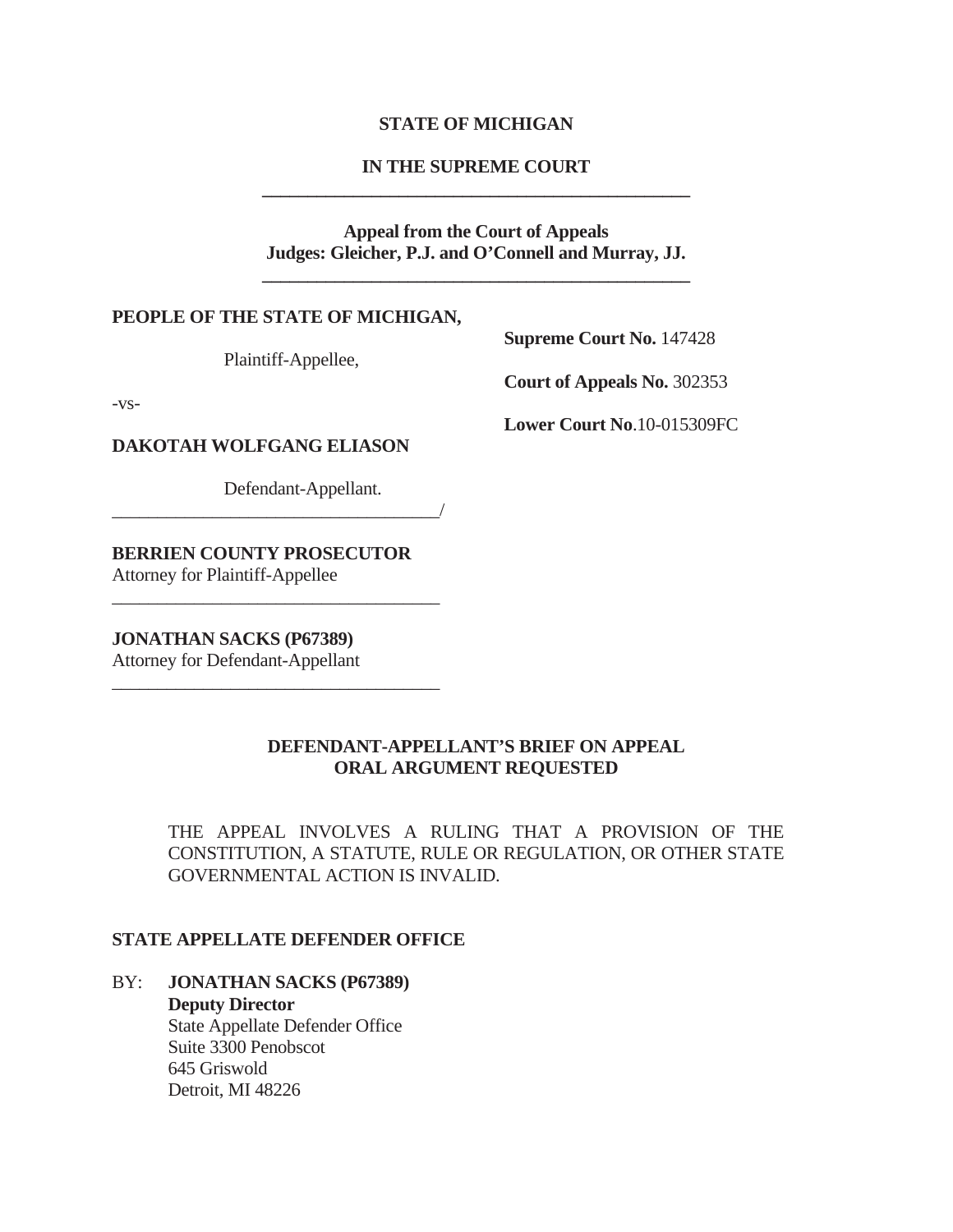### **STATE OF MICHIGAN**

## **IN THE SUPREME COURT \_\_\_\_\_\_\_\_\_\_\_\_\_\_\_\_\_\_\_\_\_\_\_\_\_\_\_\_\_\_\_\_\_\_\_\_\_\_\_\_\_\_\_\_\_\_\_**

## **Appeal from the Court of Appeals Judges: Gleicher, P.J. and O'Connell and Murray, JJ.**

**\_\_\_\_\_\_\_\_\_\_\_\_\_\_\_\_\_\_\_\_\_\_\_\_\_\_\_\_\_\_\_\_\_\_\_\_\_\_\_\_\_\_\_\_\_\_\_**

#### **PEOPLE OF THE STATE OF MICHIGAN,**

Plaintiff-Appellee,

-vs-

**Supreme Court No.** 147428

**Court of Appeals No.** 302353

**Lower Court No**.10-015309FC

**DAKOTAH WOLFGANG ELIASON** 

Defendant-Appellant.

\_\_\_\_\_\_\_\_\_\_\_\_\_\_\_\_\_\_\_\_\_\_\_\_\_\_\_\_\_\_\_\_\_\_\_\_/

**BERRIEN COUNTY PROSECUTOR** 

\_\_\_\_\_\_\_\_\_\_\_\_\_\_\_\_\_\_\_\_\_\_\_\_\_\_\_\_\_\_\_\_\_\_\_\_

\_\_\_\_\_\_\_\_\_\_\_\_\_\_\_\_\_\_\_\_\_\_\_\_\_\_\_\_\_\_\_\_\_\_\_\_

Attorney for Plaintiff-Appellee

**JONATHAN SACKS (P67389)** 

Attorney for Defendant-Appellant

## **DEFENDANT-APPELLANT'S BRIEF ON APPEAL ORAL ARGUMENT REQUESTED**

THE APPEAL INVOLVES A RULING THAT A PROVISION OF THE CONSTITUTION, A STATUTE, RULE OR REGULATION, OR OTHER STATE GOVERNMENTAL ACTION IS INVALID.

#### **STATE APPELLATE DEFENDER OFFICE**

## BY: **JONATHAN SACKS (P67389)**

**Deputy Director**  State Appellate Defender Office Suite 3300 Penobscot 645 Griswold Detroit, MI 48226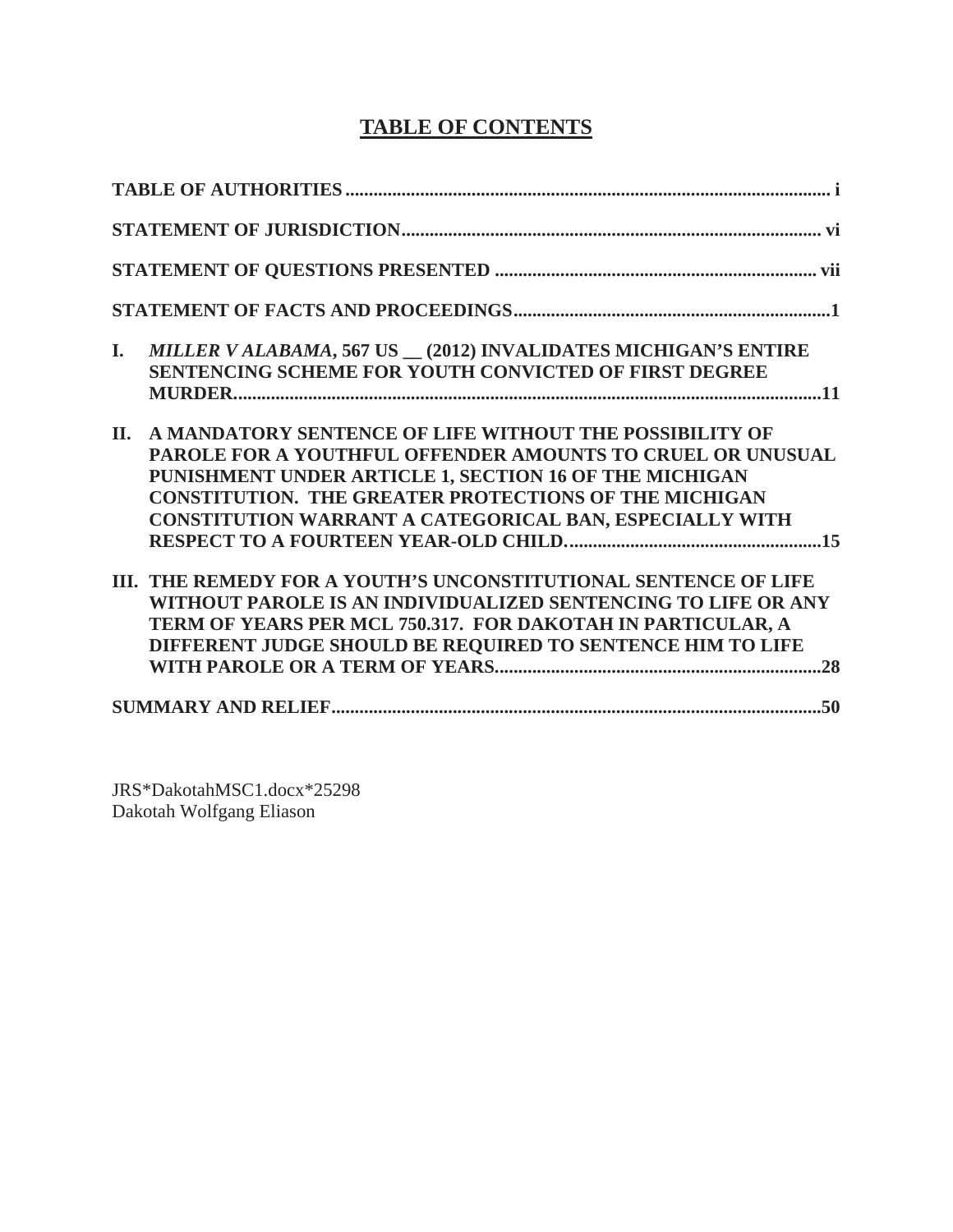# **TABLE OF CONTENTS**

| MILLER V ALABAMA, 567 US _ (2012) INVALIDATES MICHIGAN'S ENTIRE<br>I.<br>SENTENCING SCHEME FOR YOUTH CONVICTED OF FIRST DEGREE                                                                                                                                                                                    |
|-------------------------------------------------------------------------------------------------------------------------------------------------------------------------------------------------------------------------------------------------------------------------------------------------------------------|
| A MANDATORY SENTENCE OF LIFE WITHOUT THE POSSIBILITY OF<br>II.<br>PAROLE FOR A YOUTHFUL OFFENDER AMOUNTS TO CRUEL OR UNUSUAL<br>PUNISHMENT UNDER ARTICLE 1, SECTION 16 OF THE MICHIGAN<br><b>CONSTITUTION. THE GREATER PROTECTIONS OF THE MICHIGAN</b><br>CONSTITUTION WARRANT A CATEGORICAL BAN, ESPECIALLY WITH |
| III. THE REMEDY FOR A YOUTH'S UNCONSTITUTIONAL SENTENCE OF LIFE<br>WITHOUT PAROLE IS AN INDIVIDUALIZED SENTENCING TO LIFE OR ANY<br>TERM OF YEARS PER MCL 750.317. FOR DAKOTAH IN PARTICULAR, A<br>DIFFERENT JUDGE SHOULD BE REQUIRED TO SENTENCE HIM TO LIFE                                                     |
|                                                                                                                                                                                                                                                                                                                   |

JRS\*DakotahMSC1.docx\*25298 Dakotah Wolfgang Eliason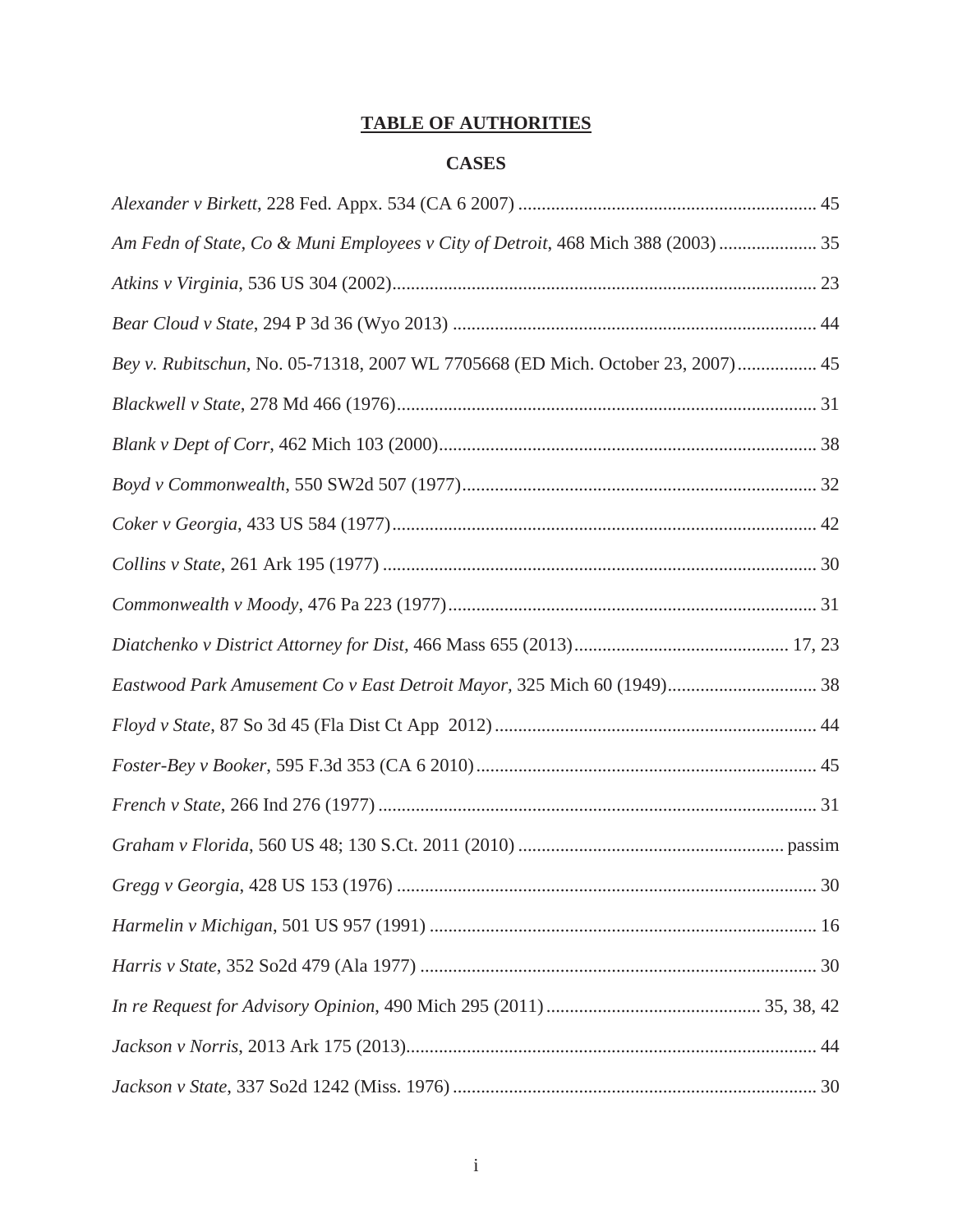# **TABLE OF AUTHORITIES**

## **CASES**

| Am Fedn of State, Co & Muni Employees v City of Detroit, 468 Mich 388 (2003)  35 |  |
|----------------------------------------------------------------------------------|--|
|                                                                                  |  |
|                                                                                  |  |
| Bey v. Rubitschun, No. 05-71318, 2007 WL 7705668 (ED Mich. October 23, 2007) 45  |  |
|                                                                                  |  |
|                                                                                  |  |
|                                                                                  |  |
|                                                                                  |  |
|                                                                                  |  |
|                                                                                  |  |
|                                                                                  |  |
| Eastwood Park Amusement Co v East Detroit Mayor, 325 Mich 60 (1949) 38           |  |
|                                                                                  |  |
|                                                                                  |  |
|                                                                                  |  |
|                                                                                  |  |
|                                                                                  |  |
|                                                                                  |  |
|                                                                                  |  |
|                                                                                  |  |
|                                                                                  |  |
|                                                                                  |  |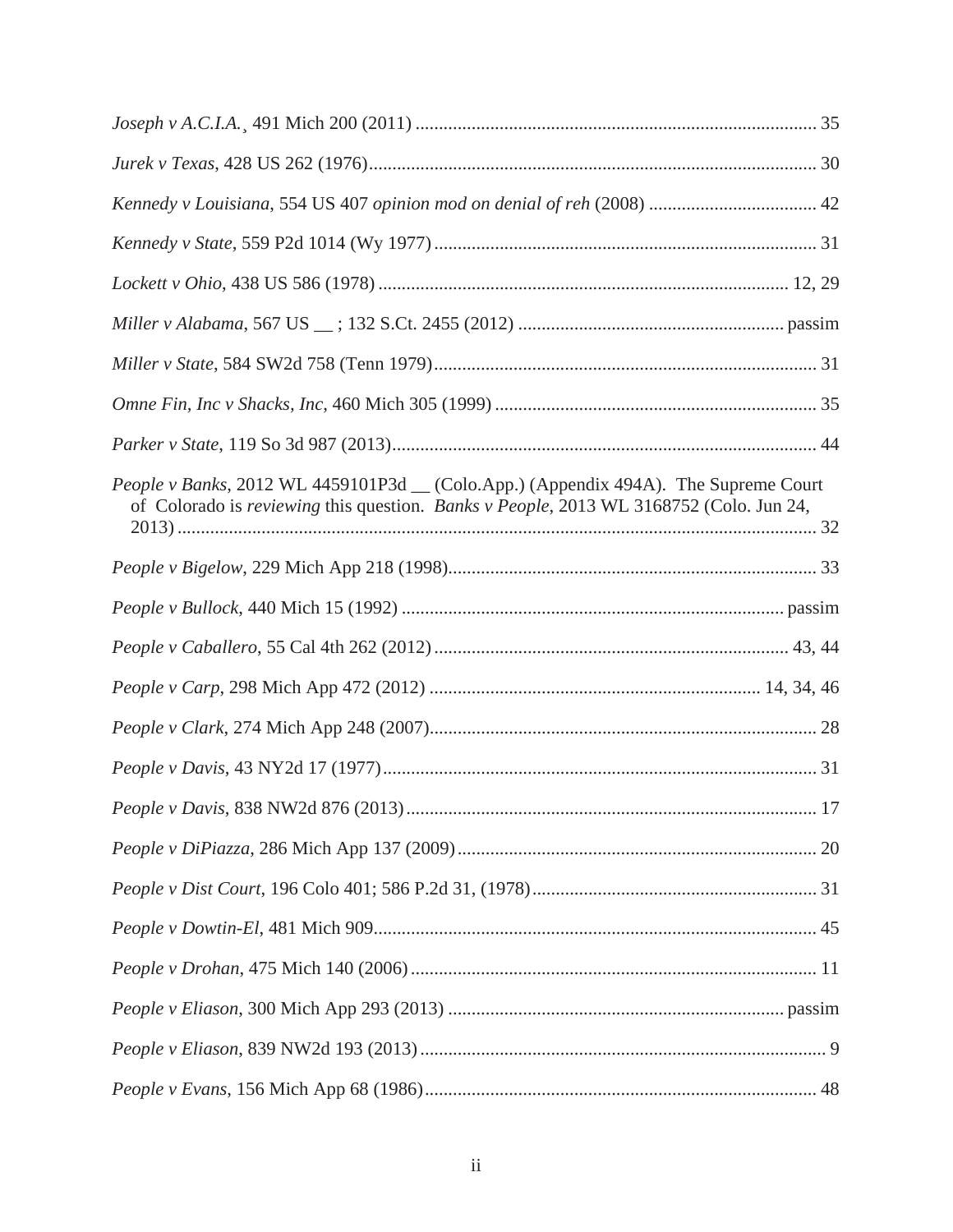| <i>People v Banks</i> , 2012 WL 4459101P3d __ (Colo.App.) (Appendix 494A). The Supreme Court<br>of Colorado is reviewing this question. Banks v People, 2013 WL 3168752 (Colo. Jun 24, |  |
|----------------------------------------------------------------------------------------------------------------------------------------------------------------------------------------|--|
|                                                                                                                                                                                        |  |
|                                                                                                                                                                                        |  |
|                                                                                                                                                                                        |  |
|                                                                                                                                                                                        |  |
|                                                                                                                                                                                        |  |
|                                                                                                                                                                                        |  |
|                                                                                                                                                                                        |  |
|                                                                                                                                                                                        |  |
|                                                                                                                                                                                        |  |
|                                                                                                                                                                                        |  |
|                                                                                                                                                                                        |  |
|                                                                                                                                                                                        |  |
|                                                                                                                                                                                        |  |
|                                                                                                                                                                                        |  |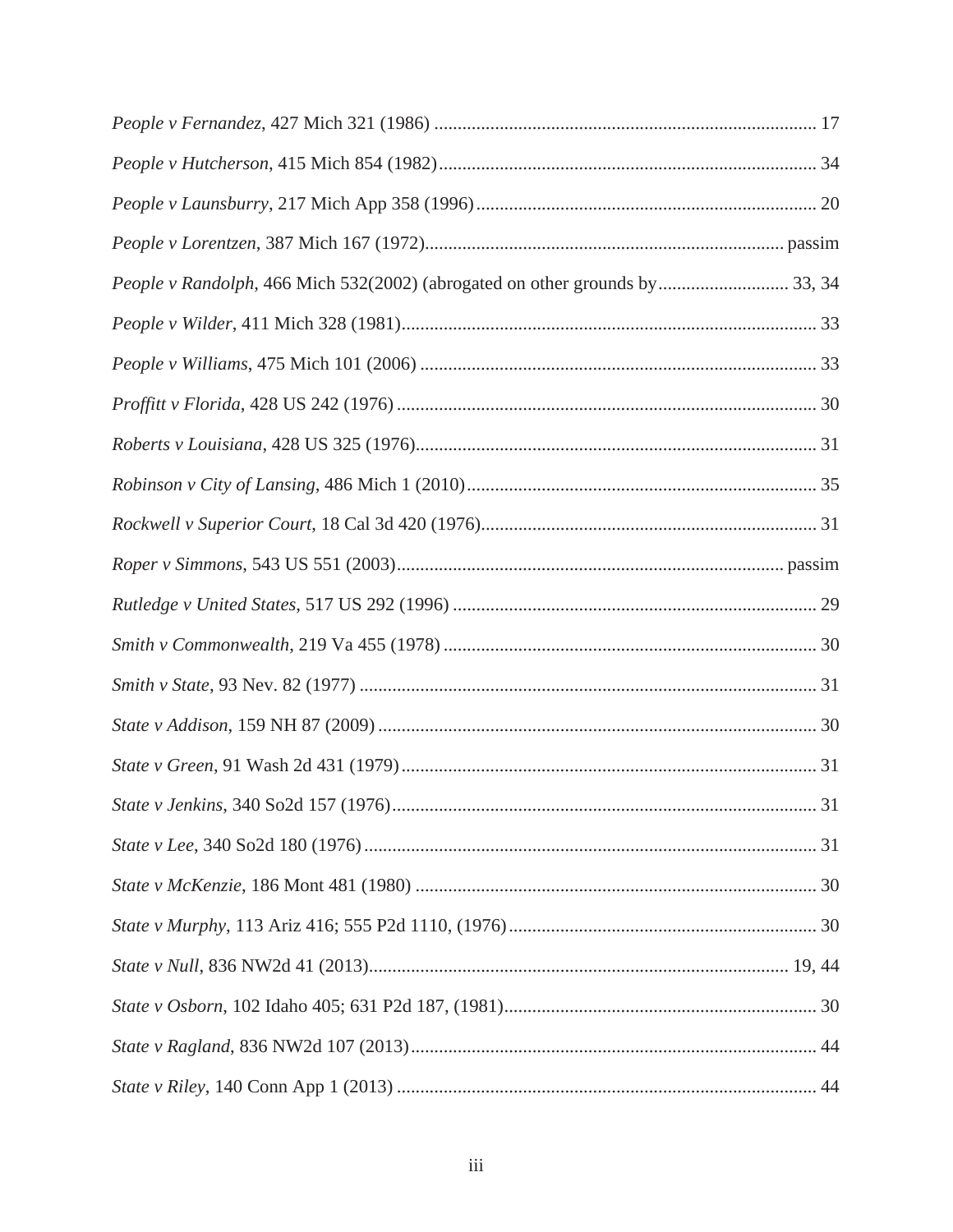| People v Randolph, 466 Mich 532(2002) (abrogated on other grounds by 33, 34 |  |
|-----------------------------------------------------------------------------|--|
|                                                                             |  |
|                                                                             |  |
|                                                                             |  |
|                                                                             |  |
|                                                                             |  |
|                                                                             |  |
|                                                                             |  |
|                                                                             |  |
|                                                                             |  |
|                                                                             |  |
|                                                                             |  |
|                                                                             |  |
|                                                                             |  |
|                                                                             |  |
|                                                                             |  |
|                                                                             |  |
|                                                                             |  |
|                                                                             |  |
|                                                                             |  |
|                                                                             |  |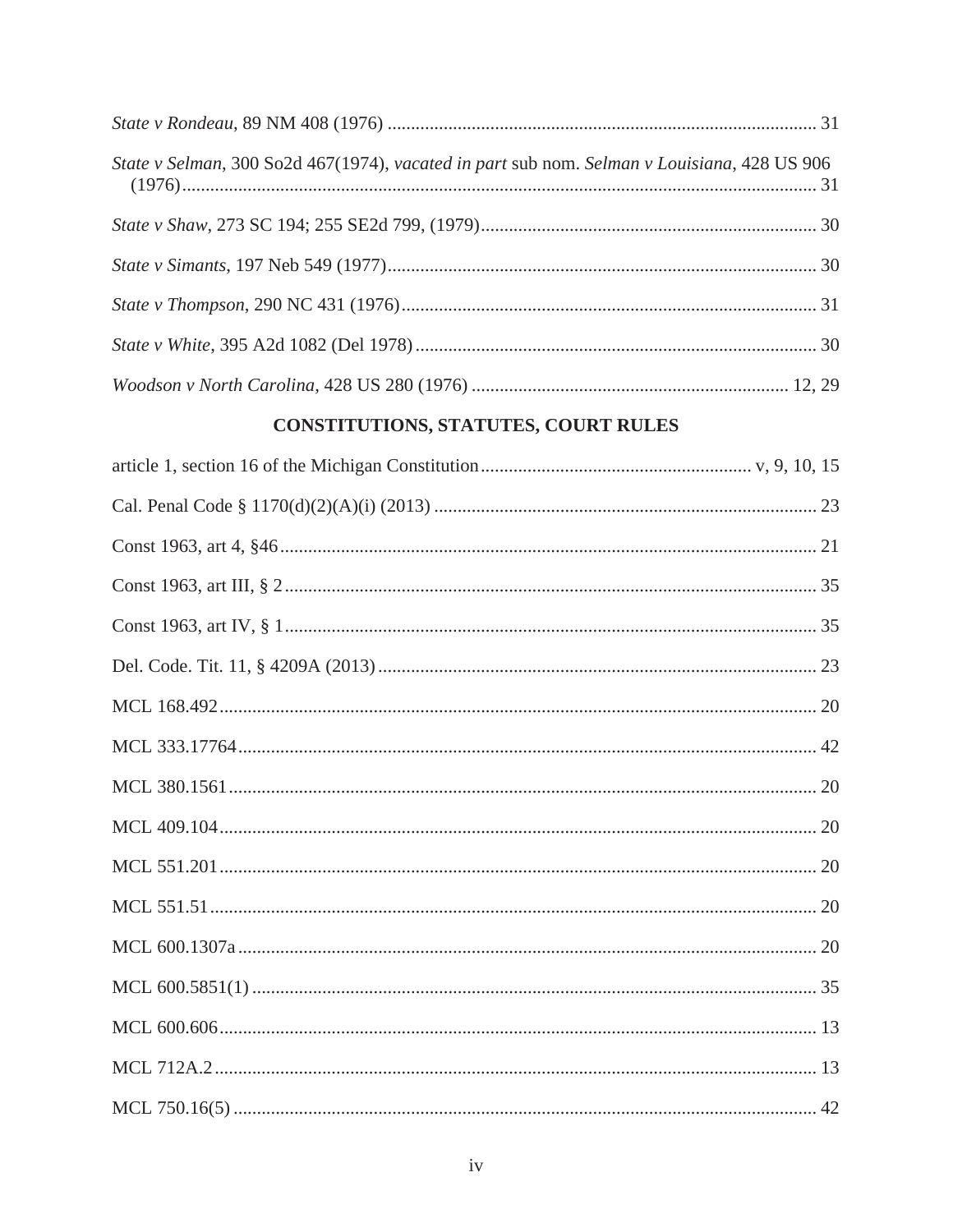| State v Selman, 300 So2d 467(1974), vacated in part sub nom. Selman v Louisiana, 428 US 906 |  |
|---------------------------------------------------------------------------------------------|--|
|                                                                                             |  |
|                                                                                             |  |
|                                                                                             |  |
|                                                                                             |  |
|                                                                                             |  |

# CONSTITUTIONS, STATUTES, COURT RULES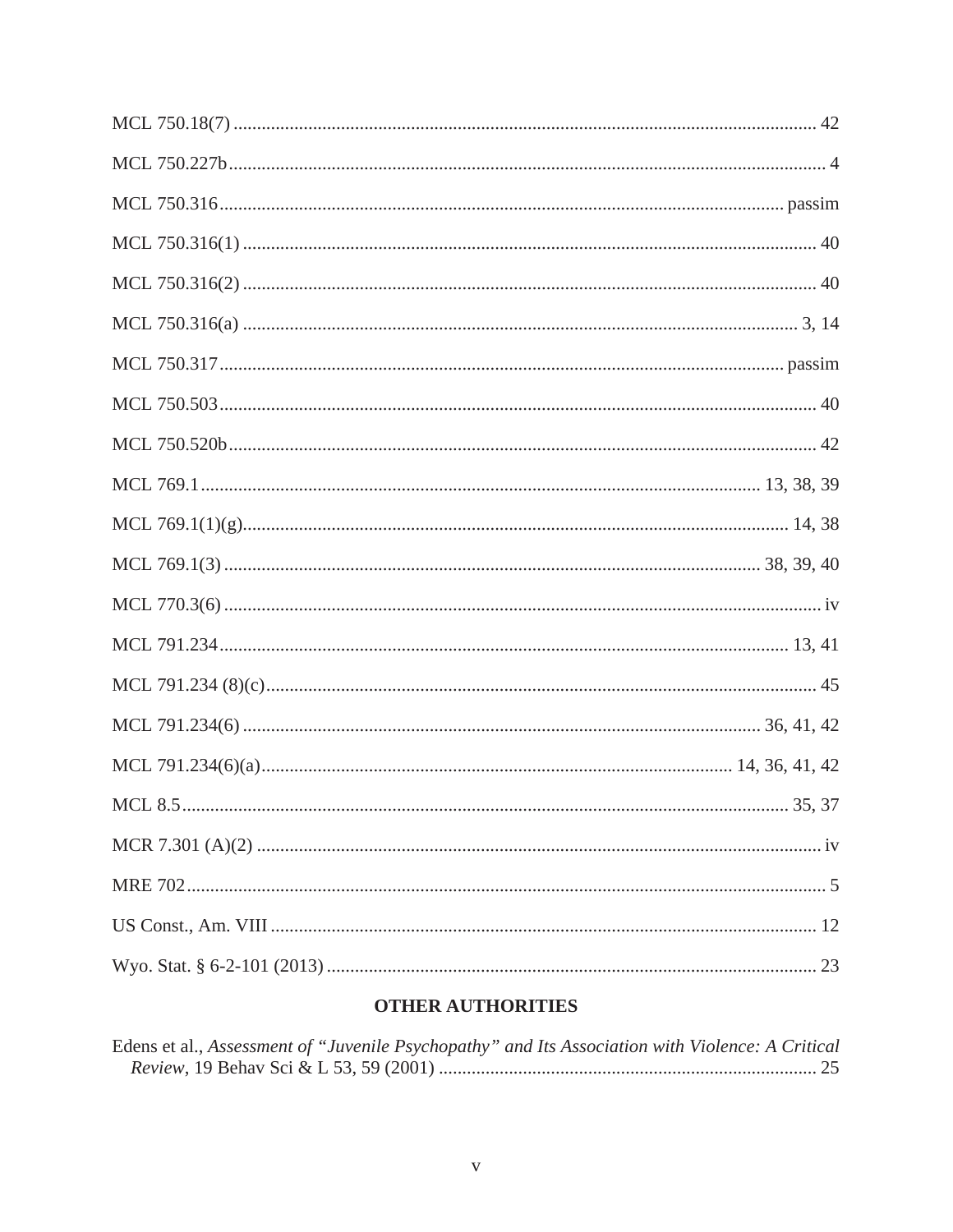# **OTHER AUTHORITIES**

| Edens et al., Assessment of "Juvenile Psychopathy" and Its Association with Violence: A Critical |  |  |
|--------------------------------------------------------------------------------------------------|--|--|
|                                                                                                  |  |  |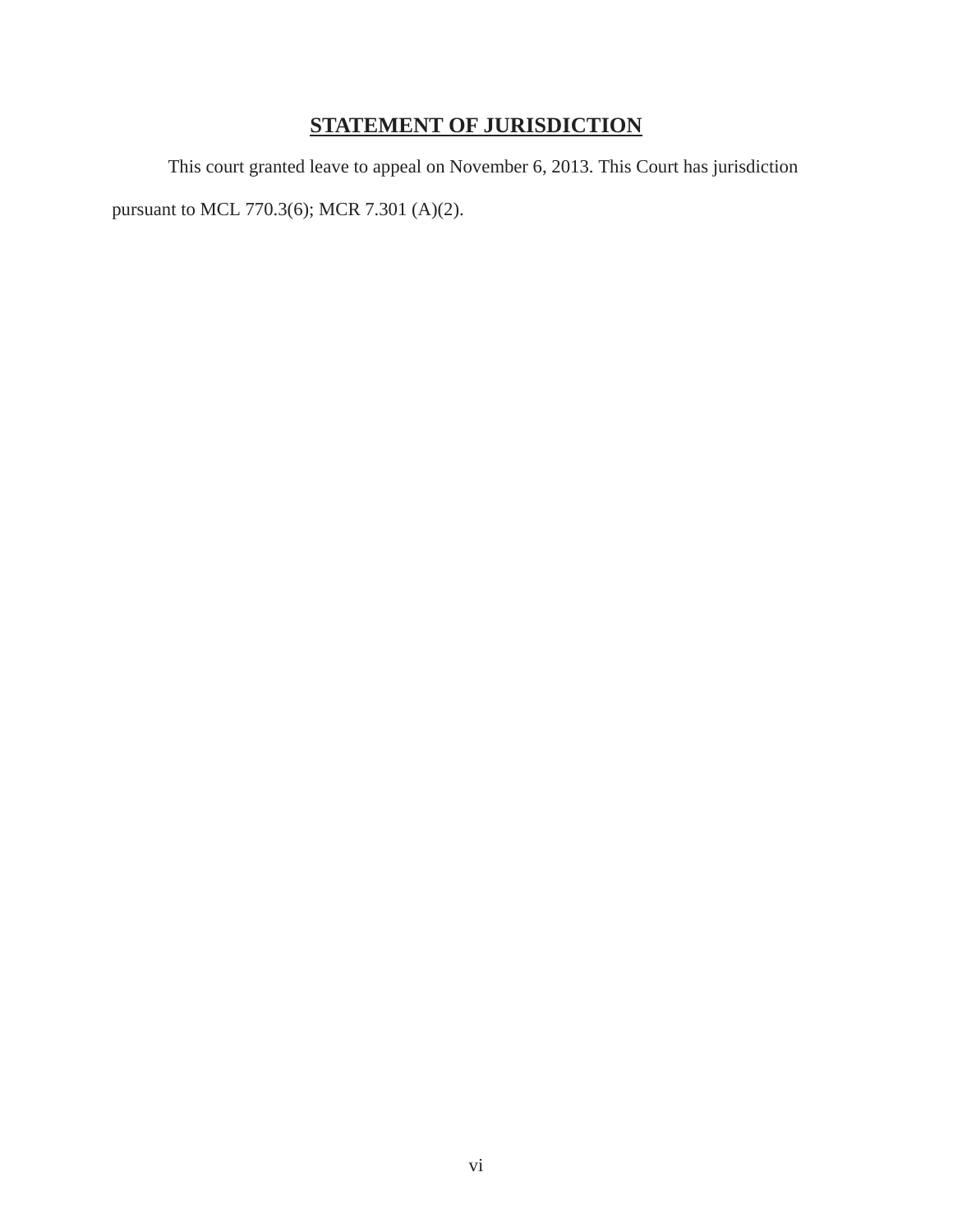# **STATEMENT OF JURISDICTION**

This court granted leave to appeal on November 6, 2013. This Court has jurisdiction

pursuant to MCL 770.3(6); MCR 7.301 (A)(2).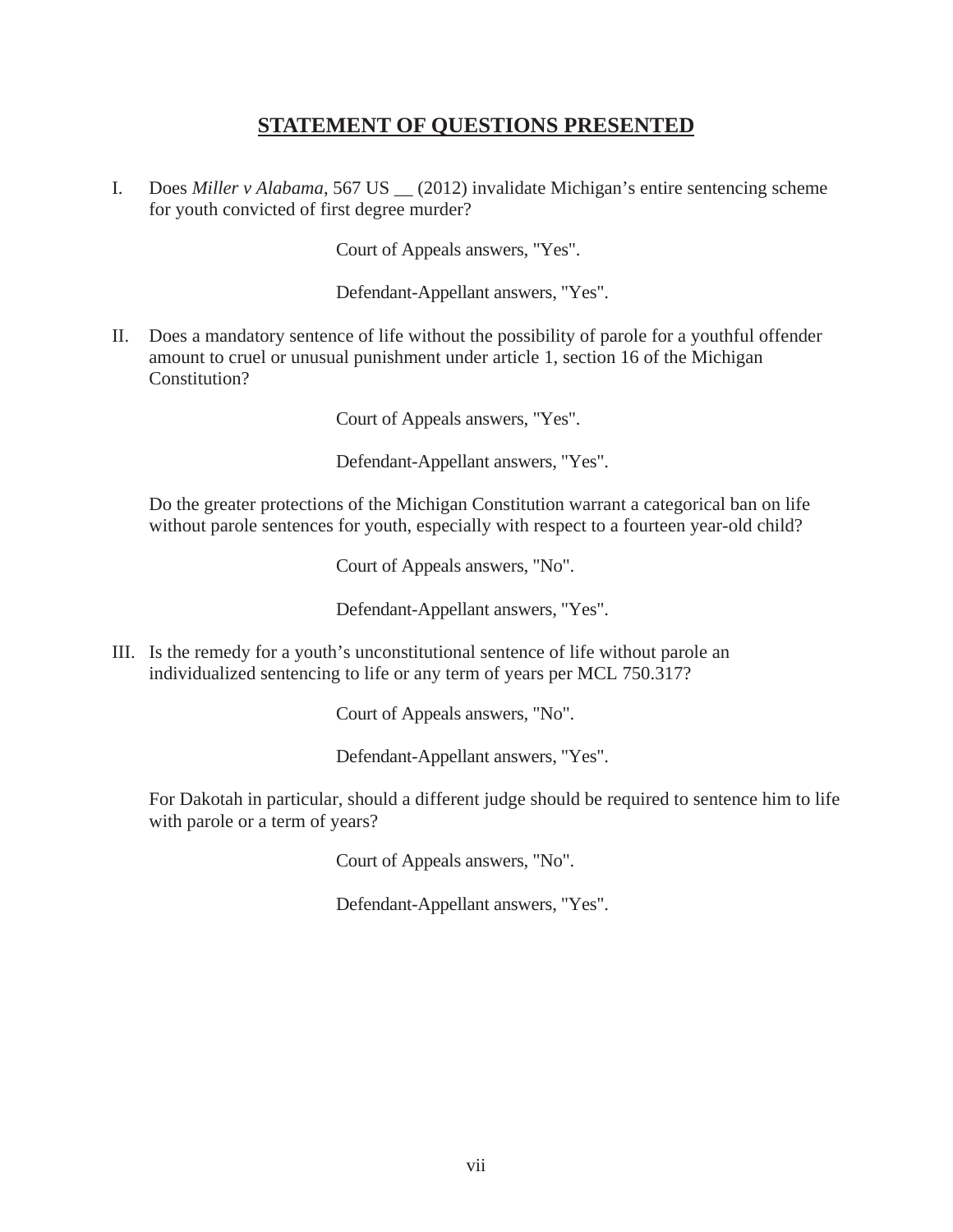# **STATEMENT OF QUESTIONS PRESENTED**

I. Does *Miller v Alabama*, 567 US \_\_ (2012) invalidate Michigan's entire sentencing scheme for youth convicted of first degree murder?

Court of Appeals answers, "Yes".

Defendant-Appellant answers, "Yes".

II. Does a mandatory sentence of life without the possibility of parole for a youthful offender amount to cruel or unusual punishment under article 1, section 16 of the Michigan Constitution?

Court of Appeals answers, "Yes".

Defendant-Appellant answers, "Yes".

 Do the greater protections of the Michigan Constitution warrant a categorical ban on life without parole sentences for youth, especially with respect to a fourteen year-old child?

Court of Appeals answers, "No".

Defendant-Appellant answers, "Yes".

III. Is the remedy for a youth's unconstitutional sentence of life without parole an individualized sentencing to life or any term of years per MCL 750.317?

Court of Appeals answers, "No".

Defendant-Appellant answers, "Yes".

 For Dakotah in particular, should a different judge should be required to sentence him to life with parole or a term of years?

Court of Appeals answers, "No".

Defendant-Appellant answers, "Yes".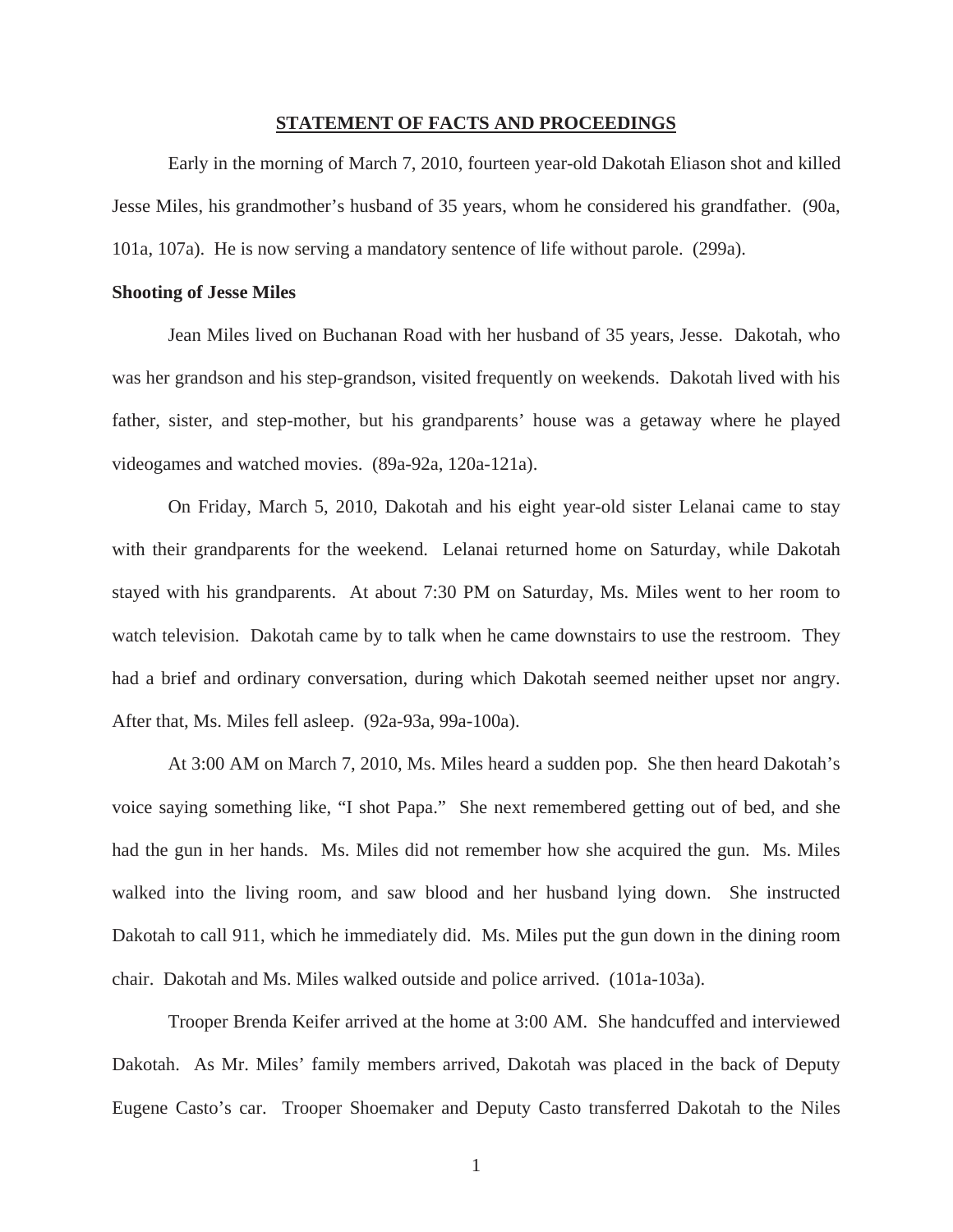#### **STATEMENT OF FACTS AND PROCEEDINGS**

 Early in the morning of March 7, 2010, fourteen year-old Dakotah Eliason shot and killed Jesse Miles, his grandmother's husband of 35 years, whom he considered his grandfather. (90a, 101a, 107a). He is now serving a mandatory sentence of life without parole. (299a).

#### **Shooting of Jesse Miles**

 Jean Miles lived on Buchanan Road with her husband of 35 years, Jesse. Dakotah, who was her grandson and his step-grandson, visited frequently on weekends. Dakotah lived with his father, sister, and step-mother, but his grandparents' house was a getaway where he played videogames and watched movies. (89a-92a, 120a-121a).

 On Friday, March 5, 2010, Dakotah and his eight year-old sister Lelanai came to stay with their grandparents for the weekend. Lelanai returned home on Saturday, while Dakotah stayed with his grandparents. At about 7:30 PM on Saturday, Ms. Miles went to her room to watch television. Dakotah came by to talk when he came downstairs to use the restroom. They had a brief and ordinary conversation, during which Dakotah seemed neither upset nor angry. After that, Ms. Miles fell asleep. (92a-93a, 99a-100a).

 At 3:00 AM on March 7, 2010, Ms. Miles heard a sudden pop. She then heard Dakotah's voice saying something like, "I shot Papa." She next remembered getting out of bed, and she had the gun in her hands. Ms. Miles did not remember how she acquired the gun. Ms. Miles walked into the living room, and saw blood and her husband lying down. She instructed Dakotah to call 911, which he immediately did. Ms. Miles put the gun down in the dining room chair. Dakotah and Ms. Miles walked outside and police arrived. (101a-103a).

 Trooper Brenda Keifer arrived at the home at 3:00 AM. She handcuffed and interviewed Dakotah. As Mr. Miles' family members arrived, Dakotah was placed in the back of Deputy Eugene Casto's car. Trooper Shoemaker and Deputy Casto transferred Dakotah to the Niles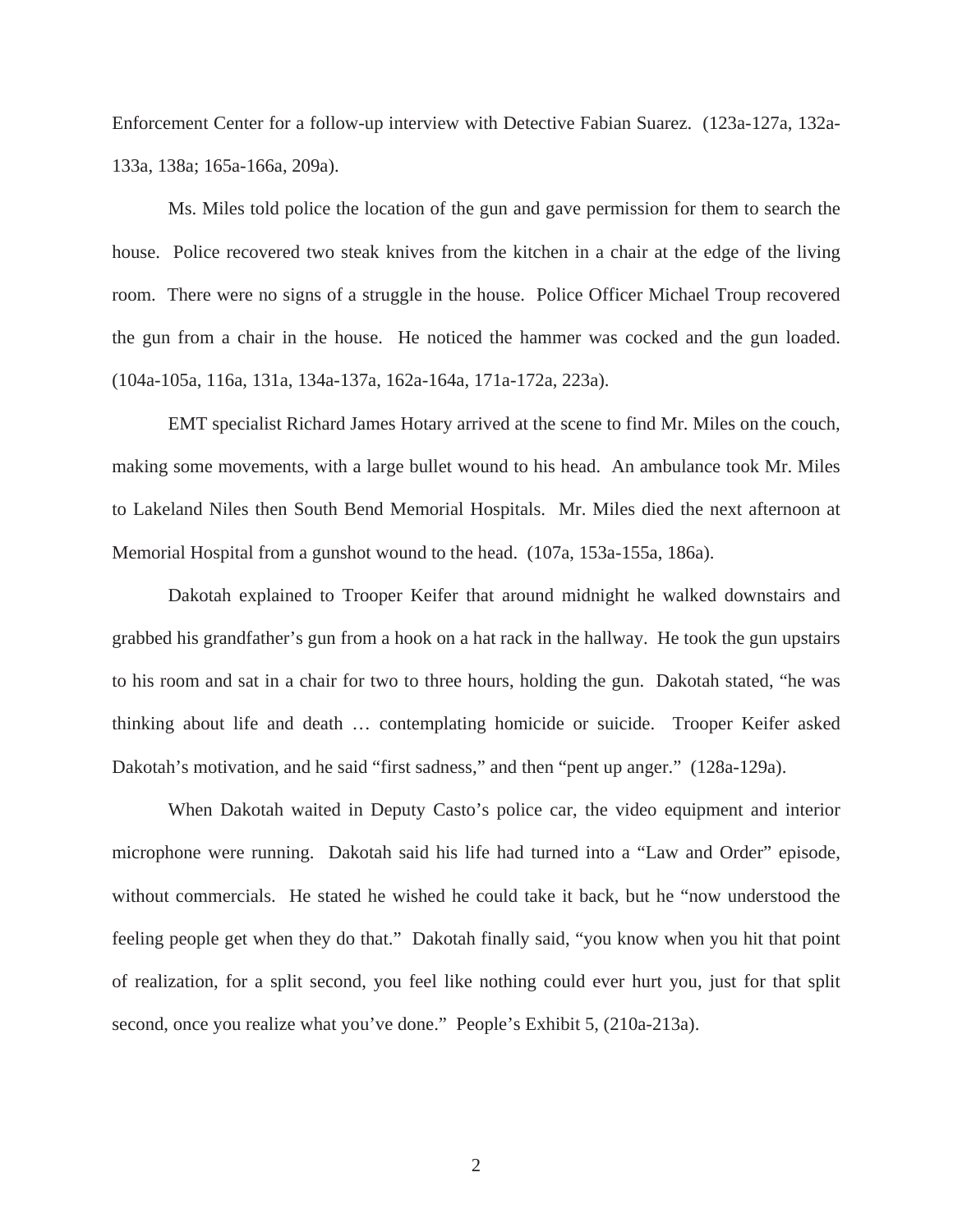Enforcement Center for a follow-up interview with Detective Fabian Suarez. (123a-127a, 132a-133a, 138a; 165a-166a, 209a).

Ms. Miles told police the location of the gun and gave permission for them to search the house. Police recovered two steak knives from the kitchen in a chair at the edge of the living room. There were no signs of a struggle in the house. Police Officer Michael Troup recovered the gun from a chair in the house. He noticed the hammer was cocked and the gun loaded. (104a-105a, 116a, 131a, 134a-137a, 162a-164a, 171a-172a, 223a).

 EMT specialist Richard James Hotary arrived at the scene to find Mr. Miles on the couch, making some movements, with a large bullet wound to his head. An ambulance took Mr. Miles to Lakeland Niles then South Bend Memorial Hospitals. Mr. Miles died the next afternoon at Memorial Hospital from a gunshot wound to the head. (107a, 153a-155a, 186a).

Dakotah explained to Trooper Keifer that around midnight he walked downstairs and grabbed his grandfather's gun from a hook on a hat rack in the hallway. He took the gun upstairs to his room and sat in a chair for two to three hours, holding the gun. Dakotah stated, "he was thinking about life and death … contemplating homicide or suicide. Trooper Keifer asked Dakotah's motivation, and he said "first sadness," and then "pent up anger." (128a-129a).

 When Dakotah waited in Deputy Casto's police car, the video equipment and interior microphone were running. Dakotah said his life had turned into a "Law and Order" episode, without commercials. He stated he wished he could take it back, but he "now understood the feeling people get when they do that." Dakotah finally said, "you know when you hit that point of realization, for a split second, you feel like nothing could ever hurt you, just for that split second, once you realize what you've done." People's Exhibit 5, (210a-213a).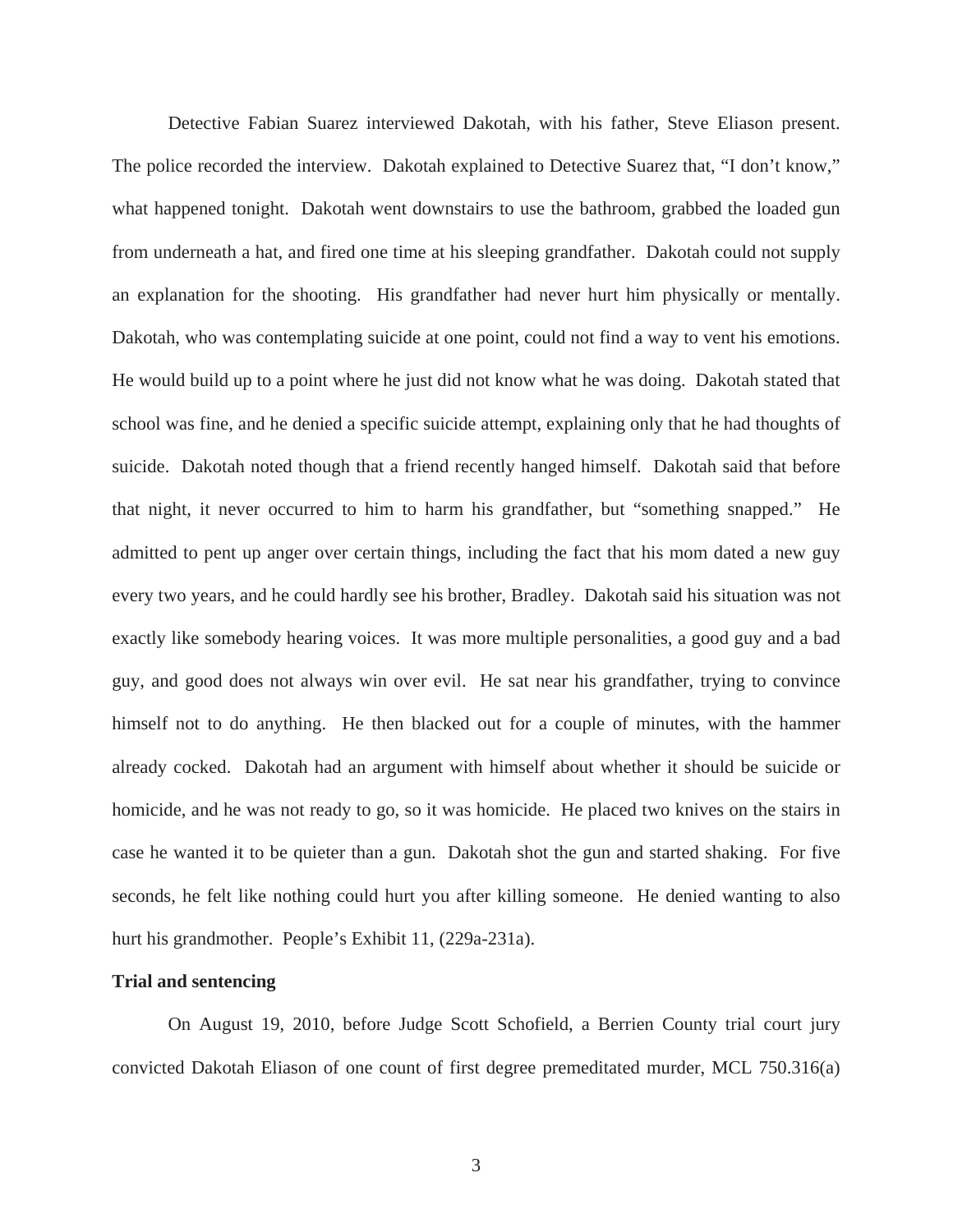Detective Fabian Suarez interviewed Dakotah, with his father, Steve Eliason present. The police recorded the interview. Dakotah explained to Detective Suarez that, "I don't know," what happened tonight. Dakotah went downstairs to use the bathroom, grabbed the loaded gun from underneath a hat, and fired one time at his sleeping grandfather. Dakotah could not supply an explanation for the shooting. His grandfather had never hurt him physically or mentally. Dakotah, who was contemplating suicide at one point, could not find a way to vent his emotions. He would build up to a point where he just did not know what he was doing. Dakotah stated that school was fine, and he denied a specific suicide attempt, explaining only that he had thoughts of suicide. Dakotah noted though that a friend recently hanged himself. Dakotah said that before that night, it never occurred to him to harm his grandfather, but "something snapped." He admitted to pent up anger over certain things, including the fact that his mom dated a new guy every two years, and he could hardly see his brother, Bradley. Dakotah said his situation was not exactly like somebody hearing voices. It was more multiple personalities, a good guy and a bad guy, and good does not always win over evil. He sat near his grandfather, trying to convince himself not to do anything. He then blacked out for a couple of minutes, with the hammer already cocked. Dakotah had an argument with himself about whether it should be suicide or homicide, and he was not ready to go, so it was homicide. He placed two knives on the stairs in case he wanted it to be quieter than a gun. Dakotah shot the gun and started shaking. For five seconds, he felt like nothing could hurt you after killing someone. He denied wanting to also hurt his grandmother. People's Exhibit 11, (229a-231a).

#### **Trial and sentencing**

 On August 19, 2010, before Judge Scott Schofield, a Berrien County trial court jury convicted Dakotah Eliason of one count of first degree premeditated murder, MCL 750.316(a)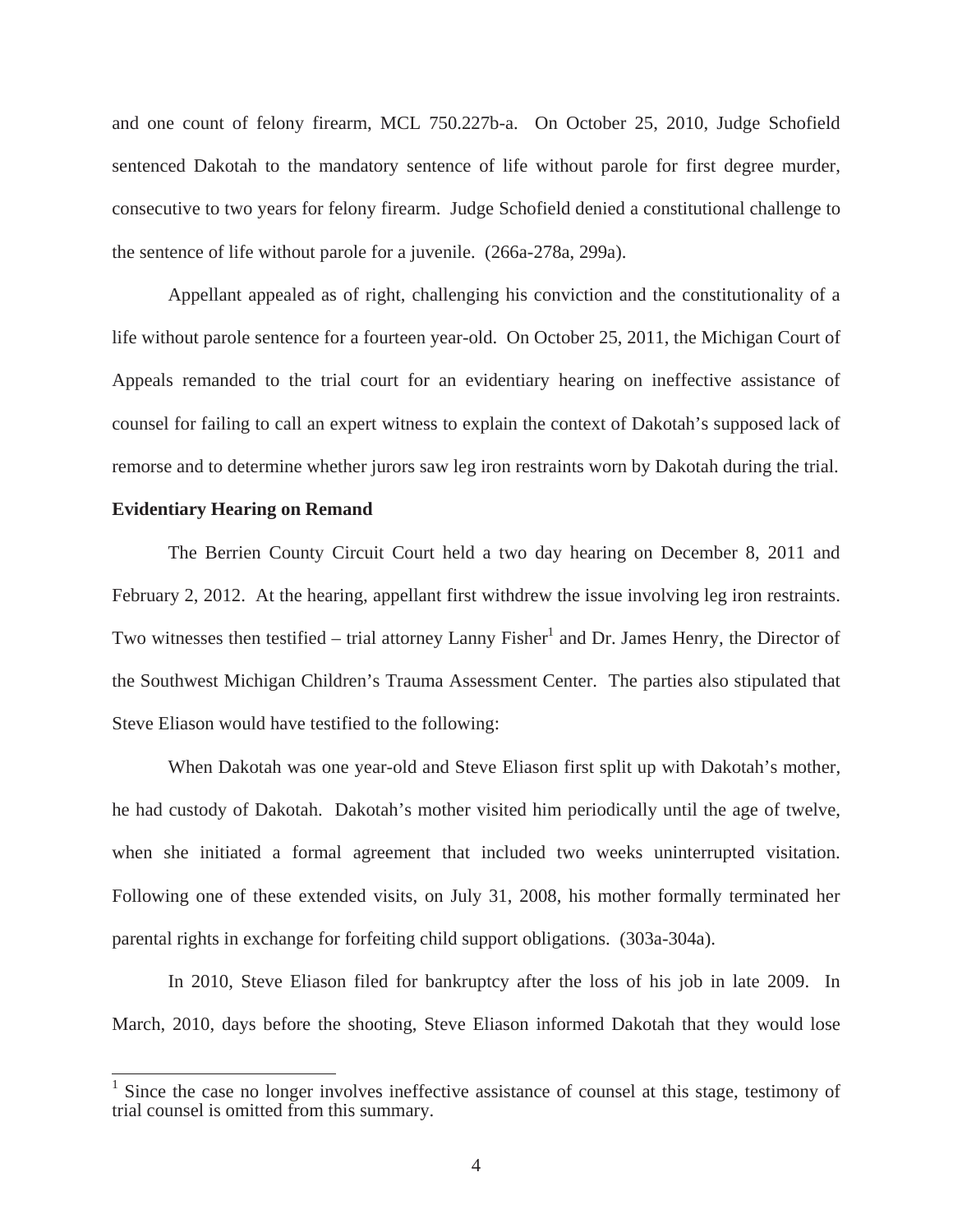and one count of felony firearm, MCL 750.227b-a. On October 25, 2010, Judge Schofield sentenced Dakotah to the mandatory sentence of life without parole for first degree murder, consecutive to two years for felony firearm. Judge Schofield denied a constitutional challenge to the sentence of life without parole for a juvenile. (266a-278a, 299a).

Appellant appealed as of right, challenging his conviction and the constitutionality of a life without parole sentence for a fourteen year-old. On October 25, 2011, the Michigan Court of Appeals remanded to the trial court for an evidentiary hearing on ineffective assistance of counsel for failing to call an expert witness to explain the context of Dakotah's supposed lack of remorse and to determine whether jurors saw leg iron restraints worn by Dakotah during the trial.

#### **Evidentiary Hearing on Remand**

The Berrien County Circuit Court held a two day hearing on December 8, 2011 and February 2, 2012. At the hearing, appellant first withdrew the issue involving leg iron restraints. Two witnesses then testified  $-$  trial attorney Lanny Fisher<sup>1</sup> and Dr. James Henry, the Director of the Southwest Michigan Children's Trauma Assessment Center. The parties also stipulated that Steve Eliason would have testified to the following:

 When Dakotah was one year-old and Steve Eliason first split up with Dakotah's mother, he had custody of Dakotah. Dakotah's mother visited him periodically until the age of twelve, when she initiated a formal agreement that included two weeks uninterrupted visitation. Following one of these extended visits, on July 31, 2008, his mother formally terminated her parental rights in exchange for forfeiting child support obligations. (303a-304a).

 In 2010, Steve Eliason filed for bankruptcy after the loss of his job in late 2009. In March, 2010, days before the shooting, Steve Eliason informed Dakotah that they would lose

<sup>&</sup>lt;sup>1</sup> Since the case no longer involves ineffective assistance of counsel at this stage, testimony of trial counsel is omitted from this summary.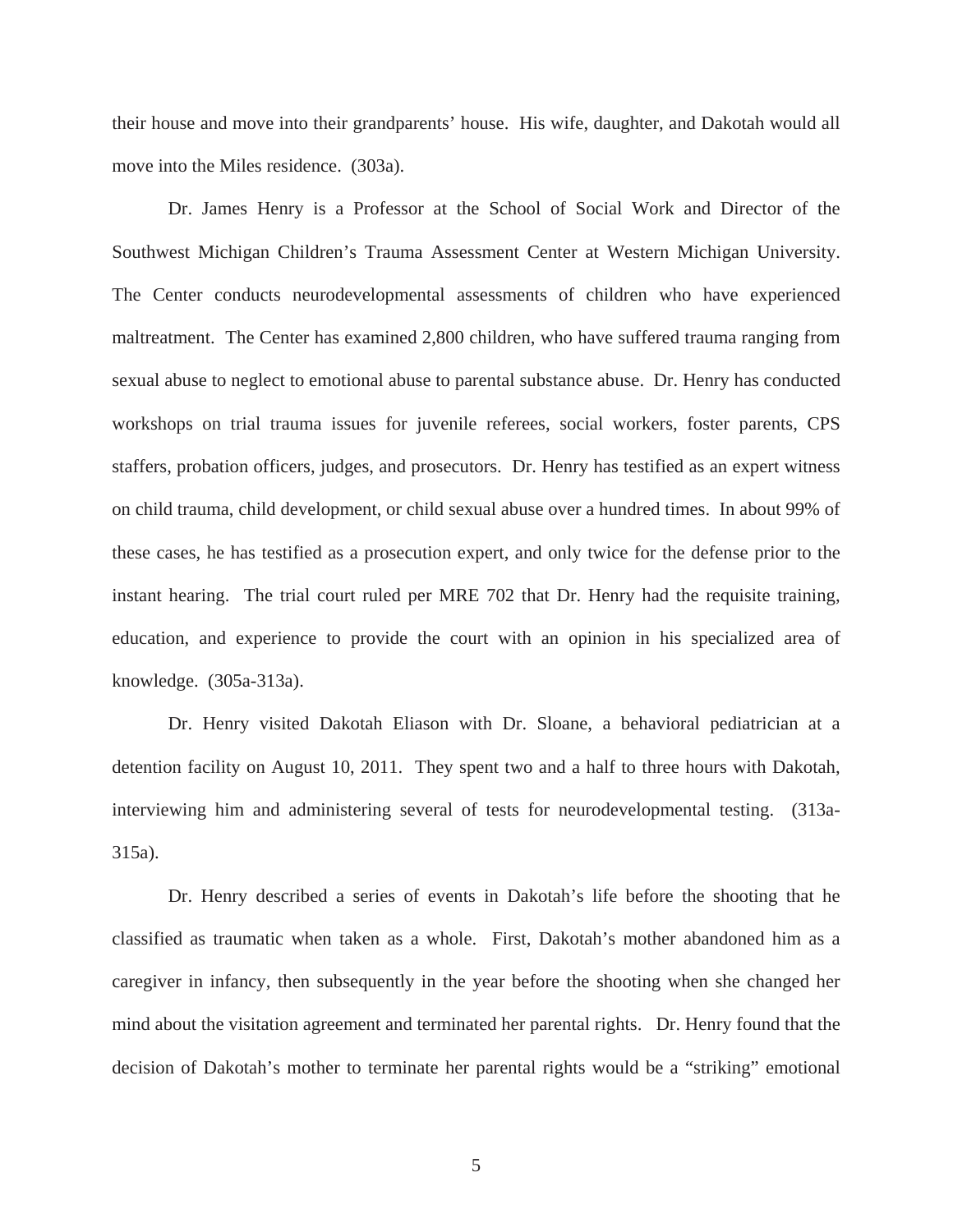their house and move into their grandparents' house. His wife, daughter, and Dakotah would all move into the Miles residence. (303a).

 Dr. James Henry is a Professor at the School of Social Work and Director of the Southwest Michigan Children's Trauma Assessment Center at Western Michigan University. The Center conducts neurodevelopmental assessments of children who have experienced maltreatment. The Center has examined 2,800 children, who have suffered trauma ranging from sexual abuse to neglect to emotional abuse to parental substance abuse. Dr. Henry has conducted workshops on trial trauma issues for juvenile referees, social workers, foster parents, CPS staffers, probation officers, judges, and prosecutors. Dr. Henry has testified as an expert witness on child trauma, child development, or child sexual abuse over a hundred times. In about 99% of these cases, he has testified as a prosecution expert, and only twice for the defense prior to the instant hearing. The trial court ruled per MRE 702 that Dr. Henry had the requisite training, education, and experience to provide the court with an opinion in his specialized area of knowledge. (305a-313a).

 Dr. Henry visited Dakotah Eliason with Dr. Sloane, a behavioral pediatrician at a detention facility on August 10, 2011. They spent two and a half to three hours with Dakotah, interviewing him and administering several of tests for neurodevelopmental testing. (313a-315a).

Dr. Henry described a series of events in Dakotah's life before the shooting that he classified as traumatic when taken as a whole. First, Dakotah's mother abandoned him as a caregiver in infancy, then subsequently in the year before the shooting when she changed her mind about the visitation agreement and terminated her parental rights. Dr. Henry found that the decision of Dakotah's mother to terminate her parental rights would be a "striking" emotional

5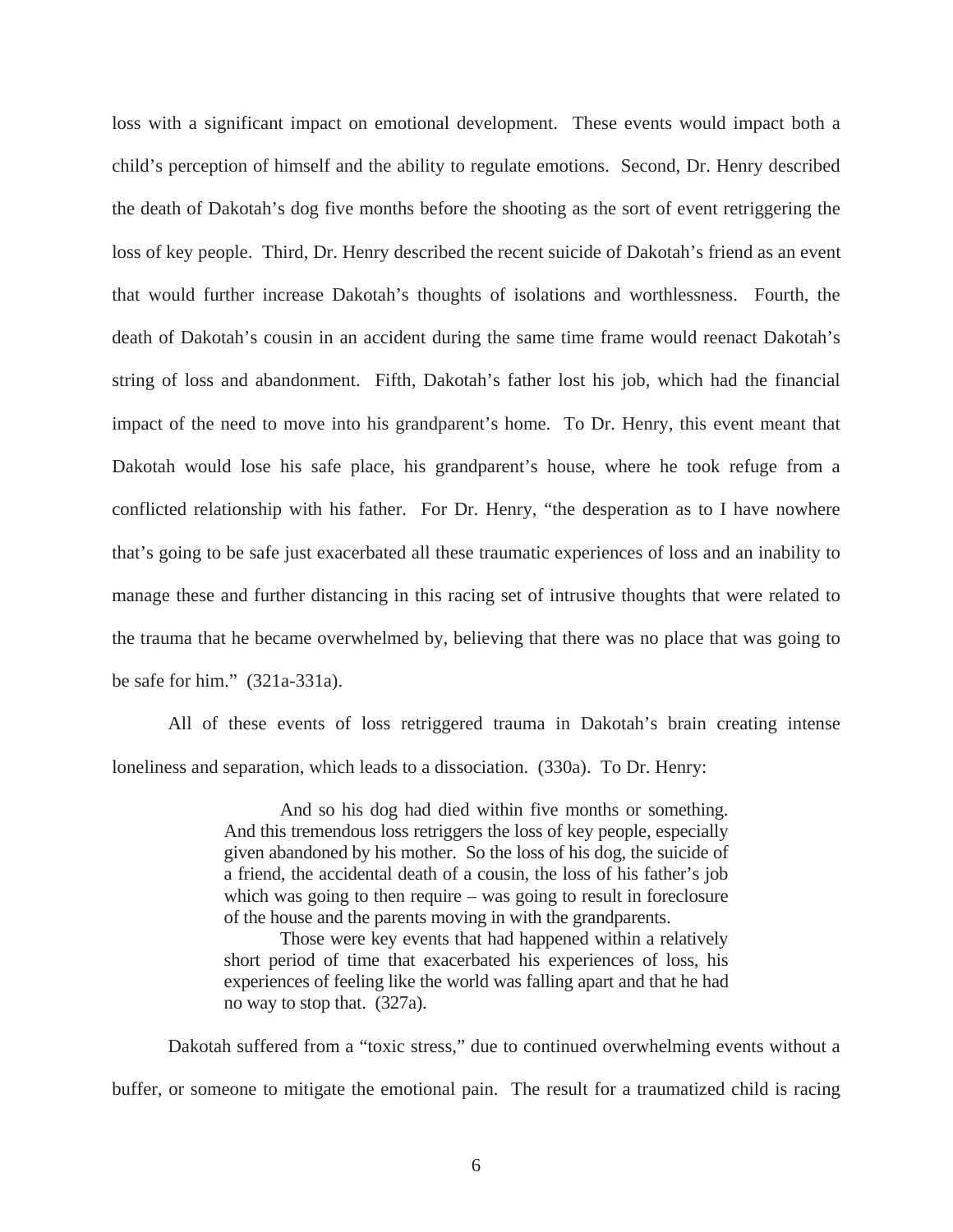loss with a significant impact on emotional development. These events would impact both a child's perception of himself and the ability to regulate emotions. Second, Dr. Henry described the death of Dakotah's dog five months before the shooting as the sort of event retriggering the loss of key people. Third, Dr. Henry described the recent suicide of Dakotah's friend as an event that would further increase Dakotah's thoughts of isolations and worthlessness. Fourth, the death of Dakotah's cousin in an accident during the same time frame would reenact Dakotah's string of loss and abandonment. Fifth, Dakotah's father lost his job, which had the financial impact of the need to move into his grandparent's home. To Dr. Henry, this event meant that Dakotah would lose his safe place, his grandparent's house, where he took refuge from a conflicted relationship with his father. For Dr. Henry, "the desperation as to I have nowhere that's going to be safe just exacerbated all these traumatic experiences of loss and an inability to manage these and further distancing in this racing set of intrusive thoughts that were related to the trauma that he became overwhelmed by, believing that there was no place that was going to be safe for him." (321a-331a).

All of these events of loss retriggered trauma in Dakotah's brain creating intense loneliness and separation, which leads to a dissociation. (330a). To Dr. Henry:

> And so his dog had died within five months or something. And this tremendous loss retriggers the loss of key people, especially given abandoned by his mother. So the loss of his dog, the suicide of a friend, the accidental death of a cousin, the loss of his father's job which was going to then require – was going to result in foreclosure of the house and the parents moving in with the grandparents.

> Those were key events that had happened within a relatively short period of time that exacerbated his experiences of loss, his experiences of feeling like the world was falling apart and that he had no way to stop that. (327a).

 Dakotah suffered from a "toxic stress," due to continued overwhelming events without a buffer, or someone to mitigate the emotional pain. The result for a traumatized child is racing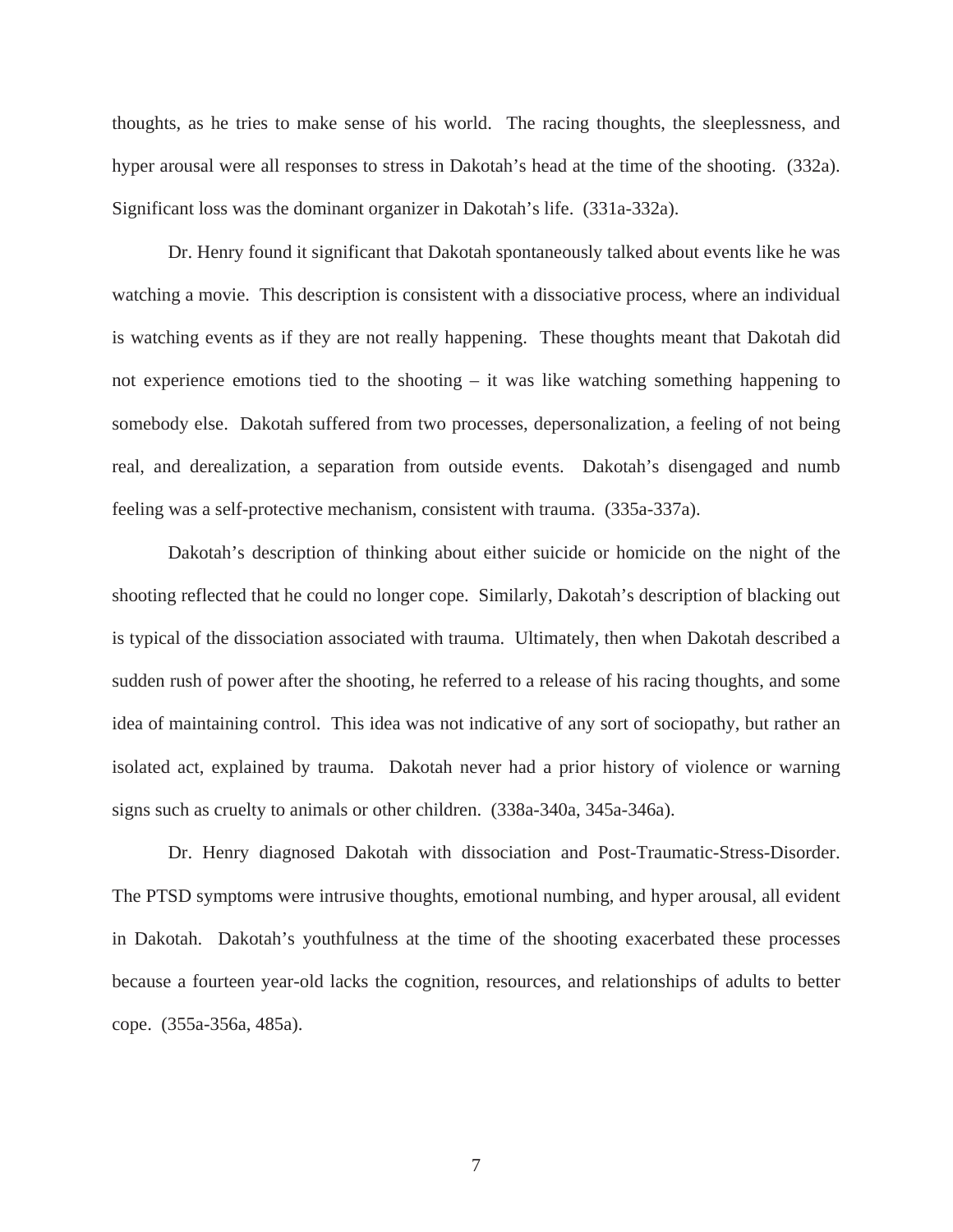thoughts, as he tries to make sense of his world. The racing thoughts, the sleeplessness, and hyper arousal were all responses to stress in Dakotah's head at the time of the shooting. (332a). Significant loss was the dominant organizer in Dakotah's life. (331a-332a).

 Dr. Henry found it significant that Dakotah spontaneously talked about events like he was watching a movie. This description is consistent with a dissociative process, where an individual is watching events as if they are not really happening. These thoughts meant that Dakotah did not experience emotions tied to the shooting – it was like watching something happening to somebody else. Dakotah suffered from two processes, depersonalization, a feeling of not being real, and derealization, a separation from outside events. Dakotah's disengaged and numb feeling was a self-protective mechanism, consistent with trauma. (335a-337a).

 Dakotah's description of thinking about either suicide or homicide on the night of the shooting reflected that he could no longer cope. Similarly, Dakotah's description of blacking out is typical of the dissociation associated with trauma. Ultimately, then when Dakotah described a sudden rush of power after the shooting, he referred to a release of his racing thoughts, and some idea of maintaining control. This idea was not indicative of any sort of sociopathy, but rather an isolated act, explained by trauma. Dakotah never had a prior history of violence or warning signs such as cruelty to animals or other children. (338a-340a, 345a-346a).

 Dr. Henry diagnosed Dakotah with dissociation and Post-Traumatic-Stress-Disorder. The PTSD symptoms were intrusive thoughts, emotional numbing, and hyper arousal, all evident in Dakotah. Dakotah's youthfulness at the time of the shooting exacerbated these processes because a fourteen year-old lacks the cognition, resources, and relationships of adults to better cope. (355a-356a, 485a).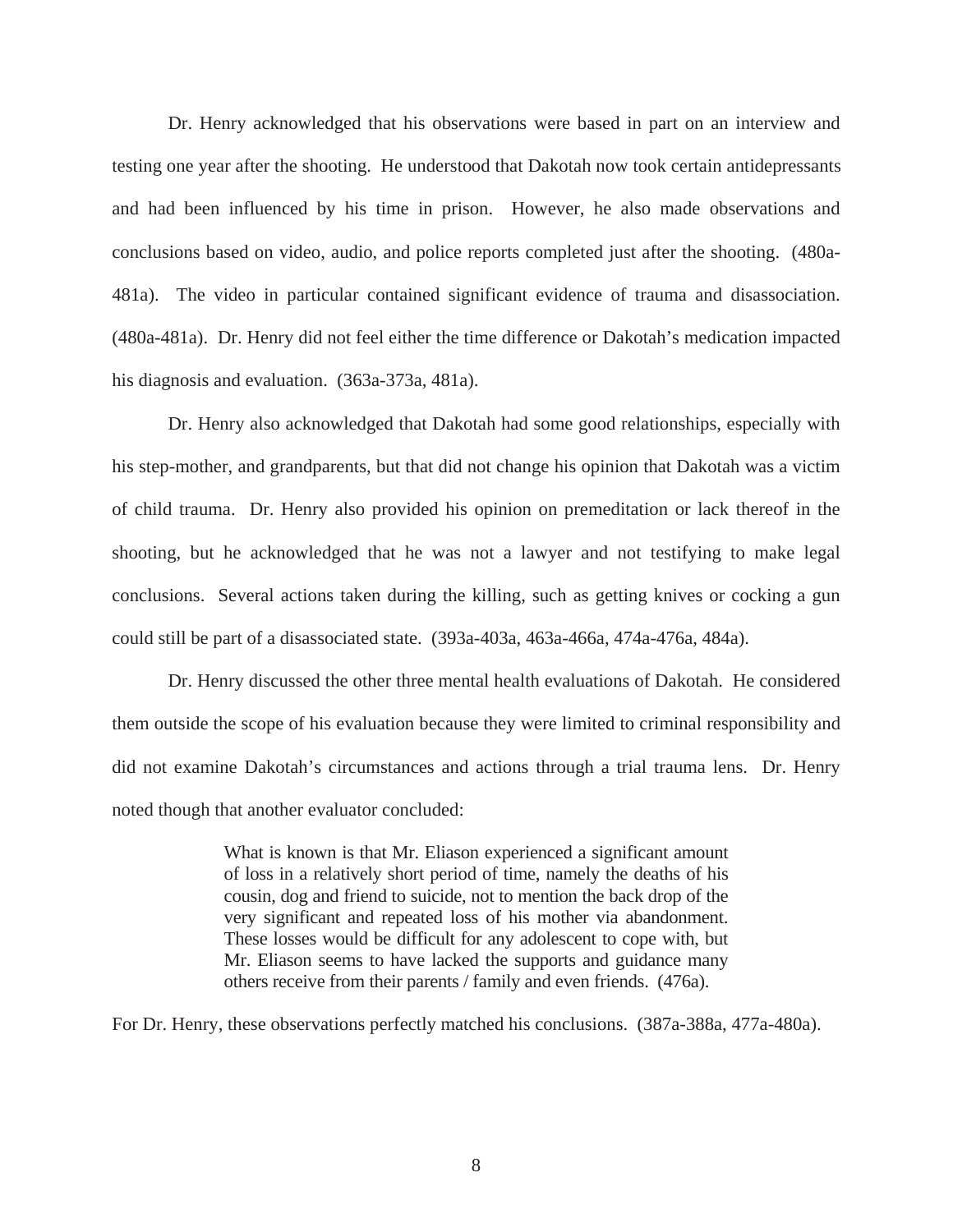Dr. Henry acknowledged that his observations were based in part on an interview and testing one year after the shooting. He understood that Dakotah now took certain antidepressants and had been influenced by his time in prison. However, he also made observations and conclusions based on video, audio, and police reports completed just after the shooting. (480a-481a). The video in particular contained significant evidence of trauma and disassociation. (480a-481a). Dr. Henry did not feel either the time difference or Dakotah's medication impacted his diagnosis and evaluation. (363a-373a, 481a).

 Dr. Henry also acknowledged that Dakotah had some good relationships, especially with his step-mother, and grandparents, but that did not change his opinion that Dakotah was a victim of child trauma. Dr. Henry also provided his opinion on premeditation or lack thereof in the shooting, but he acknowledged that he was not a lawyer and not testifying to make legal conclusions. Several actions taken during the killing, such as getting knives or cocking a gun could still be part of a disassociated state. (393a-403a, 463a-466a, 474a-476a, 484a).

Dr. Henry discussed the other three mental health evaluations of Dakotah. He considered them outside the scope of his evaluation because they were limited to criminal responsibility and did not examine Dakotah's circumstances and actions through a trial trauma lens. Dr. Henry noted though that another evaluator concluded:

> What is known is that Mr. Eliason experienced a significant amount of loss in a relatively short period of time, namely the deaths of his cousin, dog and friend to suicide, not to mention the back drop of the very significant and repeated loss of his mother via abandonment. These losses would be difficult for any adolescent to cope with, but Mr. Eliason seems to have lacked the supports and guidance many others receive from their parents / family and even friends. (476a).

For Dr. Henry, these observations perfectly matched his conclusions. (387a-388a, 477a-480a).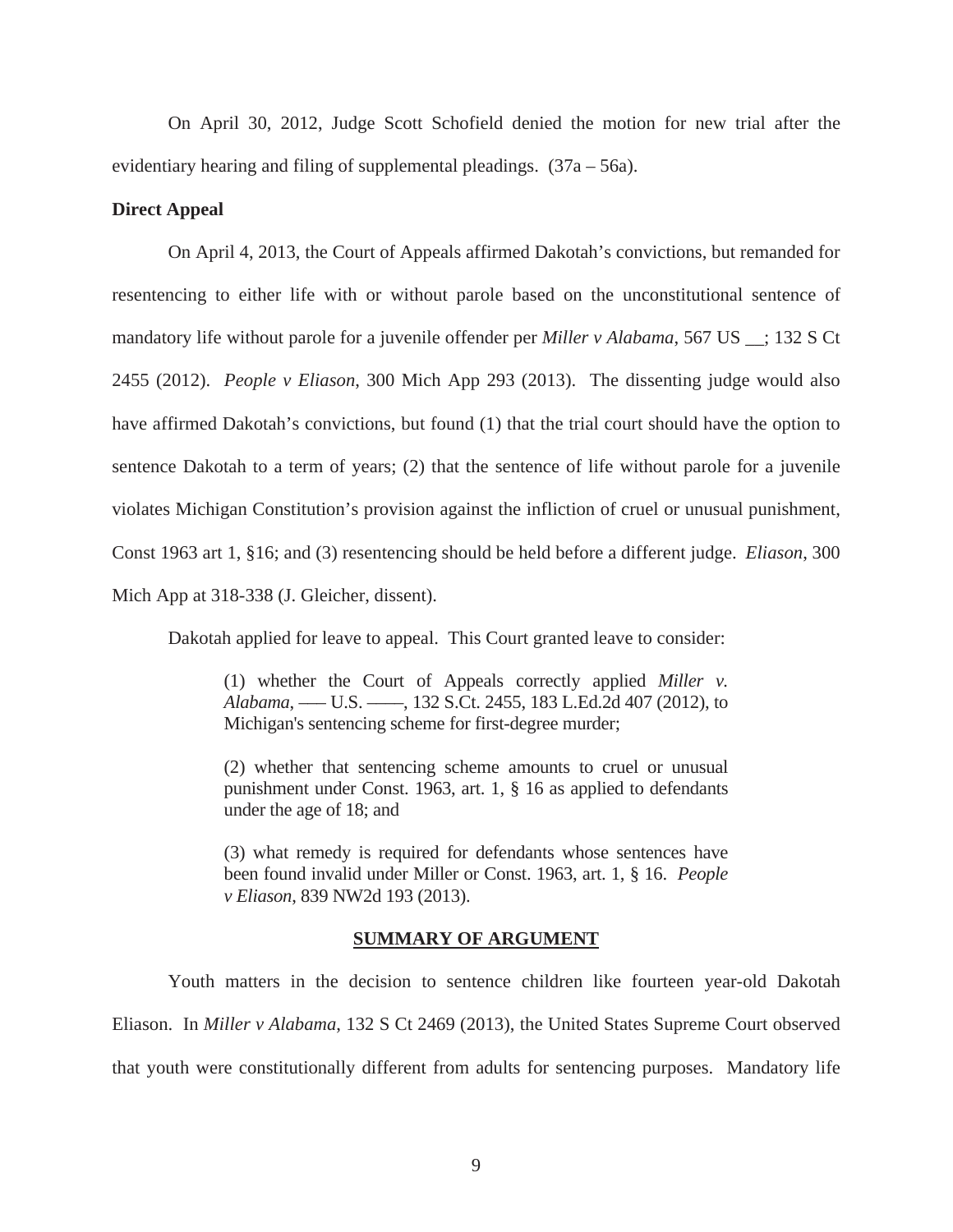On April 30, 2012, Judge Scott Schofield denied the motion for new trial after the evidentiary hearing and filing of supplemental pleadings.  $(37a - 56a)$ .

#### **Direct Appeal**

On April 4, 2013, the Court of Appeals affirmed Dakotah's convictions, but remanded for resentencing to either life with or without parole based on the unconstitutional sentence of mandatory life without parole for a juvenile offender per *Miller v Alabama*, 567 US \_\_; 132 S Ct 2455 (2012). *People v Eliason*, 300 Mich App 293 (2013). The dissenting judge would also have affirmed Dakotah's convictions, but found (1) that the trial court should have the option to sentence Dakotah to a term of years; (2) that the sentence of life without parole for a juvenile violates Michigan Constitution's provision against the infliction of cruel or unusual punishment, Const 1963 art 1, §16; and (3) resentencing should be held before a different judge. *Eliason*, 300 Mich App at 318-338 (J. Gleicher, dissent).

Dakotah applied for leave to appeal. This Court granted leave to consider:

(1) whether the Court of Appeals correctly applied *Miller v. Alabama*, ––– U.S. ––––, 132 S.Ct. 2455, 183 L.Ed.2d 407 (2012), to Michigan's sentencing scheme for first-degree murder;

(2) whether that sentencing scheme amounts to cruel or unusual punishment under Const. 1963, art. 1, § 16 as applied to defendants under the age of 18; and

(3) what remedy is required for defendants whose sentences have been found invalid under Miller or Const. 1963, art. 1, § 16. *People v Eliason*, 839 NW2d 193 (2013).

#### **SUMMARY OF ARGUMENT**

 Youth matters in the decision to sentence children like fourteen year-old Dakotah Eliason. In *Miller v Alabama*, 132 S Ct 2469 (2013), the United States Supreme Court observed that youth were constitutionally different from adults for sentencing purposes. Mandatory life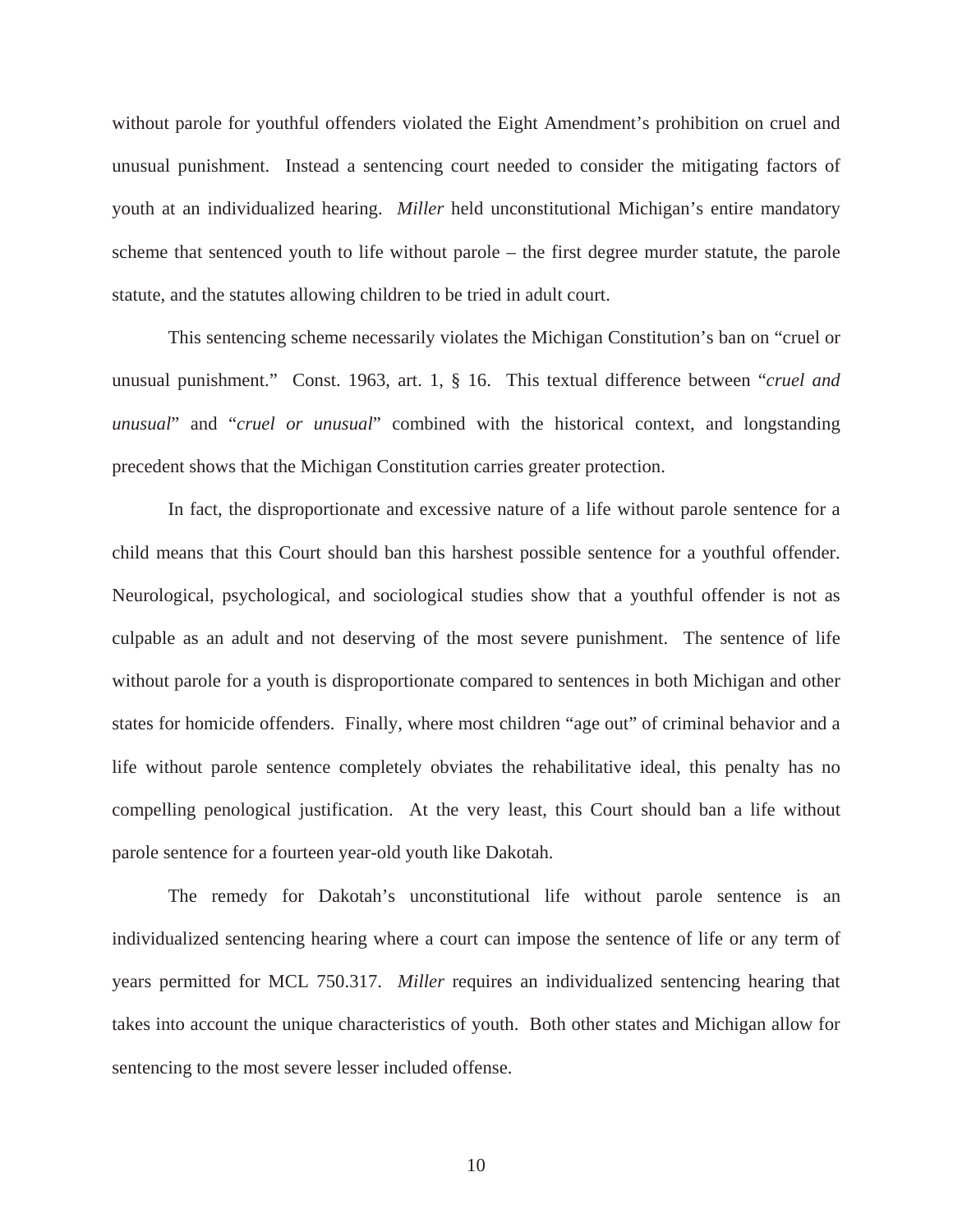without parole for youthful offenders violated the Eight Amendment's prohibition on cruel and unusual punishment. Instead a sentencing court needed to consider the mitigating factors of youth at an individualized hearing. *Miller* held unconstitutional Michigan's entire mandatory scheme that sentenced youth to life without parole – the first degree murder statute, the parole statute, and the statutes allowing children to be tried in adult court.

 This sentencing scheme necessarily violates the Michigan Constitution's ban on "cruel or unusual punishment." Const. 1963, art. 1, § 16. This textual difference between "*cruel and unusual*" and "*cruel or unusual*" combined with the historical context, and longstanding precedent shows that the Michigan Constitution carries greater protection.

 In fact, the disproportionate and excessive nature of a life without parole sentence for a child means that this Court should ban this harshest possible sentence for a youthful offender. Neurological, psychological, and sociological studies show that a youthful offender is not as culpable as an adult and not deserving of the most severe punishment. The sentence of life without parole for a youth is disproportionate compared to sentences in both Michigan and other states for homicide offenders. Finally, where most children "age out" of criminal behavior and a life without parole sentence completely obviates the rehabilitative ideal, this penalty has no compelling penological justification. At the very least, this Court should ban a life without parole sentence for a fourteen year-old youth like Dakotah.

 The remedy for Dakotah's unconstitutional life without parole sentence is an individualized sentencing hearing where a court can impose the sentence of life or any term of years permitted for MCL 750.317. *Miller* requires an individualized sentencing hearing that takes into account the unique characteristics of youth. Both other states and Michigan allow for sentencing to the most severe lesser included offense.

10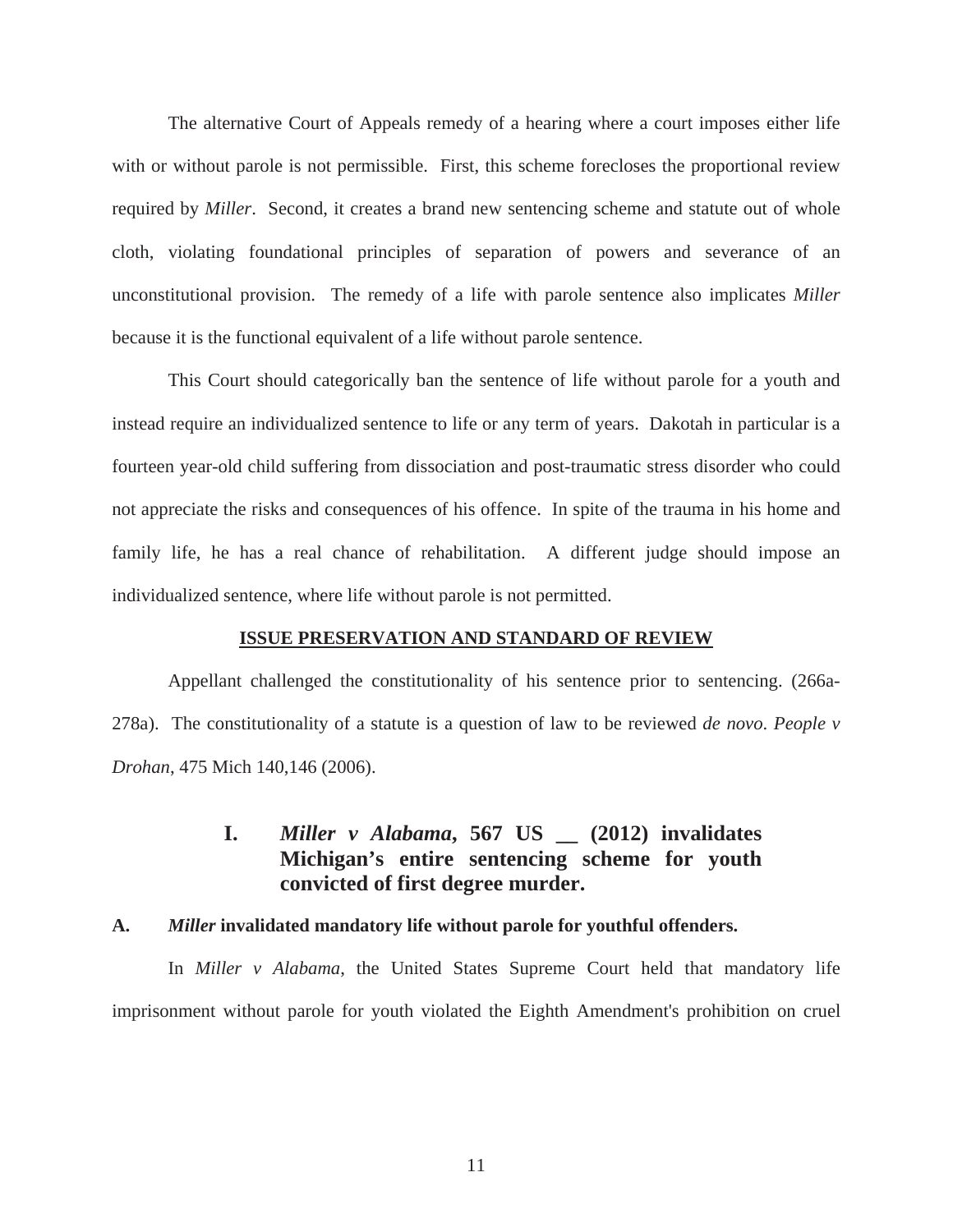The alternative Court of Appeals remedy of a hearing where a court imposes either life with or without parole is not permissible. First, this scheme forecloses the proportional review required by *Miller*. Second, it creates a brand new sentencing scheme and statute out of whole cloth, violating foundational principles of separation of powers and severance of an unconstitutional provision. The remedy of a life with parole sentence also implicates *Miller* because it is the functional equivalent of a life without parole sentence.

 This Court should categorically ban the sentence of life without parole for a youth and instead require an individualized sentence to life or any term of years. Dakotah in particular is a fourteen year-old child suffering from dissociation and post-traumatic stress disorder who could not appreciate the risks and consequences of his offence. In spite of the trauma in his home and family life, he has a real chance of rehabilitation. A different judge should impose an individualized sentence, where life without parole is not permitted.

#### **ISSUE PRESERVATION AND STANDARD OF REVIEW**

Appellant challenged the constitutionality of his sentence prior to sentencing. (266a-278a). The constitutionality of a statute is a question of law to be reviewed *de novo*. *People v Drohan*, 475 Mich 140,146 (2006).

# **I.** *Miller v Alabama***, 567 US \_\_ (2012) invalidates Michigan's entire sentencing scheme for youth convicted of first degree murder.**

#### **A.** *Miller* **invalidated mandatory life without parole for youthful offenders.**

In *Miller v Alabama*, the United States Supreme Court held that mandatory life imprisonment without parole for youth violated the Eighth Amendment's prohibition on cruel

11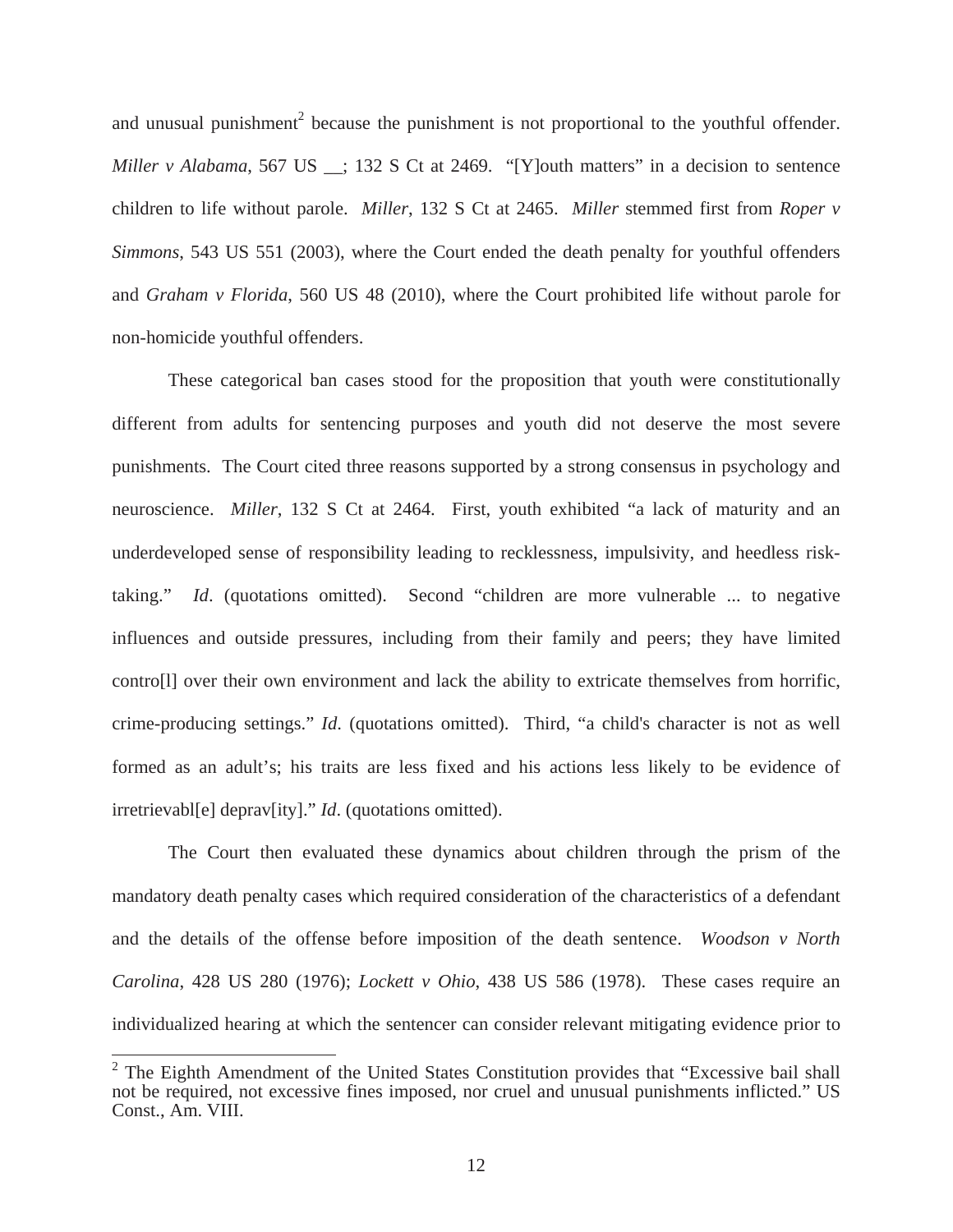and unusual punishment<sup>2</sup> because the punishment is not proportional to the youthful offender. *Miller v Alabama*, 567 US \_; 132 S Ct at 2469. "[Y]outh matters" in a decision to sentence children to life without parole. *Miller*, 132 S Ct at 2465. *Miller* stemmed first from *Roper v Simmons*, 543 US 551 (2003), where the Court ended the death penalty for youthful offenders and *Graham v Florida*, 560 US 48 (2010), where the Court prohibited life without parole for non-homicide youthful offenders.

These categorical ban cases stood for the proposition that youth were constitutionally different from adults for sentencing purposes and youth did not deserve the most severe punishments. The Court cited three reasons supported by a strong consensus in psychology and neuroscience. *Miller*, 132 S Ct at 2464. First, youth exhibited "a lack of maturity and an underdeveloped sense of responsibility leading to recklessness, impulsivity, and heedless risktaking." *Id*. (quotations omitted). Second "children are more vulnerable ... to negative influences and outside pressures, including from their family and peers; they have limited contro[l] over their own environment and lack the ability to extricate themselves from horrific, crime-producing settings." *Id*. (quotations omitted). Third, "a child's character is not as well formed as an adult's; his traits are less fixed and his actions less likely to be evidence of irretrievabl[e] deprav[ity]." *Id*. (quotations omitted).

The Court then evaluated these dynamics about children through the prism of the mandatory death penalty cases which required consideration of the characteristics of a defendant and the details of the offense before imposition of the death sentence. *Woodson v North Carolina*, 428 US 280 (1976); *Lockett v Ohio*, 438 US 586 (1978). These cases require an individualized hearing at which the sentencer can consider relevant mitigating evidence prior to

 $2$  The Eighth Amendment of the United States Constitution provides that "Excessive bail shall not be required, not excessive fines imposed, nor cruel and unusual punishments inflicted." US Const., Am. VIII.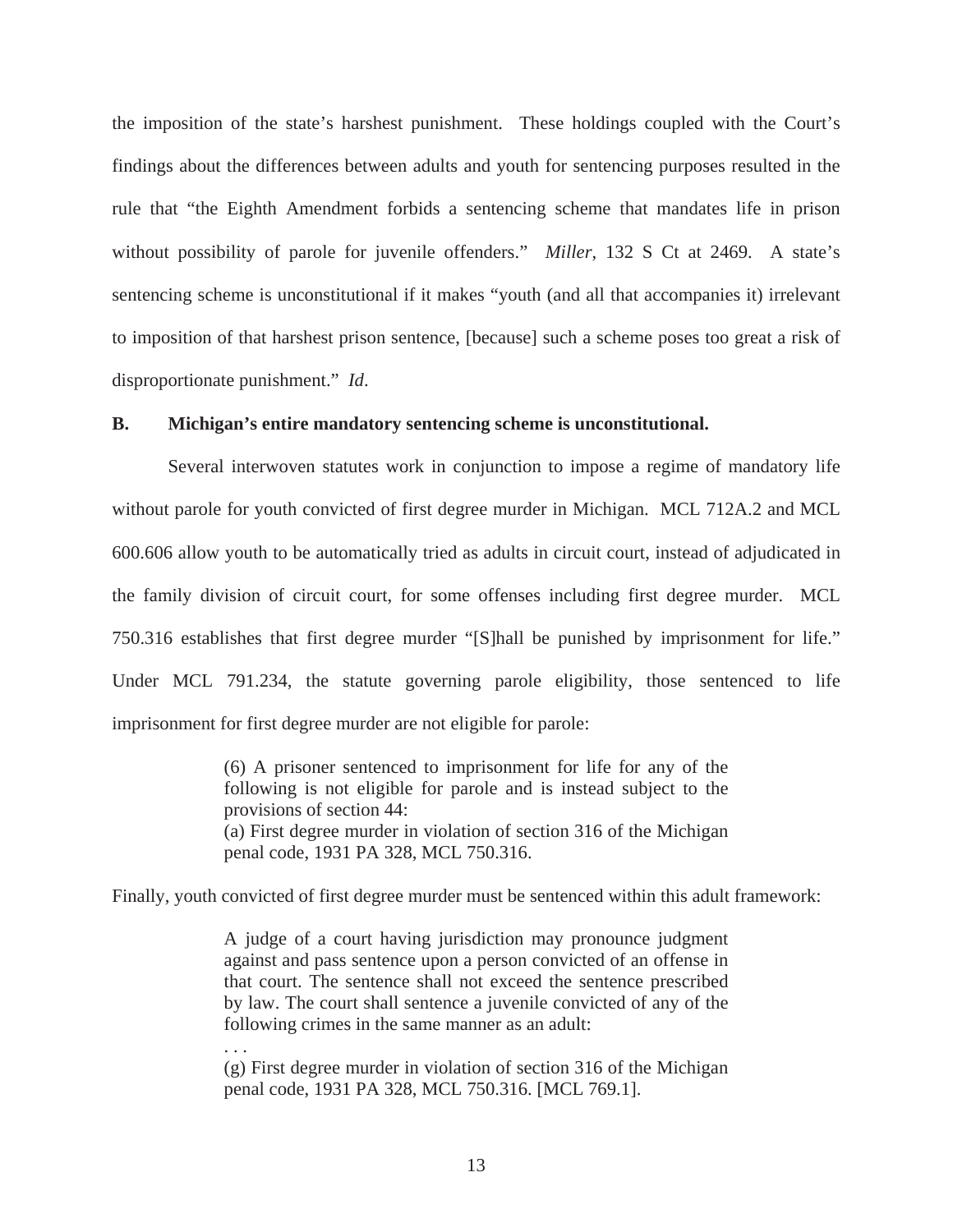the imposition of the state's harshest punishment. These holdings coupled with the Court's findings about the differences between adults and youth for sentencing purposes resulted in the rule that "the Eighth Amendment forbids a sentencing scheme that mandates life in prison without possibility of parole for juvenile offenders." *Miller*, 132 S Ct at 2469. A state's sentencing scheme is unconstitutional if it makes "youth (and all that accompanies it) irrelevant to imposition of that harshest prison sentence, [because] such a scheme poses too great a risk of disproportionate punishment." *Id*.

### **B. Michigan's entire mandatory sentencing scheme is unconstitutional.**

Several interwoven statutes work in conjunction to impose a regime of mandatory life without parole for youth convicted of first degree murder in Michigan. MCL 712A.2 and MCL 600.606 allow youth to be automatically tried as adults in circuit court, instead of adjudicated in the family division of circuit court, for some offenses including first degree murder. MCL 750.316 establishes that first degree murder "[S]hall be punished by imprisonment for life." Under MCL 791.234, the statute governing parole eligibility, those sentenced to life imprisonment for first degree murder are not eligible for parole:

> (6) A prisoner sentenced to imprisonment for life for any of the following is not eligible for parole and is instead subject to the provisions of section 44: (a) First degree murder in violation of section 316 of the Michigan penal code, 1931 PA 328, MCL 750.316.

Finally, youth convicted of first degree murder must be sentenced within this adult framework:

A judge of a court having jurisdiction may pronounce judgment against and pass sentence upon a person convicted of an offense in that court. The sentence shall not exceed the sentence prescribed by law. The court shall sentence a juvenile convicted of any of the following crimes in the same manner as an adult:

(g) First degree murder in violation of section 316 of the Michigan penal code, 1931 PA 328, MCL 750.316. [MCL 769.1].

. . .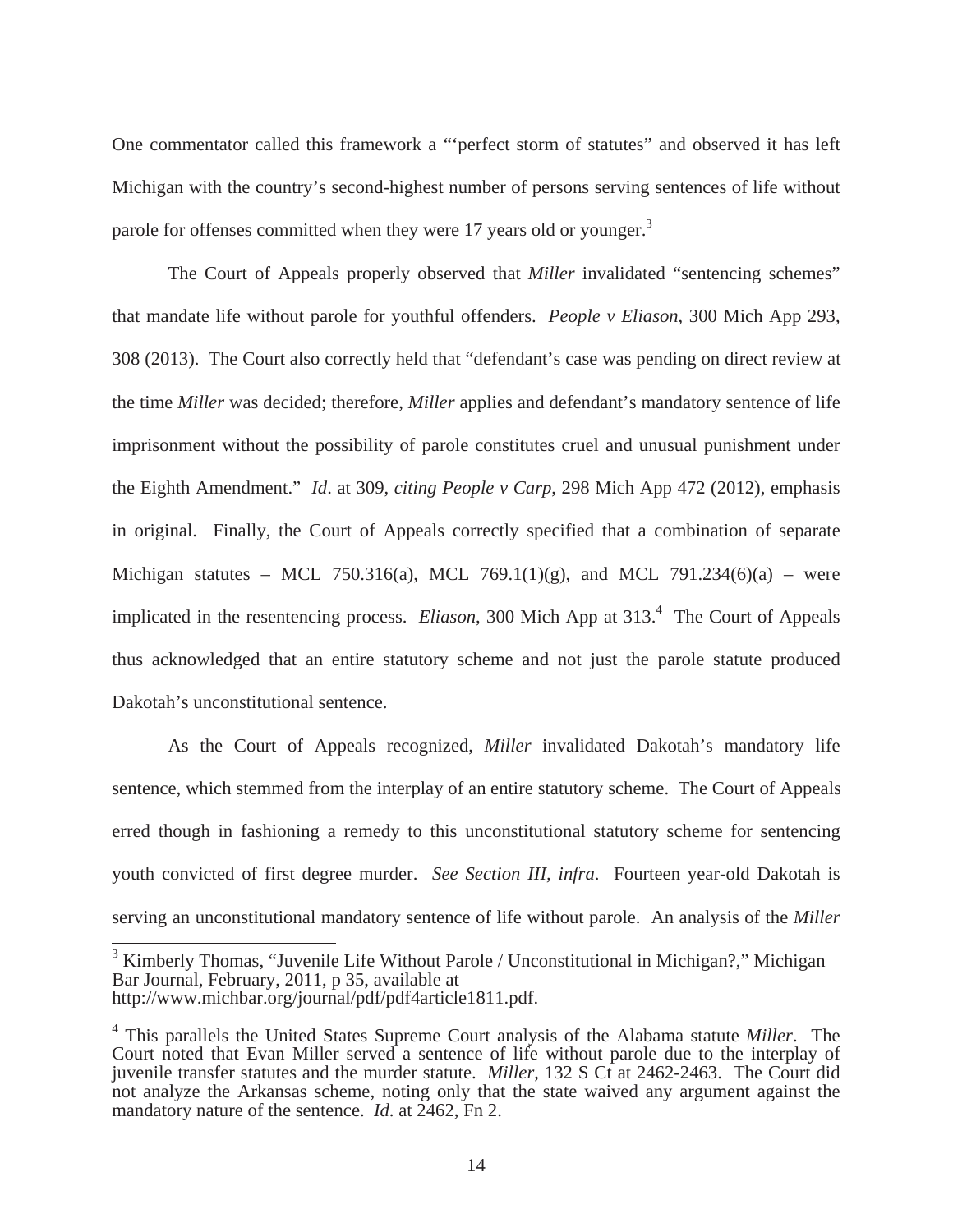One commentator called this framework a "'perfect storm of statutes" and observed it has left Michigan with the country's second-highest number of persons serving sentences of life without parole for offenses committed when they were 17 years old or younger.<sup>3</sup>

 The Court of Appeals properly observed that *Miller* invalidated "sentencing schemes" that mandate life without parole for youthful offenders. *People v Eliason*, 300 Mich App 293, 308 (2013). The Court also correctly held that "defendant's case was pending on direct review at the time *Miller* was decided; therefore, *Miller* applies and defendant's mandatory sentence of life imprisonment without the possibility of parole constitutes cruel and unusual punishment under the Eighth Amendment." *Id*. at 309, *citing People v Carp*, 298 Mich App 472 (2012), emphasis in original. Finally, the Court of Appeals correctly specified that a combination of separate Michigan statutes – MCL 750.316(a), MCL 769.1(1)(g), and MCL 791.234(6)(a) – were implicated in the resentencing process. *Eliason*, 300 Mich App at 313.<sup>4</sup> The Court of Appeals thus acknowledged that an entire statutory scheme and not just the parole statute produced Dakotah's unconstitutional sentence.

 As the Court of Appeals recognized, *Miller* invalidated Dakotah's mandatory life sentence, which stemmed from the interplay of an entire statutory scheme. The Court of Appeals erred though in fashioning a remedy to this unconstitutional statutory scheme for sentencing youth convicted of first degree murder. *See Section III, infra*. Fourteen year-old Dakotah is serving an unconstitutional mandatory sentence of life without parole. An analysis of the *Miller*

<sup>3</sup> Kimberly Thomas, "Juvenile Life Without Parole / Unconstitutional in Michigan?," Michigan Bar Journal, February, 2011, p 35, available at http://www.michbar.org/journal/pdf/pdf4article1811.pdf.

<sup>4</sup> This parallels the United States Supreme Court analysis of the Alabama statute *Miller*. The Court noted that Evan Miller served a sentence of life without parole due to the interplay of juvenile transfer statutes and the murder statute. *Miller*, 132 S Ct at 2462-2463. The Court did not analyze the Arkansas scheme, noting only that the state waived any argument against the mandatory nature of the sentence. *Id*. at 2462, Fn 2.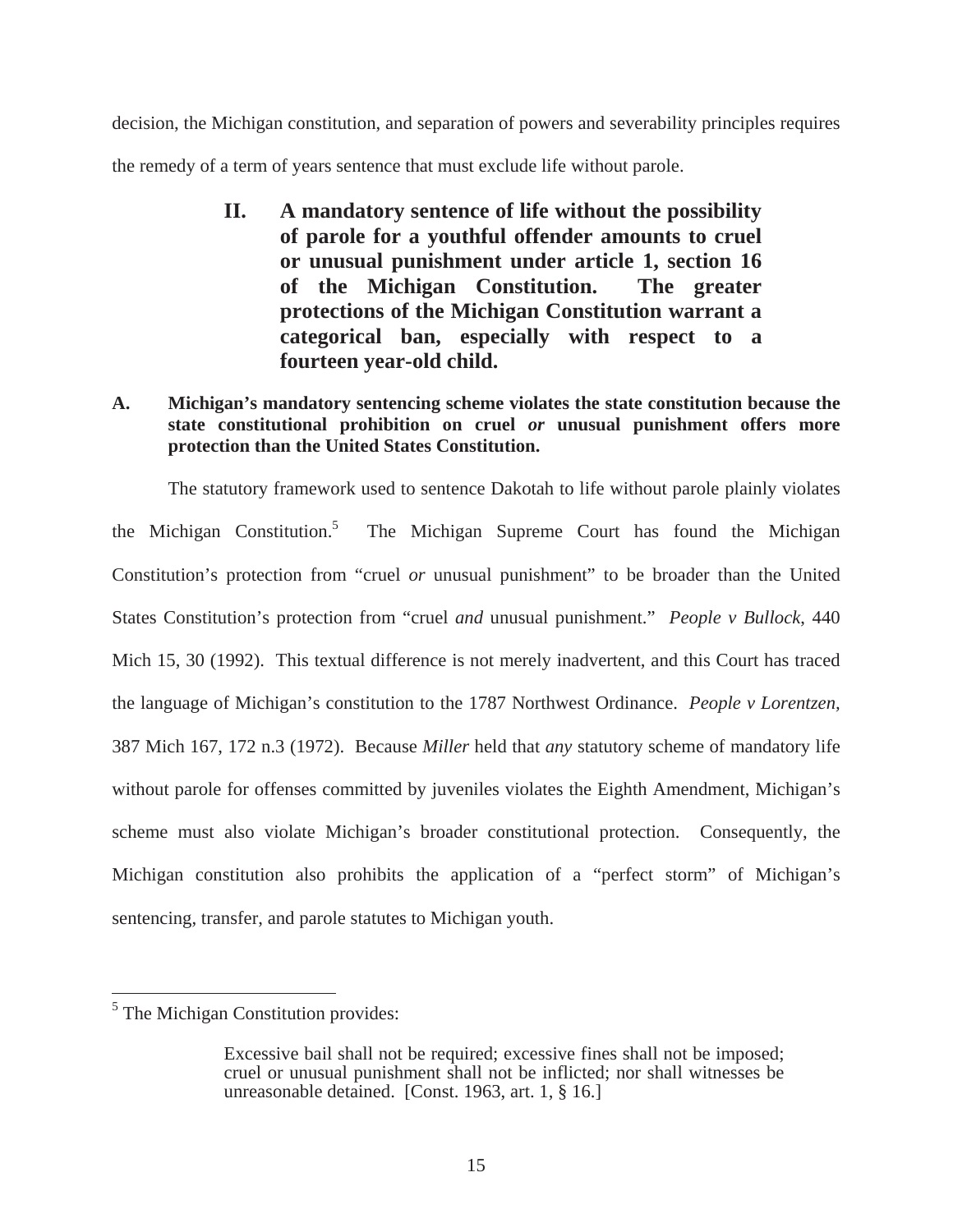decision, the Michigan constitution, and separation of powers and severability principles requires the remedy of a term of years sentence that must exclude life without parole.

- **II. A mandatory sentence of life without the possibility of parole for a youthful offender amounts to cruel or unusual punishment under article 1, section 16 of the Michigan Constitution. The greater protections of the Michigan Constitution warrant a categorical ban, especially with respect to a fourteen year-old child.**
- **A. Michigan's mandatory sentencing scheme violates the state constitution because the state constitutional prohibition on cruel** *or* **unusual punishment offers more protection than the United States Constitution.**

The statutory framework used to sentence Dakotah to life without parole plainly violates the Michigan Constitution.<sup>5</sup> The Michigan Supreme Court has found the Michigan Constitution's protection from "cruel *or* unusual punishment" to be broader than the United States Constitution's protection from "cruel *and* unusual punishment." *People v Bullock*, 440 Mich 15, 30 (1992). This textual difference is not merely inadvertent, and this Court has traced the language of Michigan's constitution to the 1787 Northwest Ordinance. *People v Lorentzen,* 387 Mich 167, 172 n.3 (1972). Because *Miller* held that *any* statutory scheme of mandatory life without parole for offenses committed by juveniles violates the Eighth Amendment, Michigan's scheme must also violate Michigan's broader constitutional protection. Consequently, the Michigan constitution also prohibits the application of a "perfect storm" of Michigan's sentencing, transfer, and parole statutes to Michigan youth.

<sup>&</sup>lt;sup>5</sup> The Michigan Constitution provides:

Excessive bail shall not be required; excessive fines shall not be imposed; cruel or unusual punishment shall not be inflicted; nor shall witnesses be unreasonable detained. [Const. 1963, art. 1, § 16.]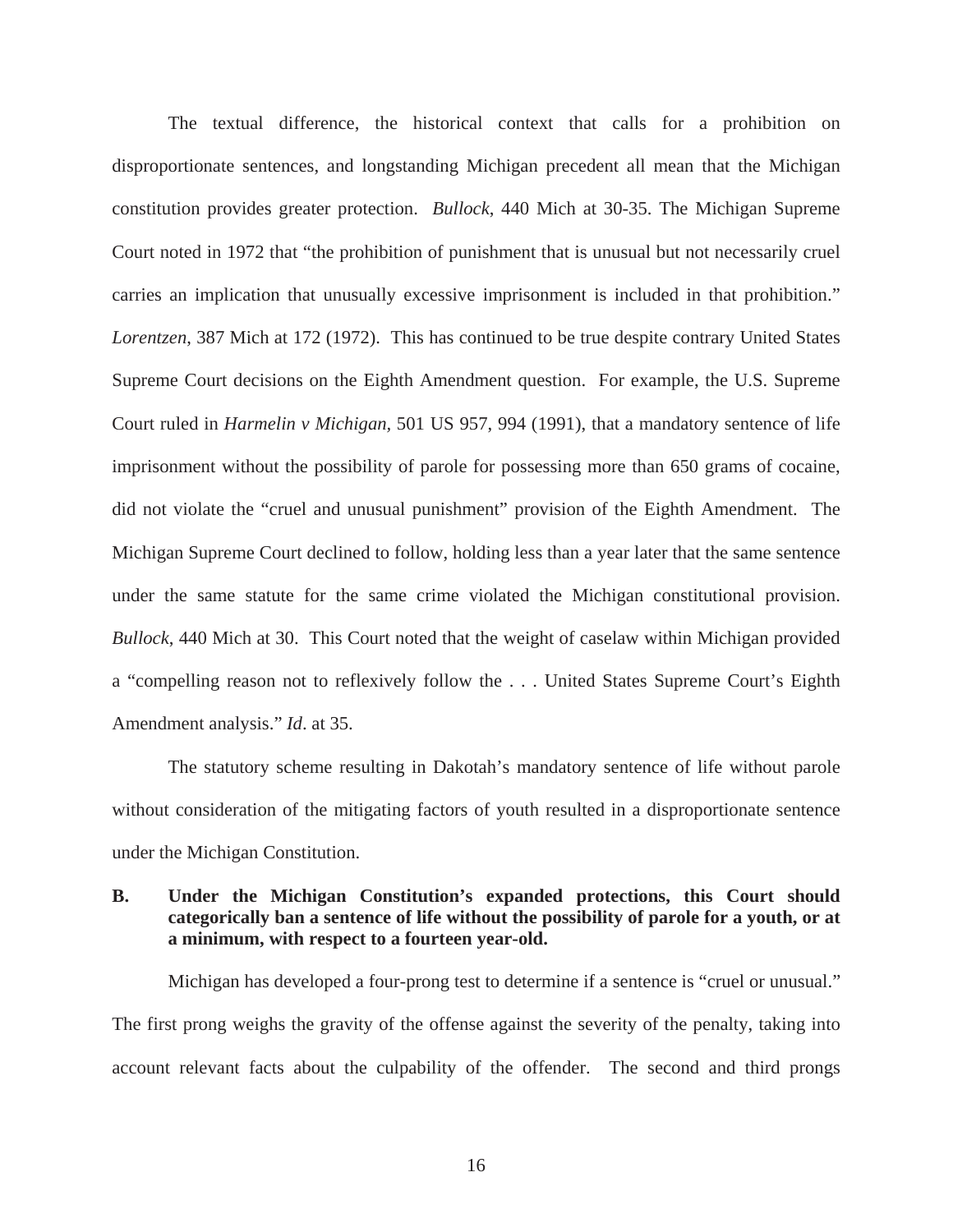The textual difference, the historical context that calls for a prohibition on disproportionate sentences, and longstanding Michigan precedent all mean that the Michigan constitution provides greater protection. *Bullock*, 440 Mich at 30-35. The Michigan Supreme Court noted in 1972 that "the prohibition of punishment that is unusual but not necessarily cruel carries an implication that unusually excessive imprisonment is included in that prohibition." *Lorentzen*, 387 Mich at 172 (1972). This has continued to be true despite contrary United States Supreme Court decisions on the Eighth Amendment question. For example, the U.S. Supreme Court ruled in *Harmelin v Michigan,* 501 US 957, 994 (1991), that a mandatory sentence of life imprisonment without the possibility of parole for possessing more than 650 grams of cocaine, did not violate the "cruel and unusual punishment" provision of the Eighth Amendment. The Michigan Supreme Court declined to follow, holding less than a year later that the same sentence under the same statute for the same crime violated the Michigan constitutional provision. *Bullock*, 440 Mich at 30. This Court noted that the weight of caselaw within Michigan provided a "compelling reason not to reflexively follow the . . . United States Supreme Court's Eighth Amendment analysis." *Id*. at 35.

The statutory scheme resulting in Dakotah's mandatory sentence of life without parole without consideration of the mitigating factors of youth resulted in a disproportionate sentence under the Michigan Constitution.

## **B. Under the Michigan Constitution's expanded protections, this Court should categorically ban a sentence of life without the possibility of parole for a youth, or at a minimum, with respect to a fourteen year-old.**

Michigan has developed a four-prong test to determine if a sentence is "cruel or unusual." The first prong weighs the gravity of the offense against the severity of the penalty, taking into account relevant facts about the culpability of the offender. The second and third prongs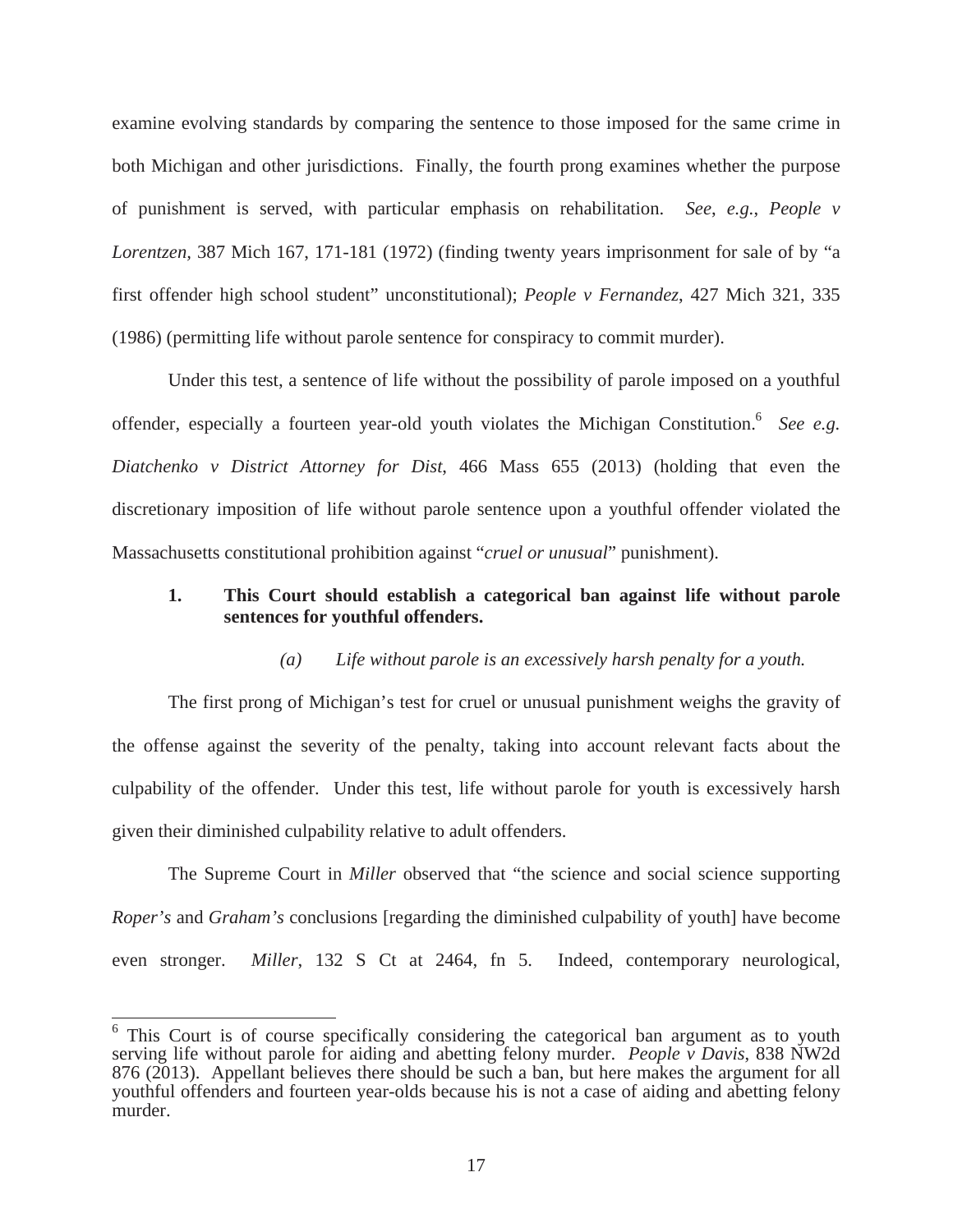examine evolving standards by comparing the sentence to those imposed for the same crime in both Michigan and other jurisdictions. Finally, the fourth prong examines whether the purpose of punishment is served, with particular emphasis on rehabilitation. *See*, *e.g.*, *People v Lorentzen,* 387 Mich 167, 171-181 (1972) (finding twenty years imprisonment for sale of by "a first offender high school student" unconstitutional); *People v Fernandez*, 427 Mich 321, 335 (1986) (permitting life without parole sentence for conspiracy to commit murder).

Under this test, a sentence of life without the possibility of parole imposed on a youthful offender, especially a fourteen year-old youth violates the Michigan Constitution.6 *See e.g. Diatchenko v District Attorney for Dist*, 466 Mass 655 (2013) (holding that even the discretionary imposition of life without parole sentence upon a youthful offender violated the Massachusetts constitutional prohibition against "*cruel or unusual*" punishment).

## **1. This Court should establish a categorical ban against life without parole sentences for youthful offenders.**

#### *(a) Life without parole is an excessively harsh penalty for a youth.*

 The first prong of Michigan's test for cruel or unusual punishment weighs the gravity of the offense against the severity of the penalty, taking into account relevant facts about the culpability of the offender. Under this test, life without parole for youth is excessively harsh given their diminished culpability relative to adult offenders.

 The Supreme Court in *Miller* observed that "the science and social science supporting *Roper's* and *Graham's* conclusions [regarding the diminished culpability of youth] have become even stronger. *Miller*, 132 S Ct at 2464, fn 5. Indeed, contemporary neurological,

<sup>&</sup>lt;sup>6</sup> This Court is of course specifically considering the categorical ban argument as to youth serving life without parole for aiding and abetting felony murder. *People v Davis*, 838 NW2d 876 (2013). Appellant believes there should be such a ban, but here makes the argument for all youthful offenders and fourteen year-olds because his is not a case of aiding and abetting felony murder.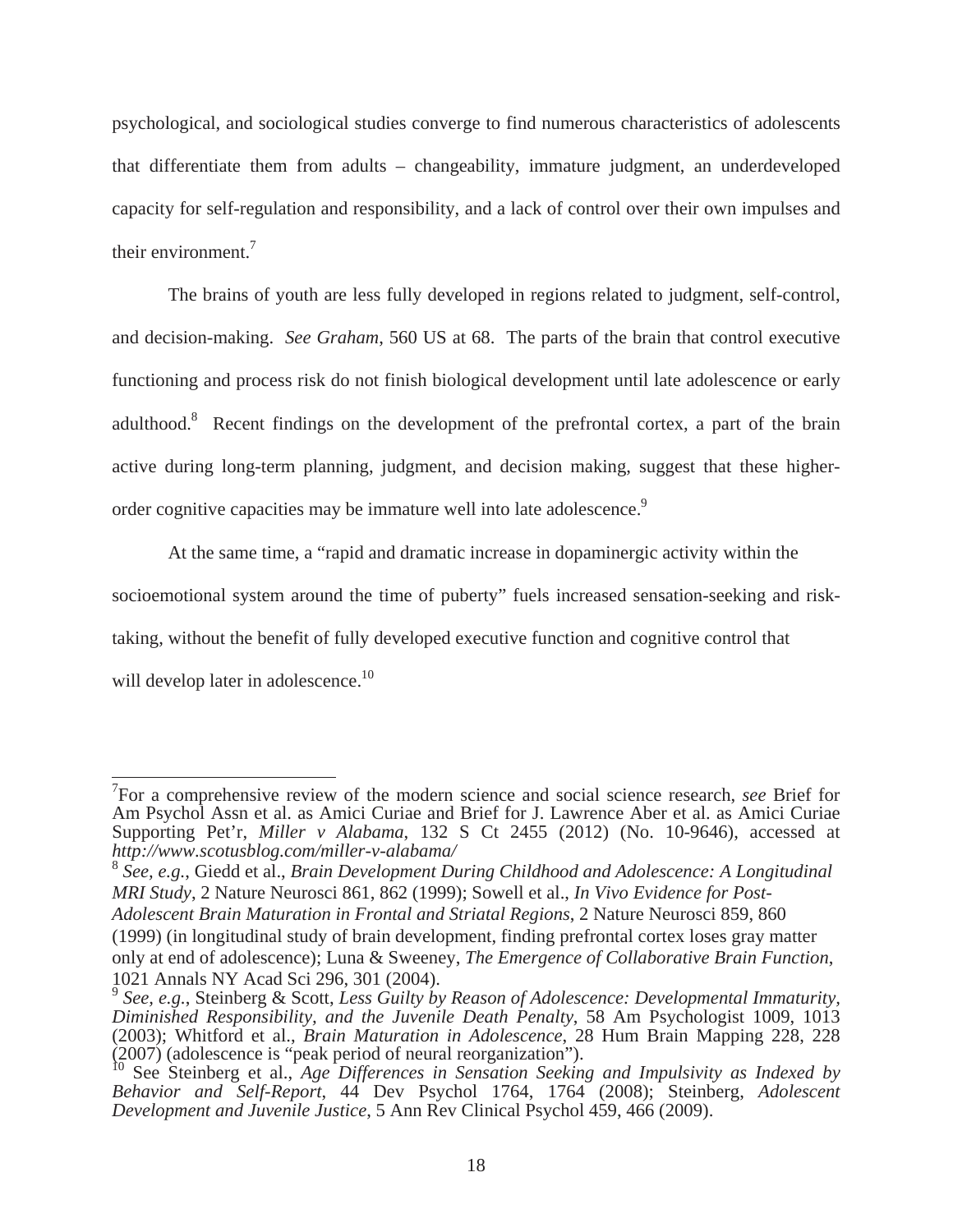psychological, and sociological studies converge to find numerous characteristics of adolescents that differentiate them from adults – changeability, immature judgment, an underdeveloped capacity for self-regulation and responsibility, and a lack of control over their own impulses and their environment.7

The brains of youth are less fully developed in regions related to judgment, self-control, and decision-making. *See Graham*, 560 US at 68. The parts of the brain that control executive functioning and process risk do not finish biological development until late adolescence or early adulthood.<sup>8</sup> Recent findings on the development of the prefrontal cortex, a part of the brain active during long-term planning, judgment, and decision making, suggest that these higherorder cognitive capacities may be immature well into late adolescence.<sup>9</sup>

At the same time, a "rapid and dramatic increase in dopaminergic activity within the socioemotional system around the time of puberty" fuels increased sensation-seeking and risktaking, without the benefit of fully developed executive function and cognitive control that will develop later in adolescence.<sup>10</sup>

<sup>7</sup> For a comprehensive review of the modern science and social science research, *see* Brief for Am Psychol Assn et al. as Amici Curiae and Brief for J. Lawrence Aber et al. as Amici Curiae Supporting Pet'r, *Miller v Alabama*, 132 S Ct 2455 (2012) (No. 10-9646), accessed at *http://www.scotusblog.com/miller-v-alabama/* 

<sup>8</sup> *See, e.g.*, Giedd et al., *Brain Development During Childhood and Adolescence: A Longitudinal MRI Study*, 2 Nature Neurosci 861, 862 (1999); Sowell et al., *In Vivo Evidence for Post-Adolescent Brain Maturation in Frontal and Striatal Regions*, 2 Nature Neurosci 859, 860

<sup>(1999) (</sup>in longitudinal study of brain development, finding prefrontal cortex loses gray matter only at end of adolescence); Luna & Sweeney, *The Emergence of Collaborative Brain Function*, 1021 Annals NY Acad Sci 296, 301 (2004).

<sup>9</sup> *See, e.g.*, Steinberg & Scott, *Less Guilty by Reason of Adolescence: Developmental Immaturity, Diminished Responsibility, and the Juvenile Death Penalty*, 58 Am Psychologist 1009, 1013 (2003); Whitford et al., *Brain Maturation in Adolescence*, 28 Hum Brain Mapping 228, 228 (2007) (adolescence is "peak period of neural reorganization").

<sup>10</sup> See Steinberg et al., *Age Differences in Sensation Seeking and Impulsivity as Indexed by Behavior and Self-Report*, 44 Dev Psychol 1764, 1764 (2008); Steinberg, *Adolescent Development and Juvenile Justice*, 5 Ann Rev Clinical Psychol 459, 466 (2009).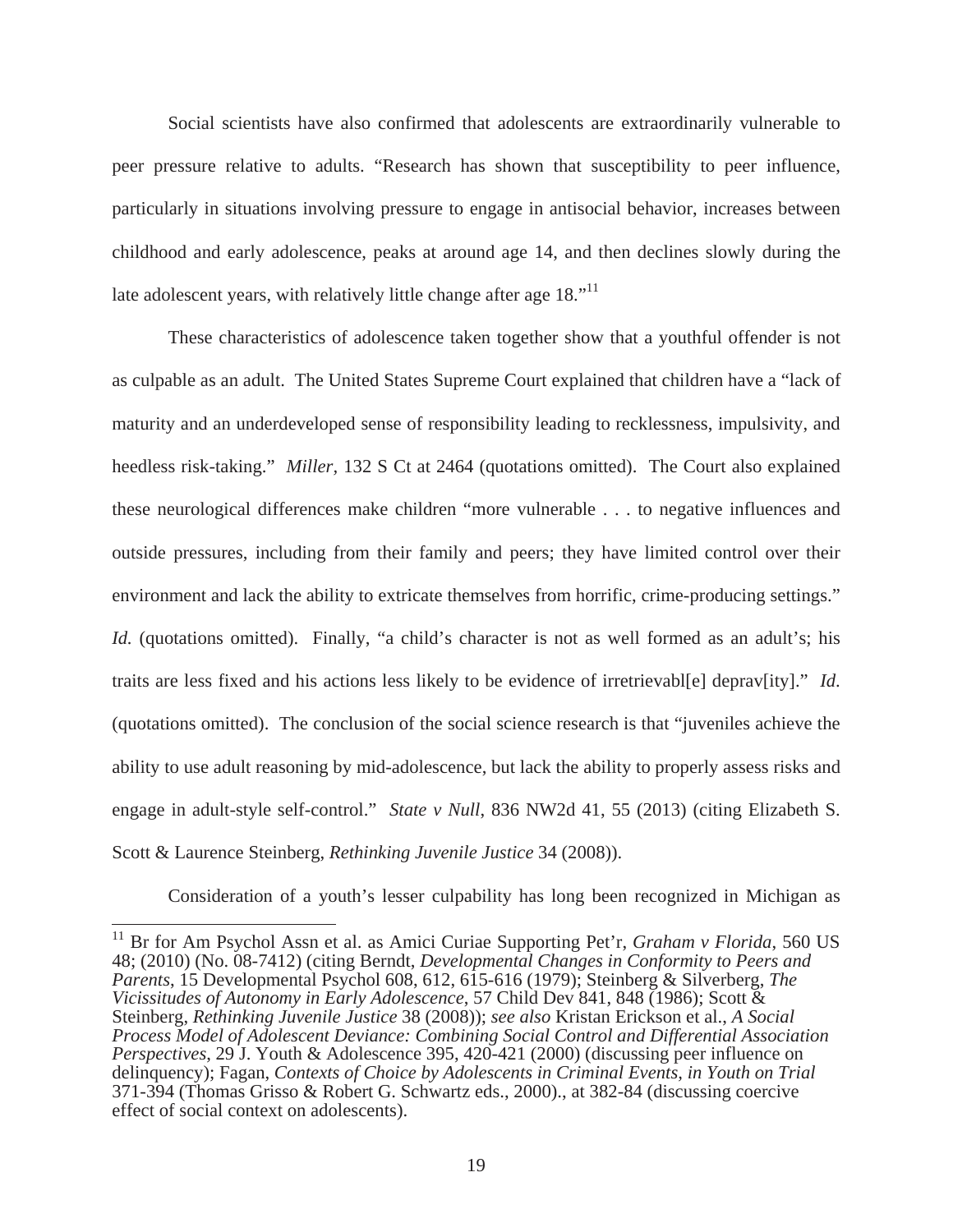Social scientists have also confirmed that adolescents are extraordinarily vulnerable to peer pressure relative to adults. "Research has shown that susceptibility to peer influence, particularly in situations involving pressure to engage in antisocial behavior, increases between childhood and early adolescence, peaks at around age 14, and then declines slowly during the late adolescent years, with relatively little change after age 18.<sup>"11</sup>

 These characteristics of adolescence taken together show that a youthful offender is not as culpable as an adult. The United States Supreme Court explained that children have a "lack of maturity and an underdeveloped sense of responsibility leading to recklessness, impulsivity, and heedless risk-taking." *Miller,* 132 S Ct at 2464 (quotations omitted). The Court also explained these neurological differences make children "more vulnerable . . . to negative influences and outside pressures, including from their family and peers; they have limited control over their environment and lack the ability to extricate themselves from horrific, crime-producing settings." *Id.* (quotations omitted). Finally, "a child's character is not as well formed as an adult's; his traits are less fixed and his actions less likely to be evidence of irretrievabl[e] deprav[ity]." *Id*. (quotations omitted). The conclusion of the social science research is that "juveniles achieve the ability to use adult reasoning by mid-adolescence, but lack the ability to properly assess risks and engage in adult-style self-control." *State v Null*, 836 NW2d 41, 55 (2013) (citing Elizabeth S. Scott & Laurence Steinberg, *Rethinking Juvenile Justice* 34 (2008)).

Consideration of a youth's lesser culpability has long been recognized in Michigan as

<sup>11</sup> Br for Am Psychol Assn et al. as Amici Curiae Supporting Pet'r, *Graham v Florida*, 560 US 48; (2010) (No. 08-7412) (citing Berndt, *Developmental Changes in Conformity to Peers and Parents*, 15 Developmental Psychol 608, 612, 615-616 (1979); Steinberg & Silverberg, *The Vicissitudes of Autonomy in Early Adolescence*, 57 Child Dev 841, 848 (1986); Scott & Steinberg, *Rethinking Juvenile Justice* 38 (2008)); *see also* Kristan Erickson et al., *A Social Process Model of Adolescent Deviance: Combining Social Control and Differential Association Perspectives*, 29 J. Youth & Adolescence 395, 420-421 (2000) (discussing peer influence on delinquency); Fagan, *Contexts of Choice by Adolescents in Criminal Events, in Youth on Trial* 371-394 (Thomas Grisso & Robert G. Schwartz eds., 2000)., at 382-84 (discussing coercive effect of social context on adolescents).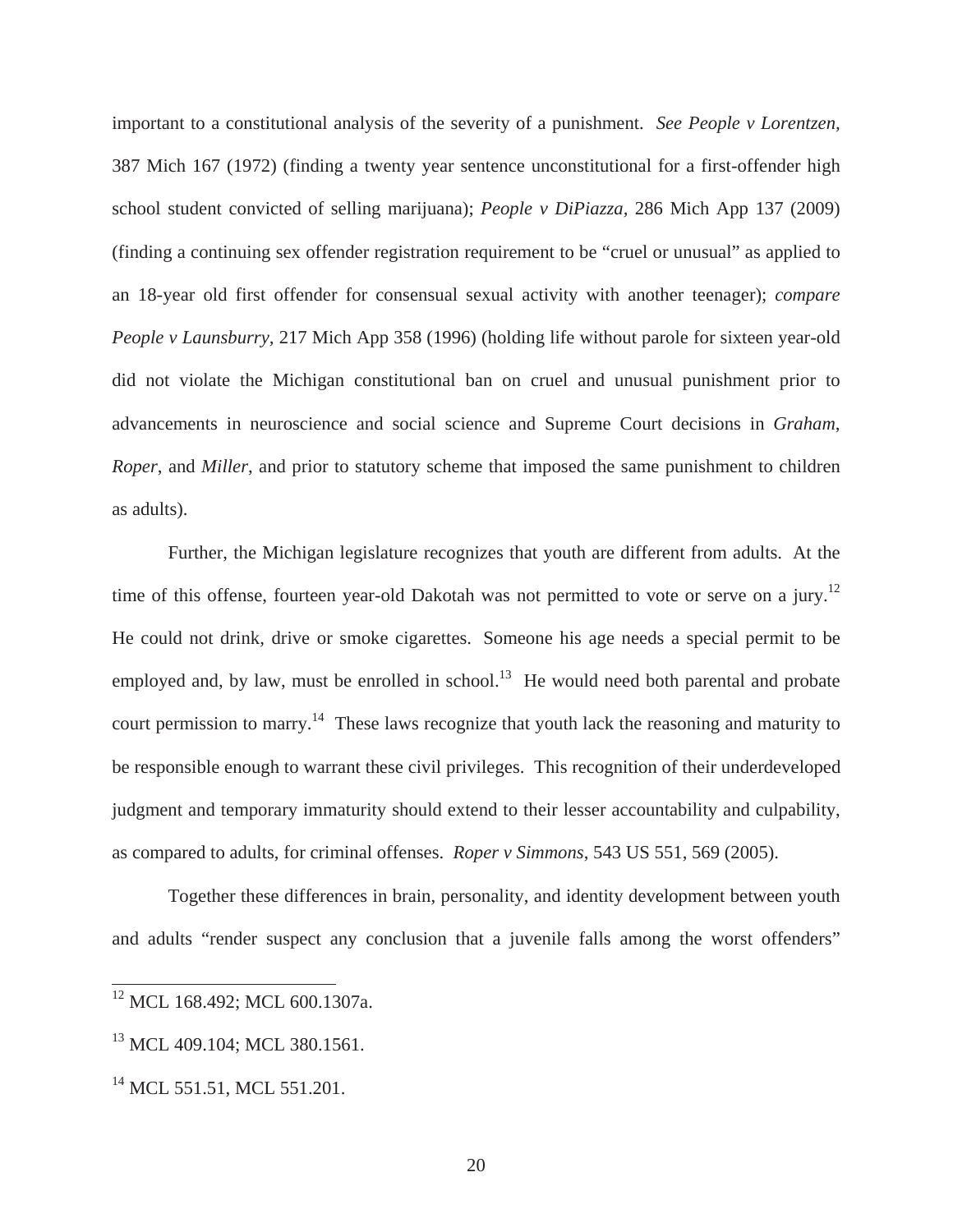important to a constitutional analysis of the severity of a punishment. *See People v Lorentzen,* 387 Mich 167 (1972) (finding a twenty year sentence unconstitutional for a first-offender high school student convicted of selling marijuana); *People v DiPiazza,* 286 Mich App 137 (2009) (finding a continuing sex offender registration requirement to be "cruel or unusual" as applied to an 18-year old first offender for consensual sexual activity with another teenager); *compare People v Launsburry,* 217 Mich App 358 (1996) (holding life without parole for sixteen year-old did not violate the Michigan constitutional ban on cruel and unusual punishment prior to advancements in neuroscience and social science and Supreme Court decisions in *Graham*, *Roper*, and *Miller*, and prior to statutory scheme that imposed the same punishment to children as adults).

Further, the Michigan legislature recognizes that youth are different from adults. At the time of this offense, fourteen year-old Dakotah was not permitted to vote or serve on a jury.<sup>12</sup> He could not drink, drive or smoke cigarettes. Someone his age needs a special permit to be employed and, by law, must be enrolled in school.<sup>13</sup> He would need both parental and probate court permission to marry.<sup>14</sup> These laws recognize that youth lack the reasoning and maturity to be responsible enough to warrant these civil privileges. This recognition of their underdeveloped judgment and temporary immaturity should extend to their lesser accountability and culpability, as compared to adults, for criminal offenses. *Roper v Simmons*, 543 US 551, 569 (2005).

Together these differences in brain, personality, and identity development between youth and adults "render suspect any conclusion that a juvenile falls among the worst offenders"

<sup>&</sup>lt;sup>12</sup> MCL 168.492; MCL 600.1307a.

<sup>&</sup>lt;sup>13</sup> MCL 409.104; MCL 380.1561.

<sup>&</sup>lt;sup>14</sup> MCL 551.51, MCL 551.201.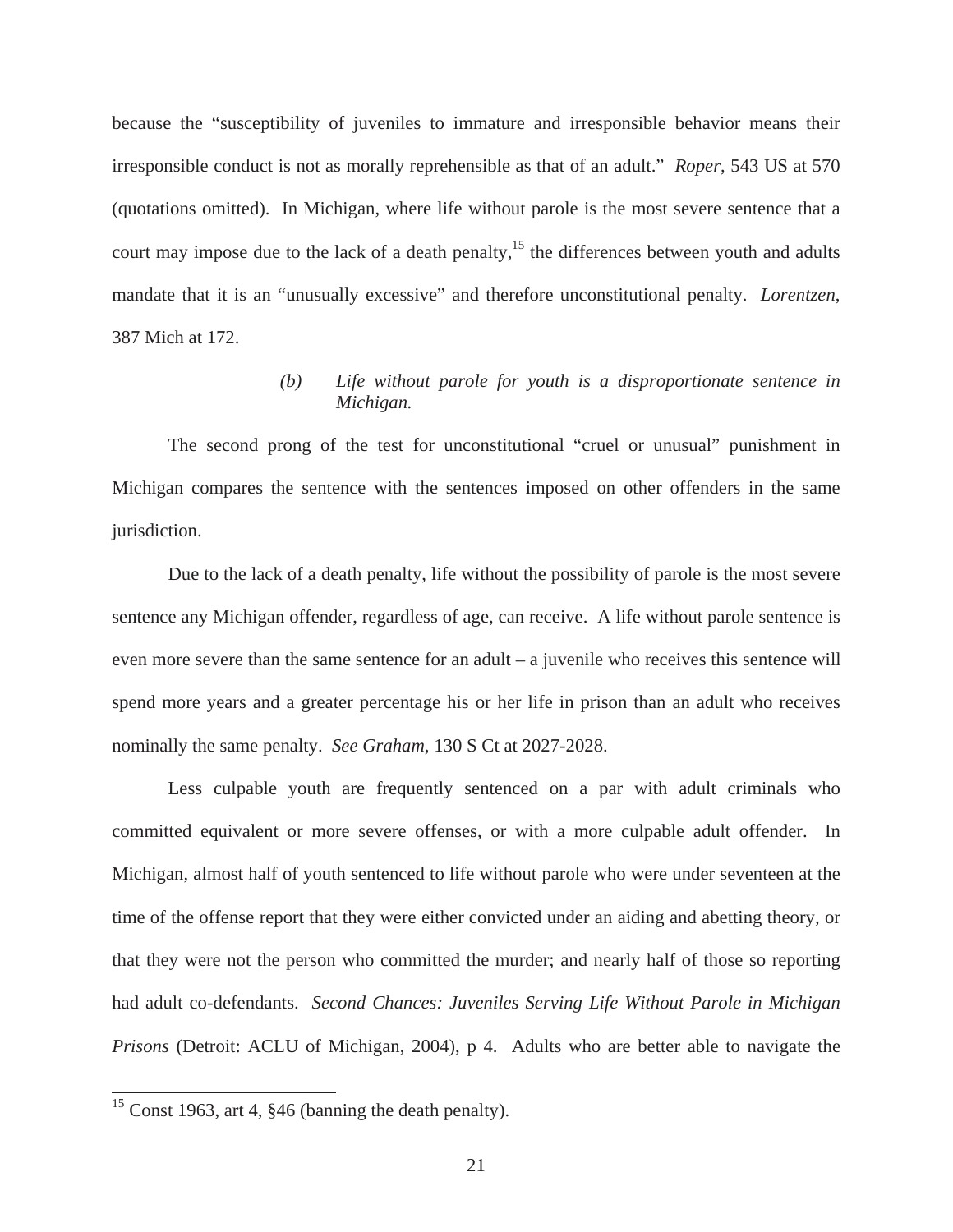because the "susceptibility of juveniles to immature and irresponsible behavior means their irresponsible conduct is not as morally reprehensible as that of an adult." *Roper*, 543 US at 570 (quotations omitted). In Michigan, where life without parole is the most severe sentence that a court may impose due to the lack of a death penalty,<sup>15</sup> the differences between youth and adults mandate that it is an "unusually excessive" and therefore unconstitutional penalty. *Lorentzen*, 387 Mich at 172.

## *(b) Life without parole for youth is a disproportionate sentence in Michigan.*

 The second prong of the test for unconstitutional "cruel or unusual" punishment in Michigan compares the sentence with the sentences imposed on other offenders in the same jurisdiction.

 Due to the lack of a death penalty, life without the possibility of parole is the most severe sentence any Michigan offender, regardless of age, can receive. A life without parole sentence is even more severe than the same sentence for an adult – a juvenile who receives this sentence will spend more years and a greater percentage his or her life in prison than an adult who receives nominally the same penalty. *See Graham*, 130 S Ct at 2027-2028.

 Less culpable youth are frequently sentenced on a par with adult criminals who committed equivalent or more severe offenses, or with a more culpable adult offender. In Michigan, almost half of youth sentenced to life without parole who were under seventeen at the time of the offense report that they were either convicted under an aiding and abetting theory, or that they were not the person who committed the murder; and nearly half of those so reporting had adult co-defendants. *Second Chances: Juveniles Serving Life Without Parole in Michigan Prisons* (Detroit: ACLU of Michigan, 2004), p 4. Adults who are better able to navigate the

<sup>&</sup>lt;sup>15</sup> Const 1963, art 4, §46 (banning the death penalty).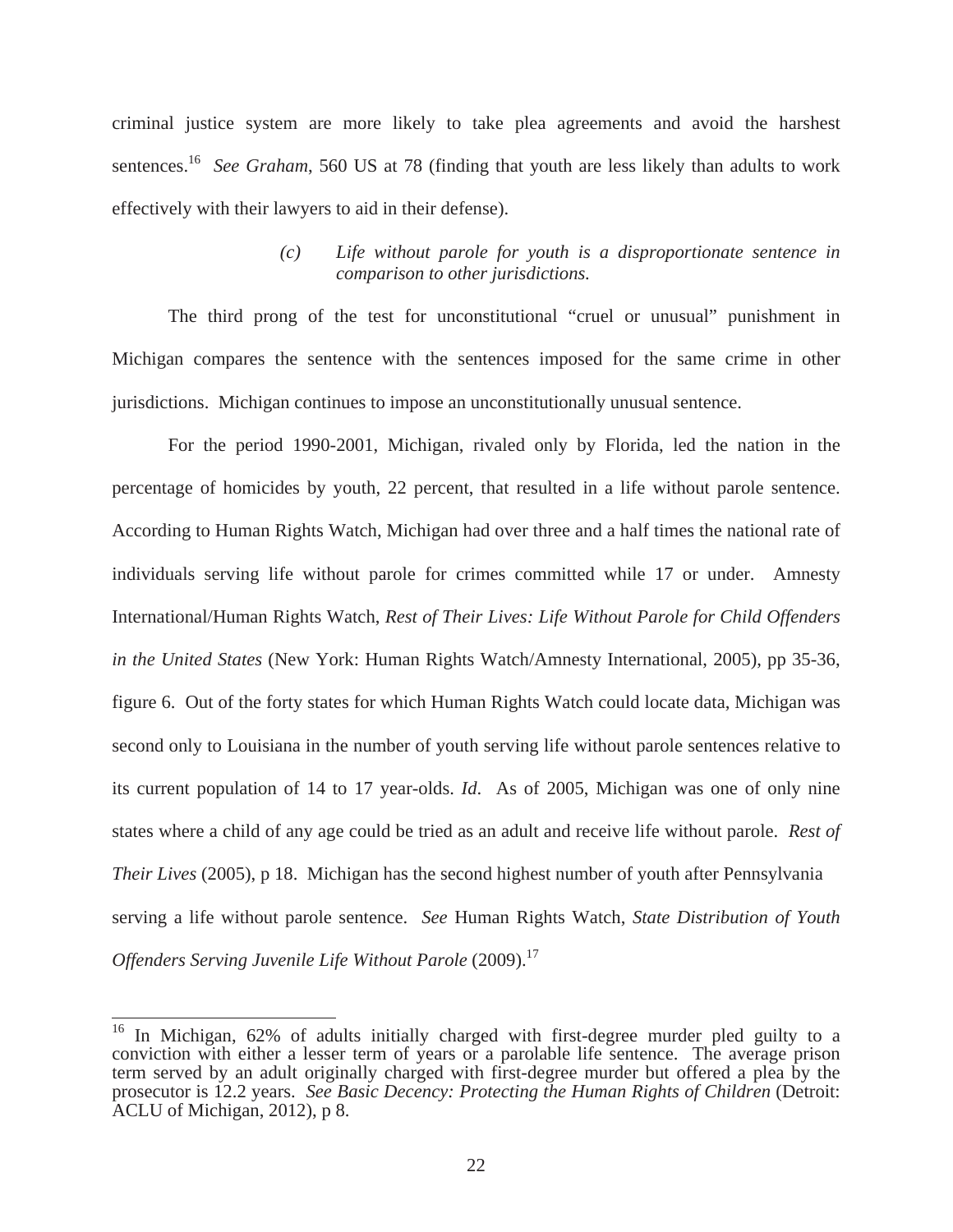criminal justice system are more likely to take plea agreements and avoid the harshest sentences.<sup>16</sup> *See Graham*, 560 US at 78 (finding that youth are less likely than adults to work effectively with their lawyers to aid in their defense).

## *(c) Life without parole for youth is a disproportionate sentence in comparison to other jurisdictions.*

 The third prong of the test for unconstitutional "cruel or unusual" punishment in Michigan compares the sentence with the sentences imposed for the same crime in other jurisdictions. Michigan continues to impose an unconstitutionally unusual sentence.

 For the period 1990-2001, Michigan, rivaled only by Florida, led the nation in the percentage of homicides by youth, 22 percent, that resulted in a life without parole sentence. According to Human Rights Watch, Michigan had over three and a half times the national rate of individuals serving life without parole for crimes committed while 17 or under. Amnesty International/Human Rights Watch, *Rest of Their Lives: Life Without Parole for Child Offenders in the United States* (New York: Human Rights Watch/Amnesty International, 2005), pp 35-36, figure 6. Out of the forty states for which Human Rights Watch could locate data, Michigan was second only to Louisiana in the number of youth serving life without parole sentences relative to its current population of 14 to 17 year-olds. *Id*. As of 2005, Michigan was one of only nine states where a child of any age could be tried as an adult and receive life without parole. *Rest of Their Lives* (2005), p 18. Michigan has the second highest number of youth after Pennsylvania serving a life without parole sentence. *See* Human Rights Watch, *State Distribution of Youth Offenders Serving Juvenile Life Without Parole* (2009).<sup>17</sup>

<sup>16</sup> In Michigan, 62% of adults initially charged with first-degree murder pled guilty to a conviction with either a lesser term of years or a parolable life sentence. The average prison term served by an adult originally charged with first-degree murder but offered a plea by the prosecutor is 12.2 years. *See Basic Decency: Protecting the Human Rights of Children* (Detroit: ACLU of Michigan, 2012), p 8.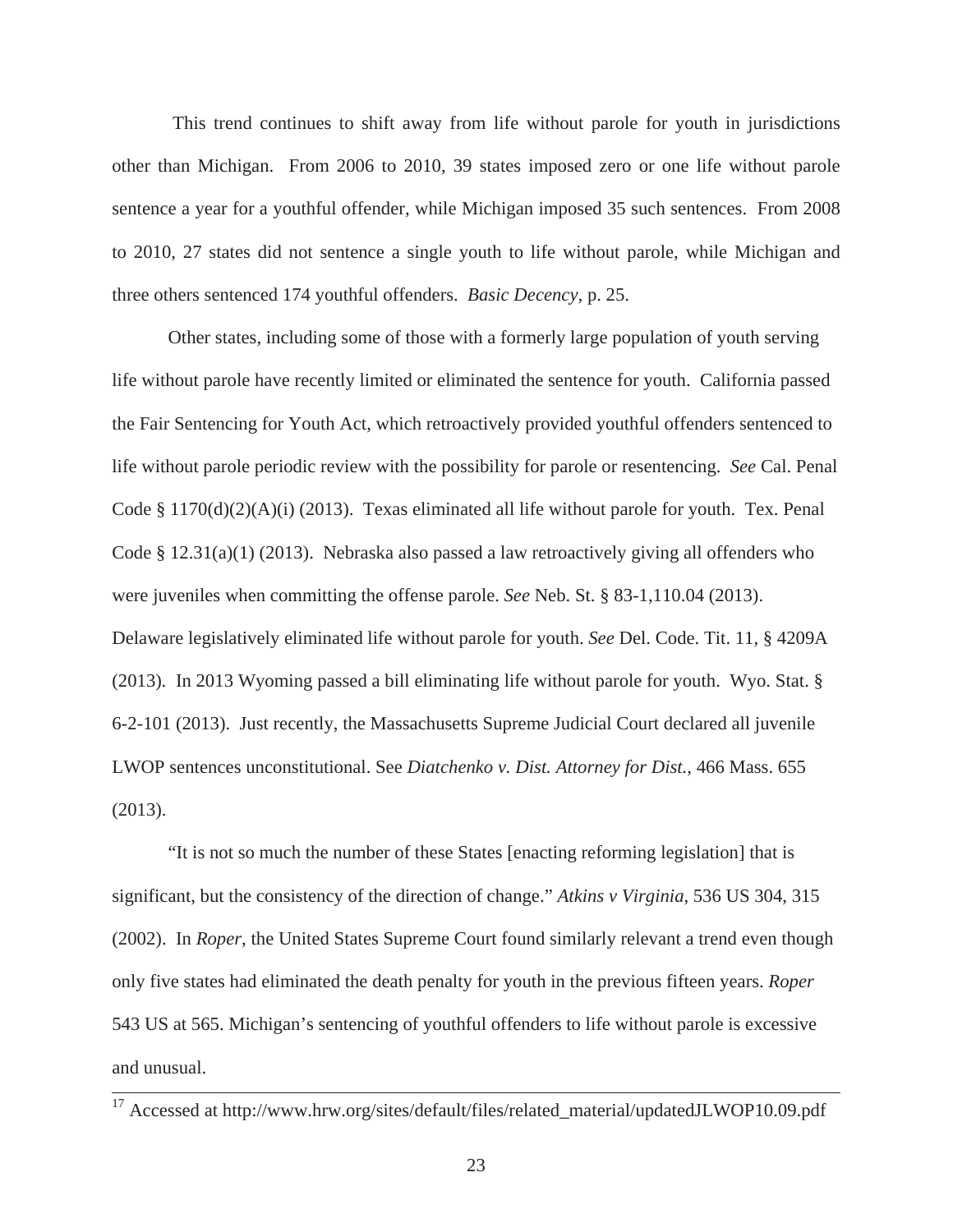This trend continues to shift away from life without parole for youth in jurisdictions other than Michigan. From 2006 to 2010, 39 states imposed zero or one life without parole sentence a year for a youthful offender, while Michigan imposed 35 such sentences. From 2008 to 2010, 27 states did not sentence a single youth to life without parole, while Michigan and three others sentenced 174 youthful offenders. *Basic Decency,* p. 25.

Other states, including some of those with a formerly large population of youth serving life without parole have recently limited or eliminated the sentence for youth. California passed the Fair Sentencing for Youth Act, which retroactively provided youthful offenders sentenced to life without parole periodic review with the possibility for parole or resentencing. *See* Cal. Penal Code § 1170(d)(2)(A)(i) (2013). Texas eliminated all life without parole for youth. Tex. Penal Code  $\S$  12.31(a)(1) (2013). Nebraska also passed a law retroactively giving all offenders who were juveniles when committing the offense parole. *See* Neb. St. § 83-1,110.04 (2013). Delaware legislatively eliminated life without parole for youth. *See* Del. Code. Tit. 11, § 4209A (2013)*.* In 2013 Wyoming passed a bill eliminating life without parole for youth. Wyo. Stat. § 6-2-101 (2013). Just recently, the Massachusetts Supreme Judicial Court declared all juvenile LWOP sentences unconstitutional. See *Diatchenko v. Dist. Attorney for Dist.*, 466 Mass. 655 (2013).

"It is not so much the number of these States [enacting reforming legislation] that is significant, but the consistency of the direction of change." *Atkins v Virginia*, 536 US 304, 315 (2002). In *Roper*, the United States Supreme Court found similarly relevant a trend even though only five states had eliminated the death penalty for youth in the previous fifteen years. *Roper* 543 US at 565. Michigan's sentencing of youthful offenders to life without parole is excessive and unusual.

<sup>17</sup> Accessed at http://www.hrw.org/sites/default/files/related\_material/updatedJLWOP10.09.pdf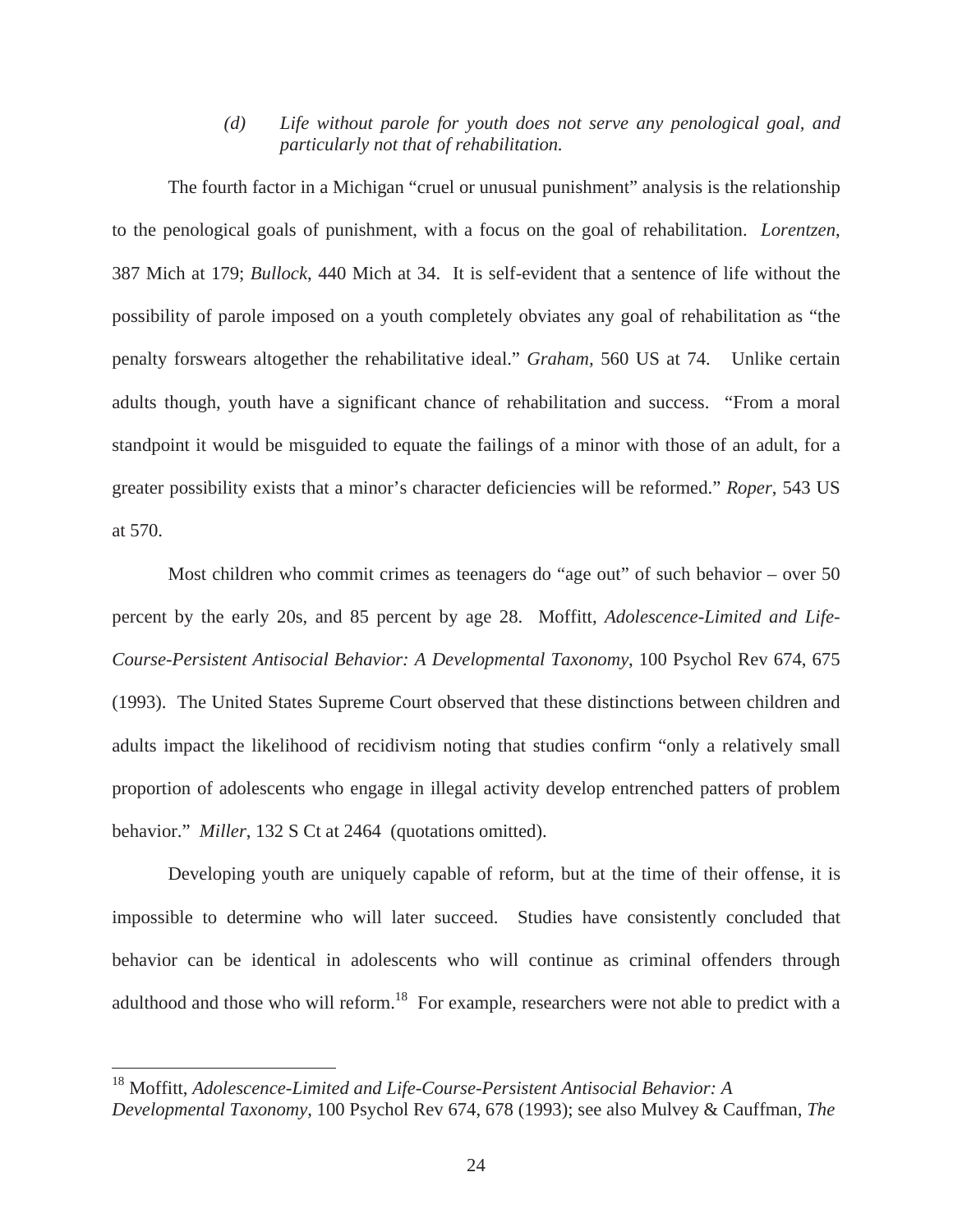*(d) Life without parole for youth does not serve any penological goal, and particularly not that of rehabilitation.* 

 The fourth factor in a Michigan "cruel or unusual punishment" analysis is the relationship to the penological goals of punishment, with a focus on the goal of rehabilitation. *Lorentzen*, 387 Mich at 179; *Bullock*, 440 Mich at 34. It is self-evident that a sentence of life without the possibility of parole imposed on a youth completely obviates any goal of rehabilitation as "the penalty forswears altogether the rehabilitative ideal." *Graham,* 560 US at 74. Unlike certain adults though, youth have a significant chance of rehabilitation and success. "From a moral standpoint it would be misguided to equate the failings of a minor with those of an adult, for a greater possibility exists that a minor's character deficiencies will be reformed." *Roper*, 543 US at 570.

Most children who commit crimes as teenagers do "age out" of such behavior – over 50 percent by the early 20s, and 85 percent by age 28. Moffitt, *Adolescence-Limited and Life-Course-Persistent Antisocial Behavior: A Developmental Taxonomy*, 100 Psychol Rev 674, 675 (1993). The United States Supreme Court observed that these distinctions between children and adults impact the likelihood of recidivism noting that studies confirm "only a relatively small proportion of adolescents who engage in illegal activity develop entrenched patters of problem behavior." *Miller*, 132 S Ct at 2464 (quotations omitted).

Developing youth are uniquely capable of reform, but at the time of their offense, it is impossible to determine who will later succeed. Studies have consistently concluded that behavior can be identical in adolescents who will continue as criminal offenders through adulthood and those who will reform.<sup>18</sup> For example, researchers were not able to predict with a

<sup>18</sup> Moffitt, *Adolescence-Limited and Life-Course-Persistent Antisocial Behavior: A Developmental Taxonomy*, 100 Psychol Rev 674, 678 (1993); see also Mulvey & Cauffman, *The*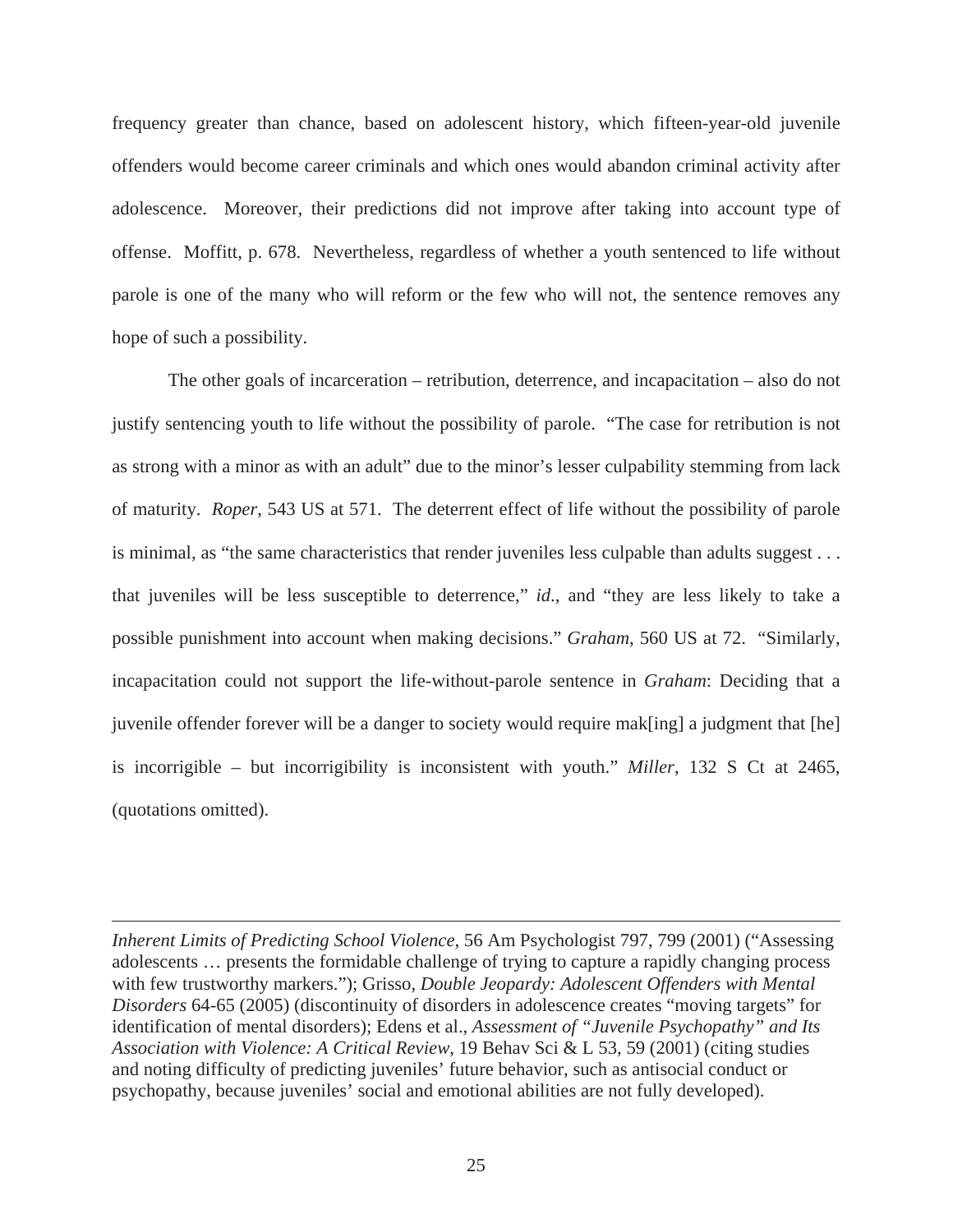frequency greater than chance, based on adolescent history, which fifteen-year-old juvenile offenders would become career criminals and which ones would abandon criminal activity after adolescence. Moreover, their predictions did not improve after taking into account type of offense. Moffitt, p. 678. Nevertheless, regardless of whether a youth sentenced to life without parole is one of the many who will reform or the few who will not, the sentence removes any hope of such a possibility.

 The other goals of incarceration – retribution, deterrence, and incapacitation – also do not justify sentencing youth to life without the possibility of parole. "The case for retribution is not as strong with a minor as with an adult" due to the minor's lesser culpability stemming from lack of maturity. *Roper*, 543 US at 571. The deterrent effect of life without the possibility of parole is minimal, as "the same characteristics that render juveniles less culpable than adults suggest . . . that juveniles will be less susceptible to deterrence," *id*., and "they are less likely to take a possible punishment into account when making decisions." *Graham*, 560 US at 72. "Similarly, incapacitation could not support the life-without-parole sentence in *Graham*: Deciding that a juvenile offender forever will be a danger to society would require mak[ing] a judgment that [he] is incorrigible – but incorrigibility is inconsistent with youth." *Miller*, 132 S Ct at 2465, (quotations omitted).

*Inherent Limits of Predicting School Violence*, 56 Am Psychologist 797, 799 (2001) ("Assessing adolescents … presents the formidable challenge of trying to capture a rapidly changing process with few trustworthy markers."); Grisso, *Double Jeopardy: Adolescent Offenders with Mental Disorders* 64-65 (2005) (discontinuity of disorders in adolescence creates "moving targets" for identification of mental disorders); Edens et al., *Assessment of "Juvenile Psychopathy" and Its Association with Violence: A Critical Review*, 19 Behav Sci & L 53, 59 (2001) (citing studies and noting difficulty of predicting juveniles' future behavior, such as antisocial conduct or psychopathy, because juveniles' social and emotional abilities are not fully developed).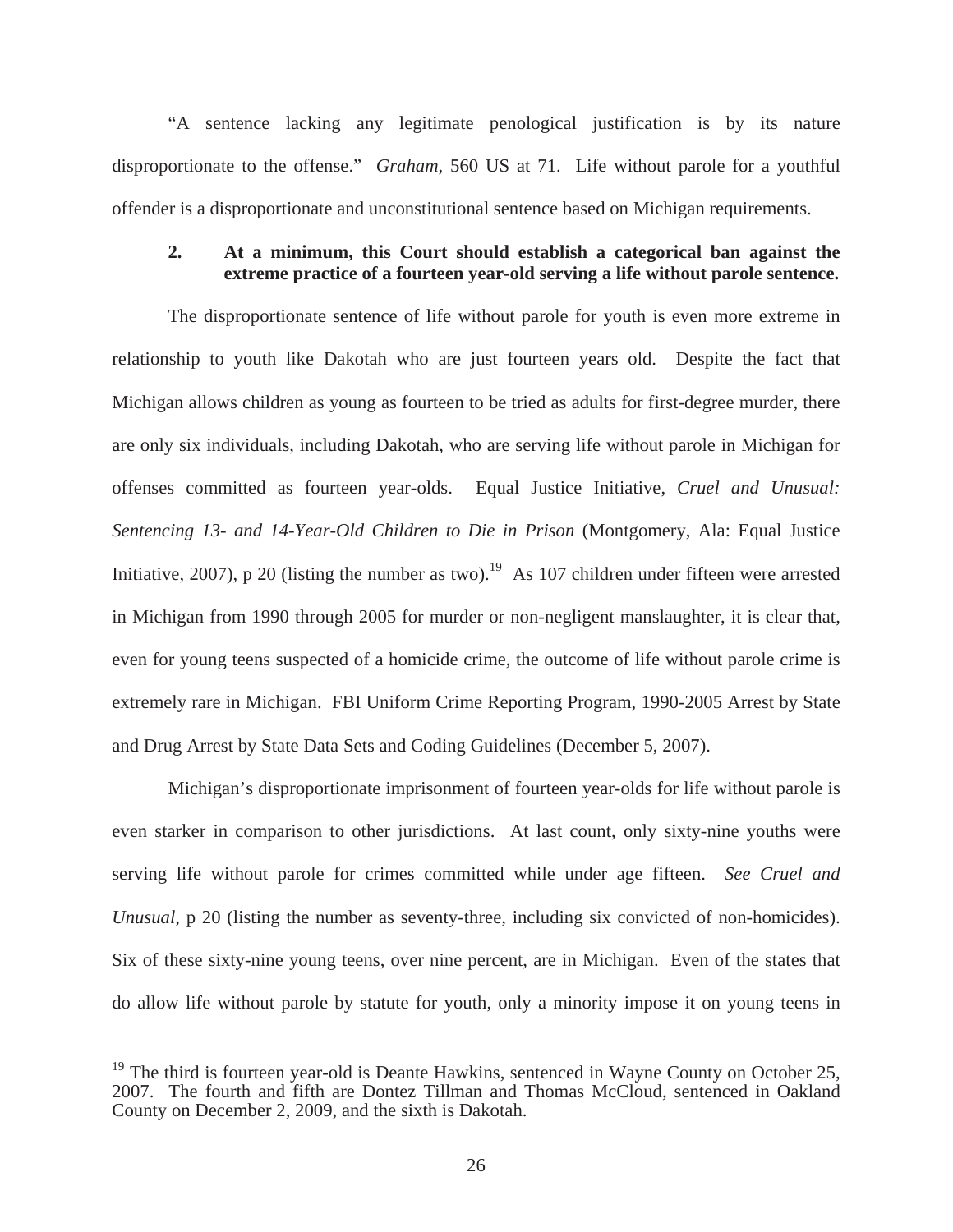"A sentence lacking any legitimate penological justification is by its nature disproportionate to the offense." *Graham*, 560 US at 71. Life without parole for a youthful offender is a disproportionate and unconstitutional sentence based on Michigan requirements.

## **2. At a minimum, this Court should establish a categorical ban against the extreme practice of a fourteen year-old serving a life without parole sentence.**

The disproportionate sentence of life without parole for youth is even more extreme in relationship to youth like Dakotah who are just fourteen years old. Despite the fact that Michigan allows children as young as fourteen to be tried as adults for first-degree murder, there are only six individuals, including Dakotah, who are serving life without parole in Michigan for offenses committed as fourteen year-olds. Equal Justice Initiative, *Cruel and Unusual: Sentencing 13- and 14-Year-Old Children to Die in Prison* (Montgomery, Ala: Equal Justice Initiative, 2007), p 20 (listing the number as two).<sup>19</sup> As 107 children under fifteen were arrested in Michigan from 1990 through 2005 for murder or non-negligent manslaughter, it is clear that, even for young teens suspected of a homicide crime, the outcome of life without parole crime is extremely rare in Michigan. FBI Uniform Crime Reporting Program, 1990-2005 Arrest by State and Drug Arrest by State Data Sets and Coding Guidelines (December 5, 2007).

 Michigan's disproportionate imprisonment of fourteen year-olds for life without parole is even starker in comparison to other jurisdictions. At last count, only sixty-nine youths were serving life without parole for crimes committed while under age fifteen. *See Cruel and Unusual*, p 20 (listing the number as seventy-three, including six convicted of non-homicides). Six of these sixty-nine young teens, over nine percent, are in Michigan. Even of the states that do allow life without parole by statute for youth, only a minority impose it on young teens in

<sup>&</sup>lt;sup>19</sup> The third is fourteen year-old is Deante Hawkins, sentenced in Wayne County on October 25, 2007. The fourth and fifth are Dontez Tillman and Thomas McCloud, sentenced in Oakland County on December 2, 2009, and the sixth is Dakotah.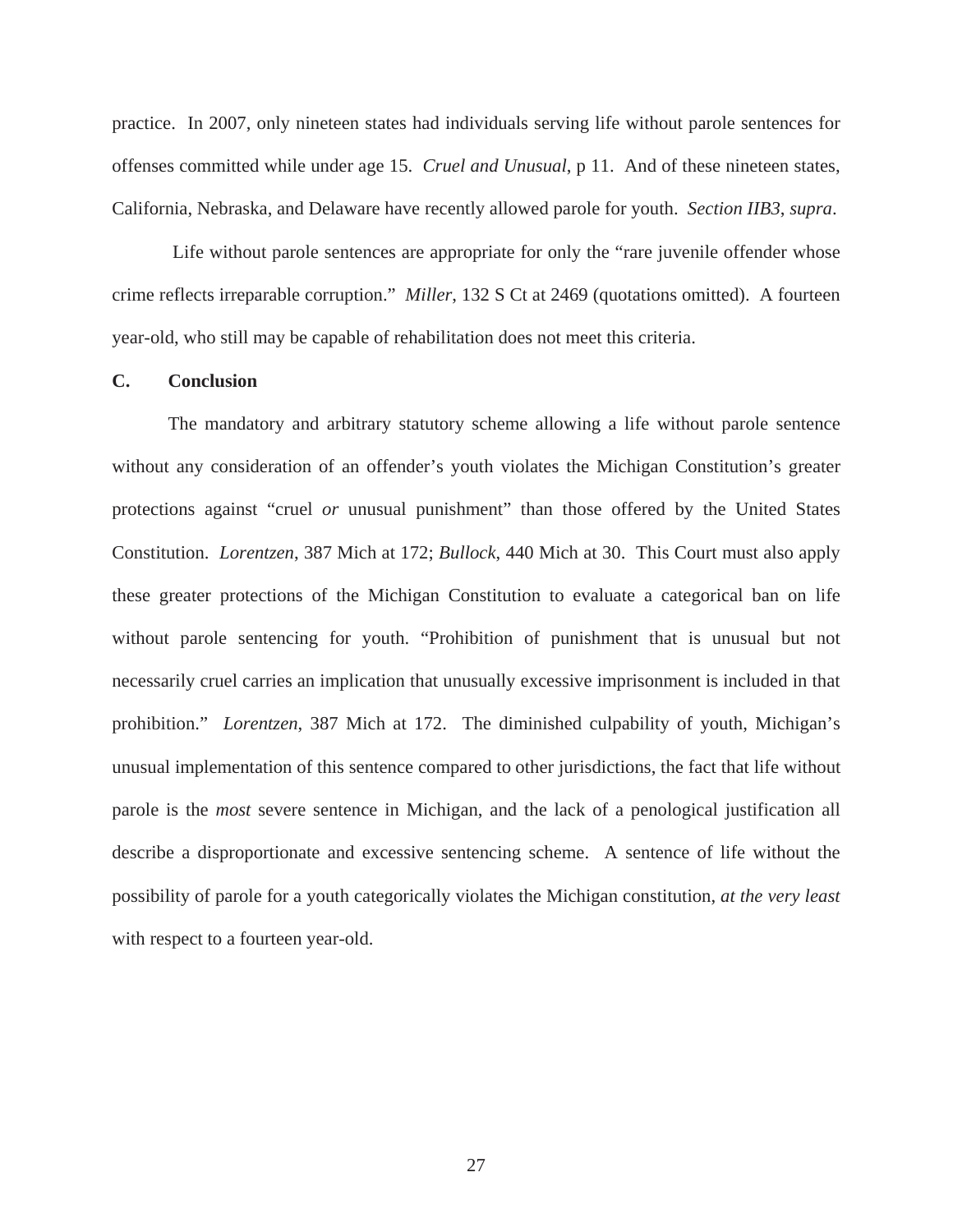practice. In 2007, only nineteen states had individuals serving life without parole sentences for offenses committed while under age 15. *Cruel and Unusual*, p 11. And of these nineteen states, California, Nebraska, and Delaware have recently allowed parole for youth. *Section IIB3*, *supra*.

 Life without parole sentences are appropriate for only the "rare juvenile offender whose crime reflects irreparable corruption." *Miller*, 132 S Ct at 2469 (quotations omitted). A fourteen year-old, who still may be capable of rehabilitation does not meet this criteria.

#### **C. Conclusion**

The mandatory and arbitrary statutory scheme allowing a life without parole sentence without any consideration of an offender's youth violates the Michigan Constitution's greater protections against "cruel *or* unusual punishment" than those offered by the United States Constitution. *Lorentzen*, 387 Mich at 172; *Bullock*, 440 Mich at 30. This Court must also apply these greater protections of the Michigan Constitution to evaluate a categorical ban on life without parole sentencing for youth. "Prohibition of punishment that is unusual but not necessarily cruel carries an implication that unusually excessive imprisonment is included in that prohibition." *Lorentzen*, 387 Mich at 172. The diminished culpability of youth, Michigan's unusual implementation of this sentence compared to other jurisdictions, the fact that life without parole is the *most* severe sentence in Michigan, and the lack of a penological justification all describe a disproportionate and excessive sentencing scheme. A sentence of life without the possibility of parole for a youth categorically violates the Michigan constitution, *at the very least* with respect to a fourteen year-old.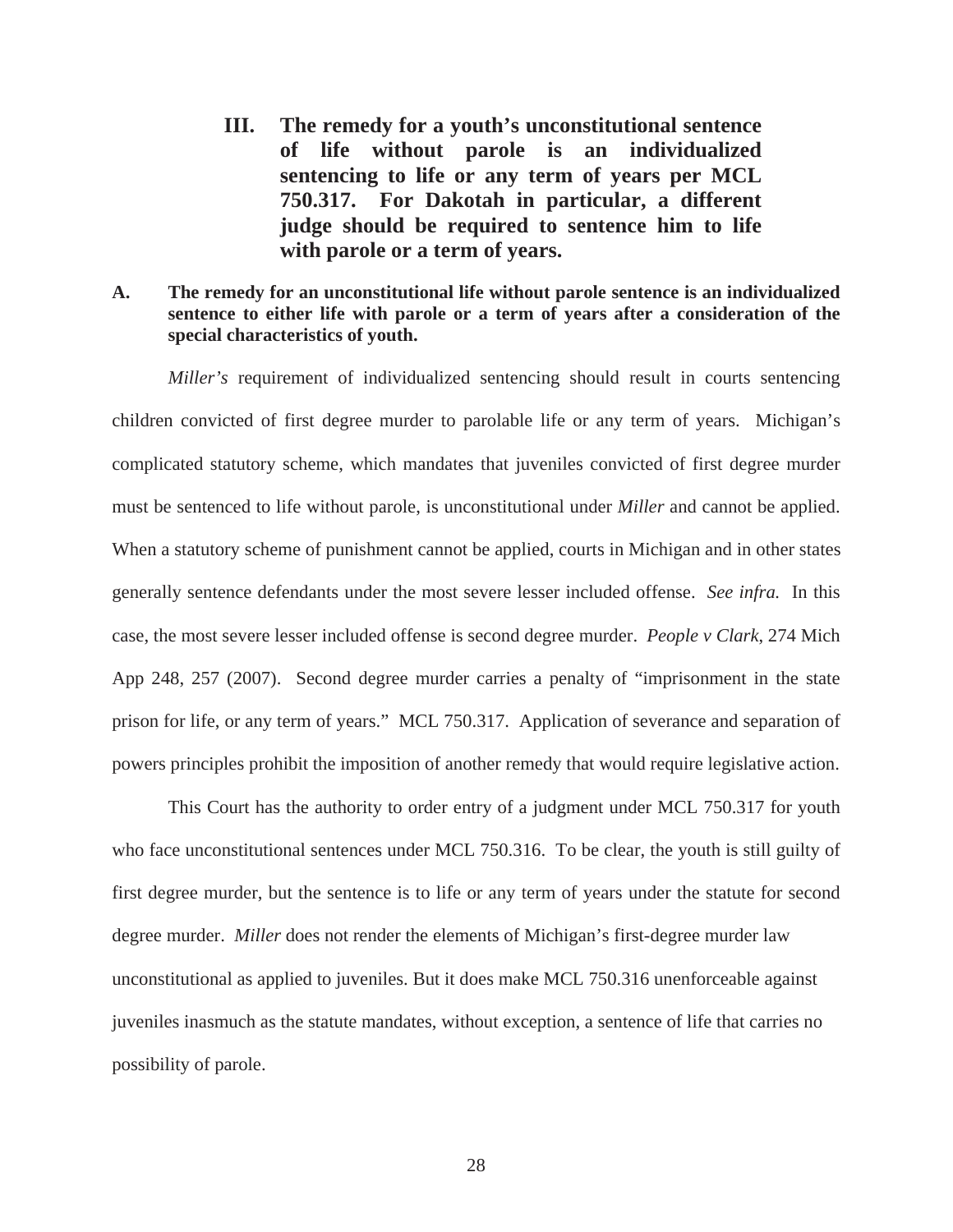**III. The remedy for a youth's unconstitutional sentence of life without parole is an individualized sentencing to life or any term of years per MCL 750.317. For Dakotah in particular, a different judge should be required to sentence him to life with parole or a term of years.** 

## **A. The remedy for an unconstitutional life without parole sentence is an individualized sentence to either life with parole or a term of years after a consideration of the special characteristics of youth.**

*Miller's* requirement of individualized sentencing should result in courts sentencing children convicted of first degree murder to parolable life or any term of years. Michigan's complicated statutory scheme, which mandates that juveniles convicted of first degree murder must be sentenced to life without parole, is unconstitutional under *Miller* and cannot be applied. When a statutory scheme of punishment cannot be applied, courts in Michigan and in other states generally sentence defendants under the most severe lesser included offense. *See infra.* In this case, the most severe lesser included offense is second degree murder. *People v Clark*, 274 Mich App 248, 257 (2007). Second degree murder carries a penalty of "imprisonment in the state prison for life, or any term of years." MCL 750.317. Application of severance and separation of powers principles prohibit the imposition of another remedy that would require legislative action.

This Court has the authority to order entry of a judgment under MCL 750.317 for youth who face unconstitutional sentences under MCL 750.316. To be clear, the youth is still guilty of first degree murder, but the sentence is to life or any term of years under the statute for second degree murder. *Miller* does not render the elements of Michigan's first-degree murder law unconstitutional as applied to juveniles. But it does make MCL 750.316 unenforceable against juveniles inasmuch as the statute mandates, without exception, a sentence of life that carries no possibility of parole.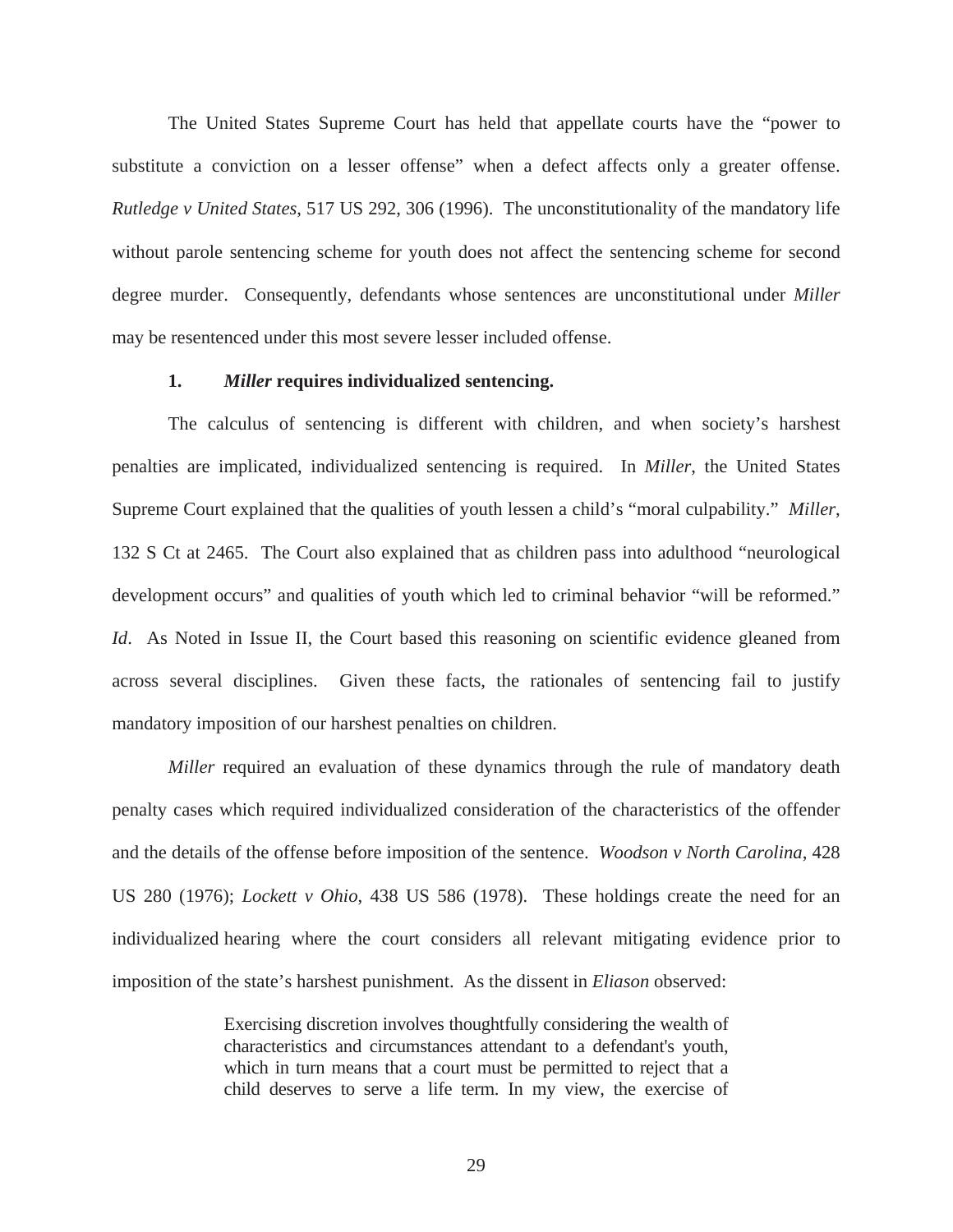The United States Supreme Court has held that appellate courts have the "power to substitute a conviction on a lesser offense" when a defect affects only a greater offense. *Rutledge v United States*, 517 US 292, 306 (1996). The unconstitutionality of the mandatory life without parole sentencing scheme for youth does not affect the sentencing scheme for second degree murder. Consequently, defendants whose sentences are unconstitutional under *Miller* may be resentenced under this most severe lesser included offense.

#### **1.** *Miller* **requires individualized sentencing.**

 The calculus of sentencing is different with children, and when society's harshest penalties are implicated, individualized sentencing is required. In *Miller*, the United States Supreme Court explained that the qualities of youth lessen a child's "moral culpability." *Miller*, 132 S Ct at 2465. The Court also explained that as children pass into adulthood "neurological development occurs" and qualities of youth which led to criminal behavior "will be reformed." *Id.* As Noted in Issue II, the Court based this reasoning on scientific evidence gleaned from across several disciplines. Given these facts, the rationales of sentencing fail to justify mandatory imposition of our harshest penalties on children.

*Miller* required an evaluation of these dynamics through the rule of mandatory death penalty cases which required individualized consideration of the characteristics of the offender and the details of the offense before imposition of the sentence. *Woodson v North Carolina*, 428 US 280 (1976); *Lockett v Ohio*, 438 US 586 (1978). These holdings create the need for an individualized hearing where the court considers all relevant mitigating evidence prior to imposition of the state's harshest punishment. As the dissent in *Eliason* observed:

> Exercising discretion involves thoughtfully considering the wealth of characteristics and circumstances attendant to a defendant's youth, which in turn means that a court must be permitted to reject that a child deserves to serve a life term. In my view, the exercise of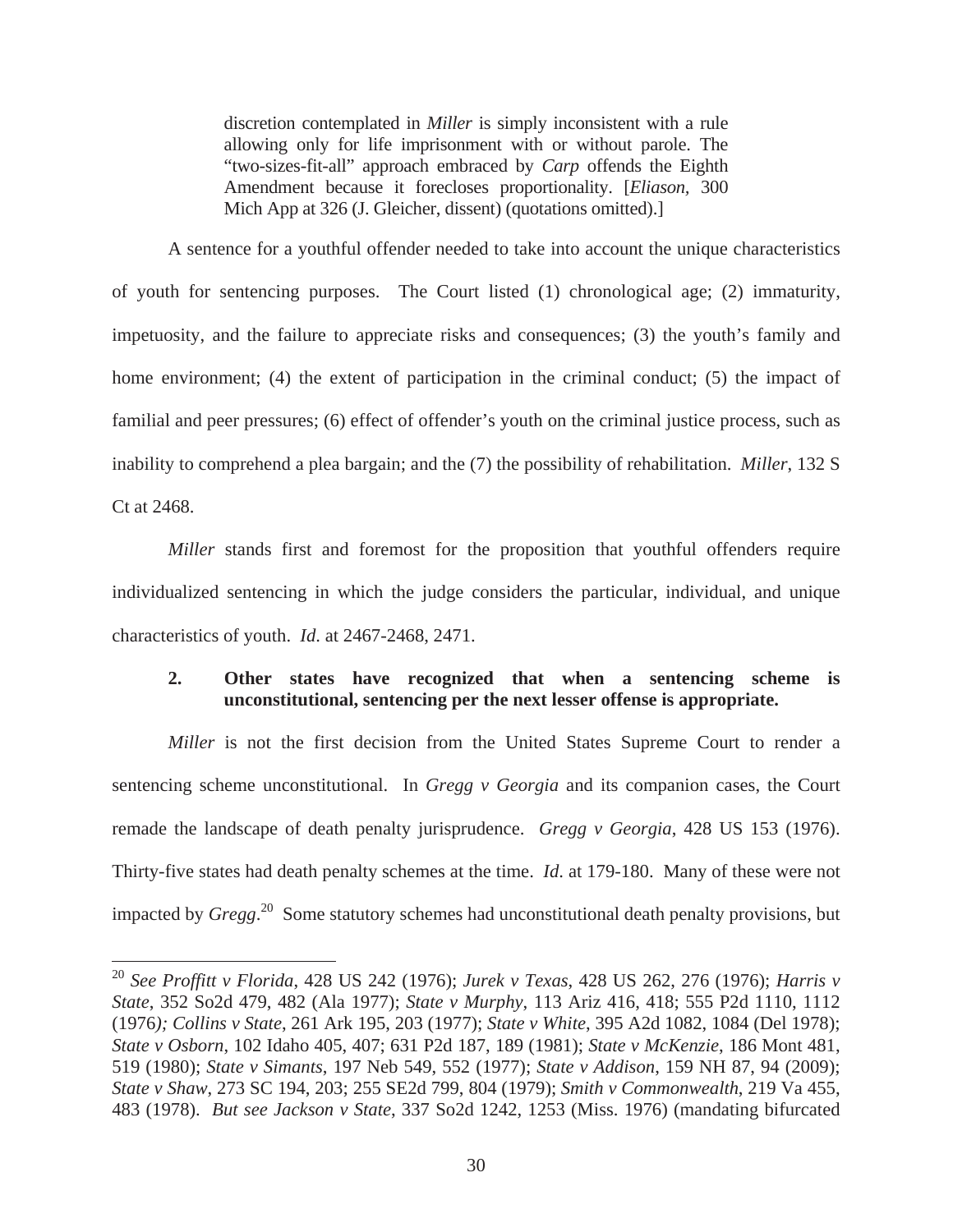discretion contemplated in *Miller* is simply inconsistent with a rule allowing only for life imprisonment with or without parole. The "two-sizes-fit-all" approach embraced by *Carp* offends the Eighth Amendment because it forecloses proportionality. [*Eliason,* 300 Mich App at 326 (J. Gleicher, dissent) (quotations omitted).]

A sentence for a youthful offender needed to take into account the unique characteristics of youth for sentencing purposes. The Court listed (1) chronological age; (2) immaturity, impetuosity, and the failure to appreciate risks and consequences; (3) the youth's family and home environment; (4) the extent of participation in the criminal conduct; (5) the impact of familial and peer pressures; (6) effect of offender's youth on the criminal justice process, such as inability to comprehend a plea bargain; and the (7) the possibility of rehabilitation. *Miller*, 132 S Ct at 2468.

*Miller* stands first and foremost for the proposition that youthful offenders require individualized sentencing in which the judge considers the particular, individual, and unique characteristics of youth. *Id*. at 2467-2468, 2471.

## **2. Other states have recognized that when a sentencing scheme is unconstitutional, sentencing per the next lesser offense is appropriate.**

*Miller* is not the first decision from the United States Supreme Court to render a sentencing scheme unconstitutional. In *Gregg v Georgia* and its companion cases, the Court remade the landscape of death penalty jurisprudence. *Gregg v Georgia*, 428 US 153 (1976). Thirty-five states had death penalty schemes at the time. *Id*. at 179-180. Many of these were not impacted by *Gregg*. 20 Some statutory schemes had unconstitutional death penalty provisions, but

<sup>20</sup> *See Proffitt v Florida*, 428 US 242 (1976); *Jurek v Texas*, 428 US 262, 276 (1976); *Harris v State*, 352 So2d 479, 482 (Ala 1977); *State v Murphy*, 113 Ariz 416, 418; 555 P2d 1110, 1112 (1976*); Collins v State*, 261 Ark 195, 203 (1977); *State v White*, 395 A2d 1082, 1084 (Del 1978); *State v Osborn*, 102 Idaho 405, 407; 631 P2d 187, 189 (1981); *State v McKenzie*, 186 Mont 481, 519 (1980); *State v Simants*, 197 Neb 549, 552 (1977); *State v Addison*, 159 NH 87, 94 (2009); *State v Shaw*, 273 SC 194, 203; 255 SE2d 799, 804 (1979); *Smith v Commonwealth*, 219 Va 455, 483 (1978). *But see Jackson v State*, 337 So2d 1242, 1253 (Miss. 1976) (mandating bifurcated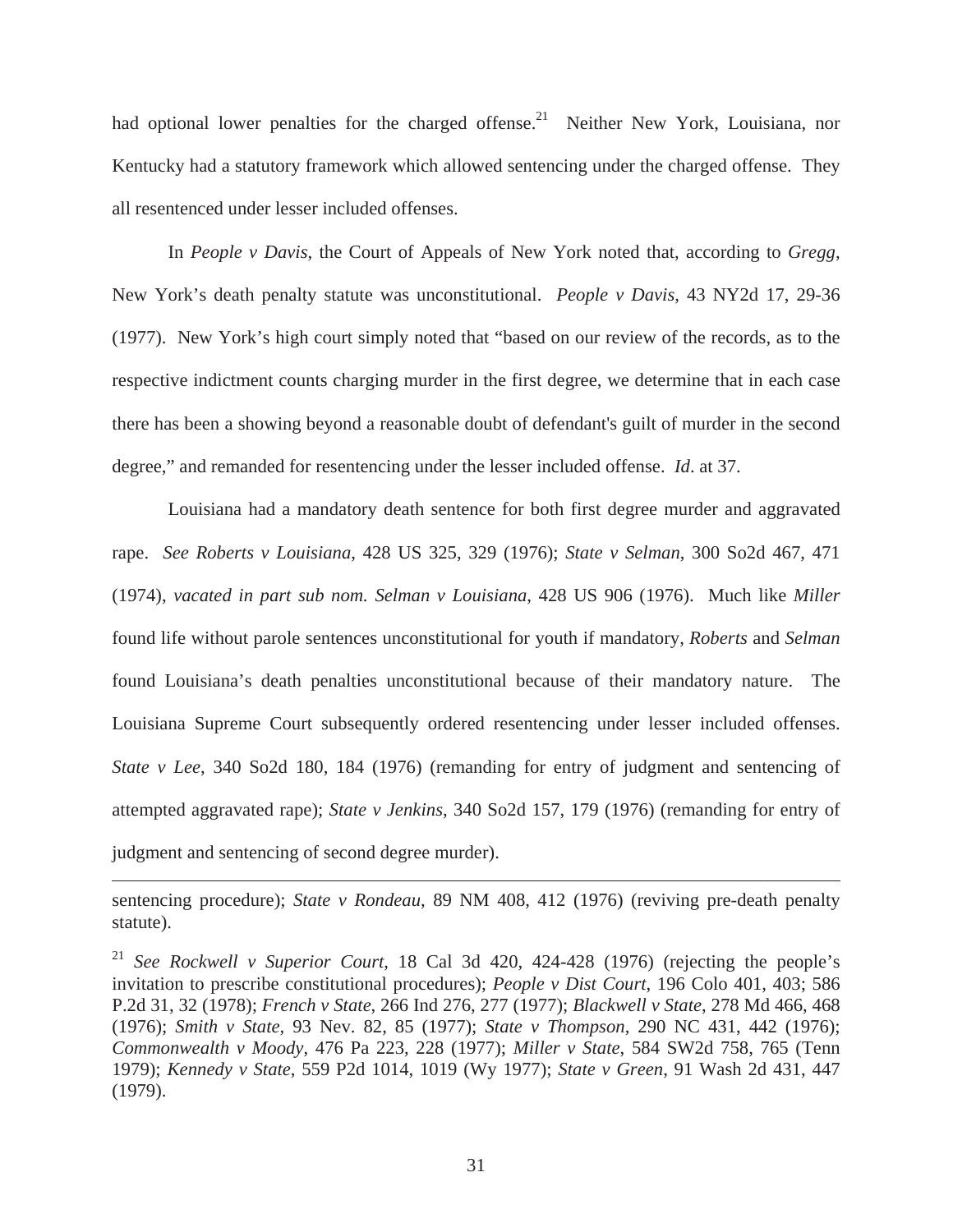had optional lower penalties for the charged offense.<sup>21</sup> Neither New York, Louisiana, nor Kentucky had a statutory framework which allowed sentencing under the charged offense. They all resentenced under lesser included offenses.

In *People v Davis*, the Court of Appeals of New York noted that, according to *Gregg*, New York's death penalty statute was unconstitutional. *People v Davis*, 43 NY2d 17, 29-36 (1977). New York's high court simply noted that "based on our review of the records, as to the respective indictment counts charging murder in the first degree, we determine that in each case there has been a showing beyond a reasonable doubt of defendant's guilt of murder in the second degree," and remanded for resentencing under the lesser included offense. *Id*. at 37.

Louisiana had a mandatory death sentence for both first degree murder and aggravated rape. *See Roberts v Louisiana*, 428 US 325, 329 (1976); *State v Selman*, 300 So2d 467, 471 (1974), *vacated in part sub nom. Selman v Louisiana*, 428 US 906 (1976). Much like *Miller* found life without parole sentences unconstitutional for youth if mandatory, *Roberts* and *Selman* found Louisiana's death penalties unconstitutional because of their mandatory nature. The Louisiana Supreme Court subsequently ordered resentencing under lesser included offenses. *State v Lee*, 340 So2d 180, 184 (1976) (remanding for entry of judgment and sentencing of attempted aggravated rape); *State v Jenkins*, 340 So2d 157, 179 (1976) (remanding for entry of judgment and sentencing of second degree murder).

sentencing procedure); *State v Rondeau*, 89 NM 408, 412 (1976) (reviving pre-death penalty statute).

<sup>21</sup> *See Rockwell v Superior Court*, 18 Cal 3d 420, 424-428 (1976) (rejecting the people's invitation to prescribe constitutional procedures); *People v Dist Court*, 196 Colo 401, 403; 586 P.2d 31, 32 (1978); *French v State*, 266 Ind 276, 277 (1977); *Blackwell v State*, 278 Md 466, 468 (1976); *Smith v State*, 93 Nev. 82, 85 (1977); *State v Thompson*, 290 NC 431, 442 (1976); *Commonwealth v Moody*, 476 Pa 223, 228 (1977); *Miller v State*, 584 SW2d 758, 765 (Tenn 1979); *Kennedy v State*, 559 P2d 1014, 1019 (Wy 1977); *State v Green*, 91 Wash 2d 431, 447 (1979).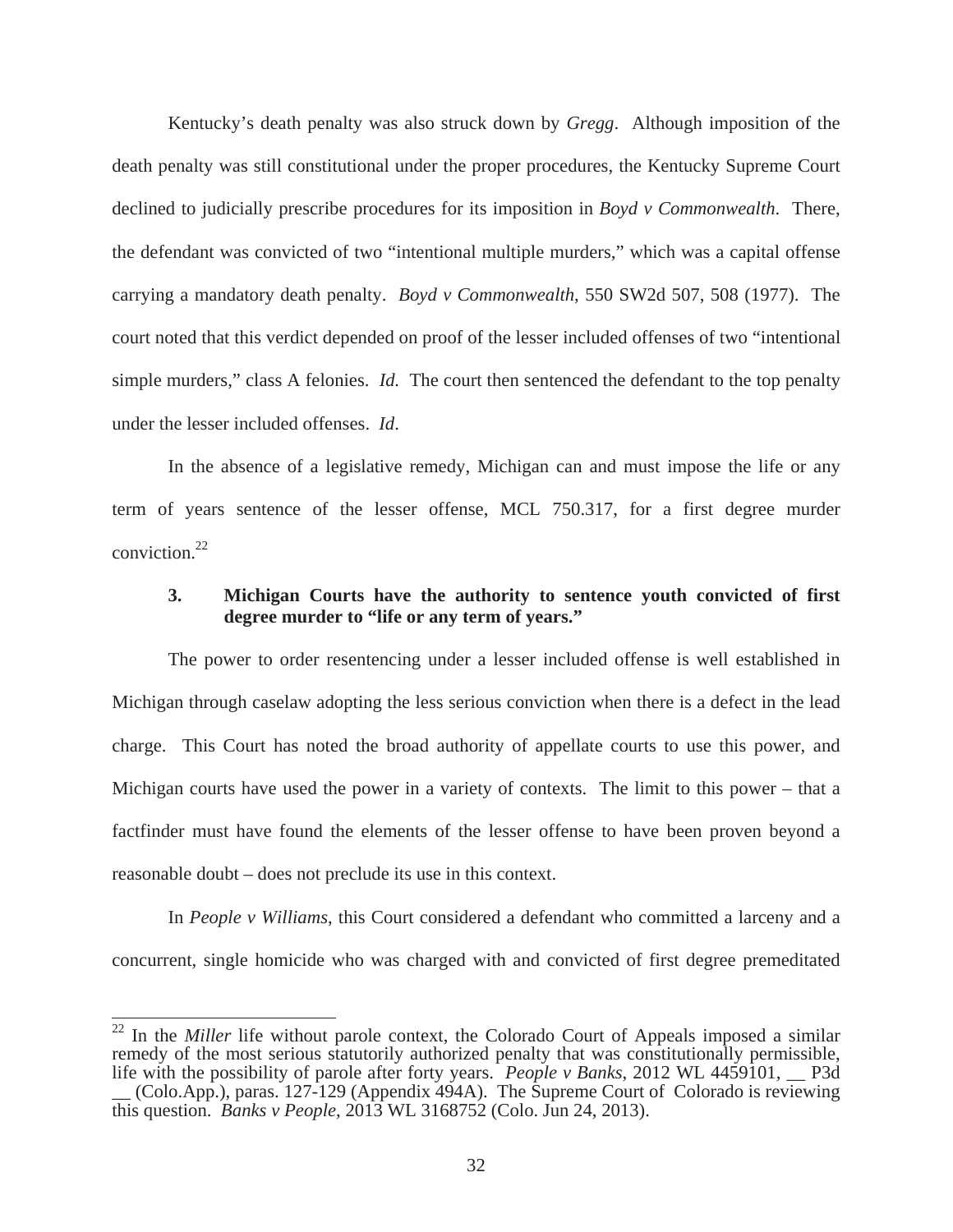Kentucky's death penalty was also struck down by *Gregg*. Although imposition of the death penalty was still constitutional under the proper procedures, the Kentucky Supreme Court declined to judicially prescribe procedures for its imposition in *Boyd v Commonwealth*. There, the defendant was convicted of two "intentional multiple murders," which was a capital offense carrying a mandatory death penalty. *Boyd v Commonwealth*, 550 SW2d 507, 508 (1977). The court noted that this verdict depended on proof of the lesser included offenses of two "intentional simple murders," class A felonies. *Id.* The court then sentenced the defendant to the top penalty under the lesser included offenses. *Id*.

In the absence of a legislative remedy, Michigan can and must impose the life or any term of years sentence of the lesser offense, MCL 750.317, for a first degree murder conviction.22

### **3. Michigan Courts have the authority to sentence youth convicted of first degree murder to "life or any term of years."**

 The power to order resentencing under a lesser included offense is well established in Michigan through caselaw adopting the less serious conviction when there is a defect in the lead charge. This Court has noted the broad authority of appellate courts to use this power, and Michigan courts have used the power in a variety of contexts. The limit to this power – that a factfinder must have found the elements of the lesser offense to have been proven beyond a reasonable doubt – does not preclude its use in this context.

In *People v Williams*, this Court considered a defendant who committed a larceny and a concurrent, single homicide who was charged with and convicted of first degree premeditated

<sup>&</sup>lt;sup>22</sup> In the *Miller* life without parole context, the Colorado Court of Appeals imposed a similar remedy of the most serious statutorily authorized penalty that was constitutionally permissible, life with the possibility of parole after forty years. *People v Banks*, 2012 WL 4459101, \_\_ P3d \_\_ (Colo.App.), paras. 127-129 (Appendix 494A). The Supreme Court of Colorado is reviewing this question. *Banks v People*, 2013 WL 3168752 (Colo. Jun 24, 2013).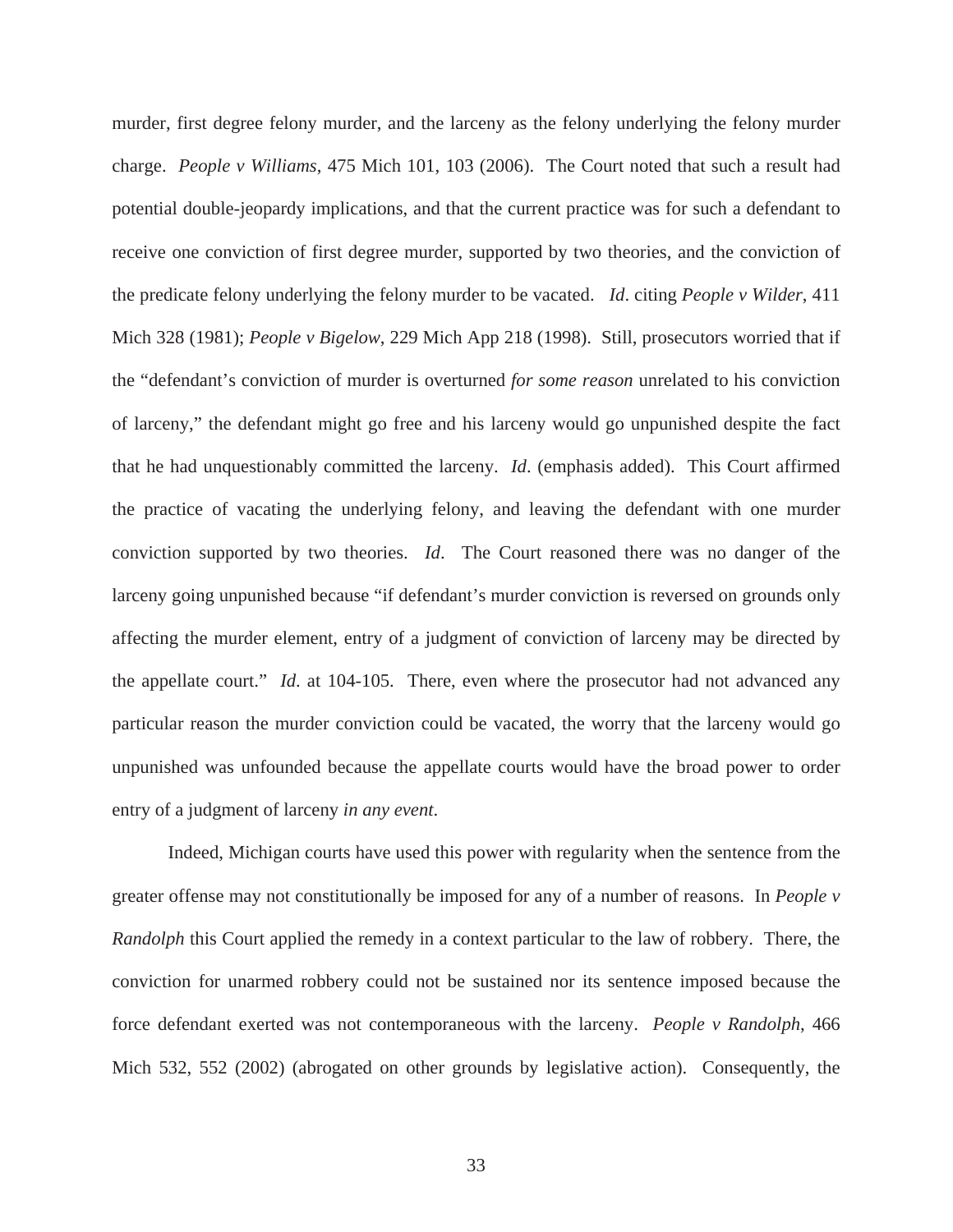murder, first degree felony murder, and the larceny as the felony underlying the felony murder charge. *People v Williams*, 475 Mich 101, 103 (2006). The Court noted that such a result had potential double-jeopardy implications, and that the current practice was for such a defendant to receive one conviction of first degree murder, supported by two theories, and the conviction of the predicate felony underlying the felony murder to be vacated. *Id*. citing *People v Wilder*, 411 Mich 328 (1981); *People v Bigelow*, 229 Mich App 218 (1998). Still, prosecutors worried that if the "defendant's conviction of murder is overturned *for some reason* unrelated to his conviction of larceny," the defendant might go free and his larceny would go unpunished despite the fact that he had unquestionably committed the larceny. *Id*. (emphasis added). This Court affirmed the practice of vacating the underlying felony, and leaving the defendant with one murder conviction supported by two theories. *Id*. The Court reasoned there was no danger of the larceny going unpunished because "if defendant's murder conviction is reversed on grounds only affecting the murder element, entry of a judgment of conviction of larceny may be directed by the appellate court." *Id*. at 104-105. There, even where the prosecutor had not advanced any particular reason the murder conviction could be vacated, the worry that the larceny would go unpunished was unfounded because the appellate courts would have the broad power to order entry of a judgment of larceny *in any event*.

Indeed, Michigan courts have used this power with regularity when the sentence from the greater offense may not constitutionally be imposed for any of a number of reasons. In *People v Randolph* this Court applied the remedy in a context particular to the law of robbery. There, the conviction for unarmed robbery could not be sustained nor its sentence imposed because the force defendant exerted was not contemporaneous with the larceny. *People v Randolph*, 466 Mich 532, 552 (2002) (abrogated on other grounds by legislative action). Consequently, the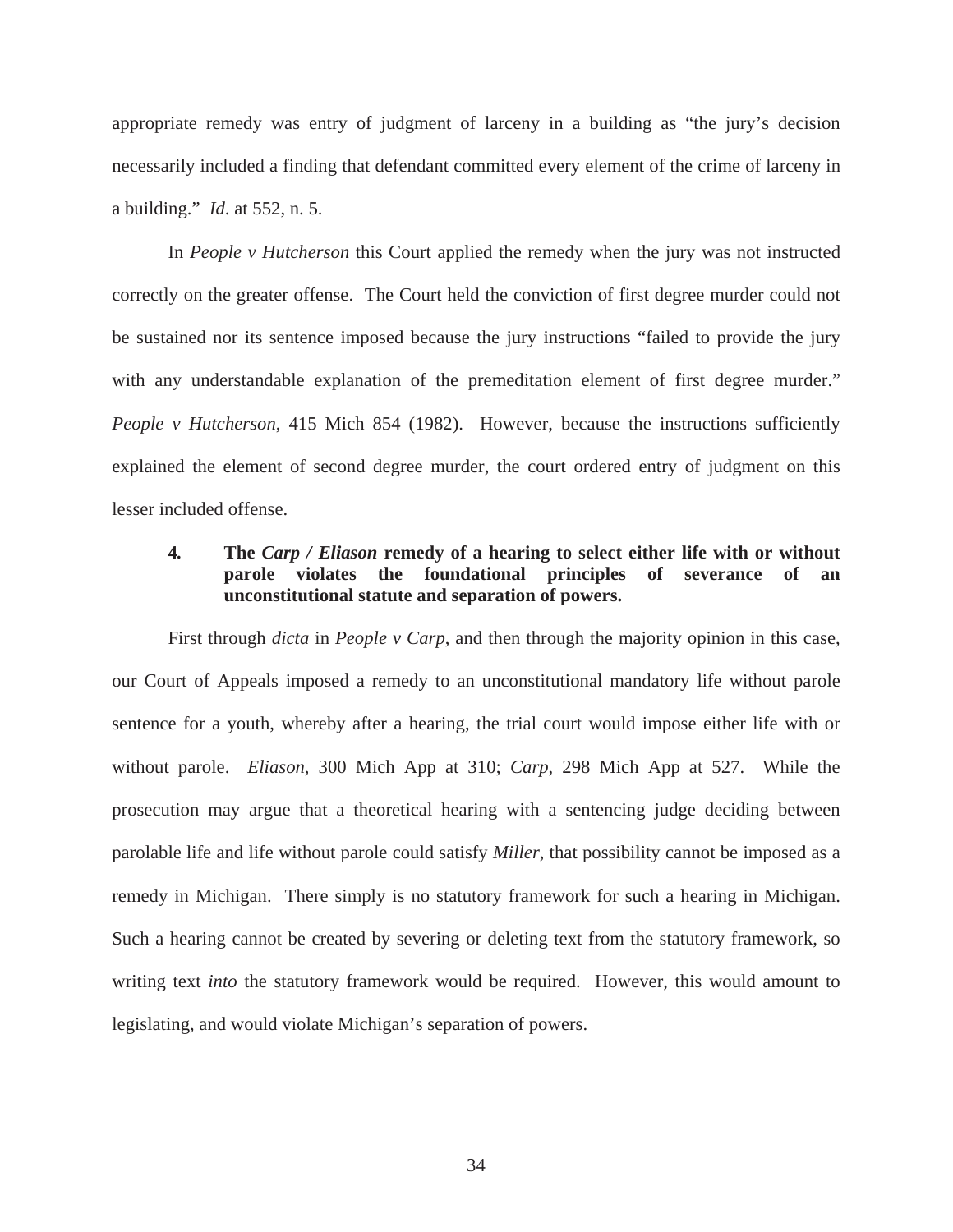appropriate remedy was entry of judgment of larceny in a building as "the jury's decision necessarily included a finding that defendant committed every element of the crime of larceny in a building." *Id*. at 552, n. 5.

In *People v Hutcherson* this Court applied the remedy when the jury was not instructed correctly on the greater offense. The Court held the conviction of first degree murder could not be sustained nor its sentence imposed because the jury instructions "failed to provide the jury with any understandable explanation of the premeditation element of first degree murder." *People v Hutcherson*, 415 Mich 854 (1982). However, because the instructions sufficiently explained the element of second degree murder, the court ordered entry of judgment on this lesser included offense.

## **4***.* **The** *Carp / Eliason* **remedy of a hearing to select either life with or without parole violates the foundational principles of severance of an unconstitutional statute and separation of powers.**

 First through *dicta* in *People v Carp*, and then through the majority opinion in this case, our Court of Appeals imposed a remedy to an unconstitutional mandatory life without parole sentence for a youth, whereby after a hearing, the trial court would impose either life with or without parole. *Eliason*, 300 Mich App at 310; *Carp*, 298 Mich App at 527. While the prosecution may argue that a theoretical hearing with a sentencing judge deciding between parolable life and life without parole could satisfy *Miller*, that possibility cannot be imposed as a remedy in Michigan. There simply is no statutory framework for such a hearing in Michigan. Such a hearing cannot be created by severing or deleting text from the statutory framework, so writing text *into* the statutory framework would be required. However, this would amount to legislating, and would violate Michigan's separation of powers.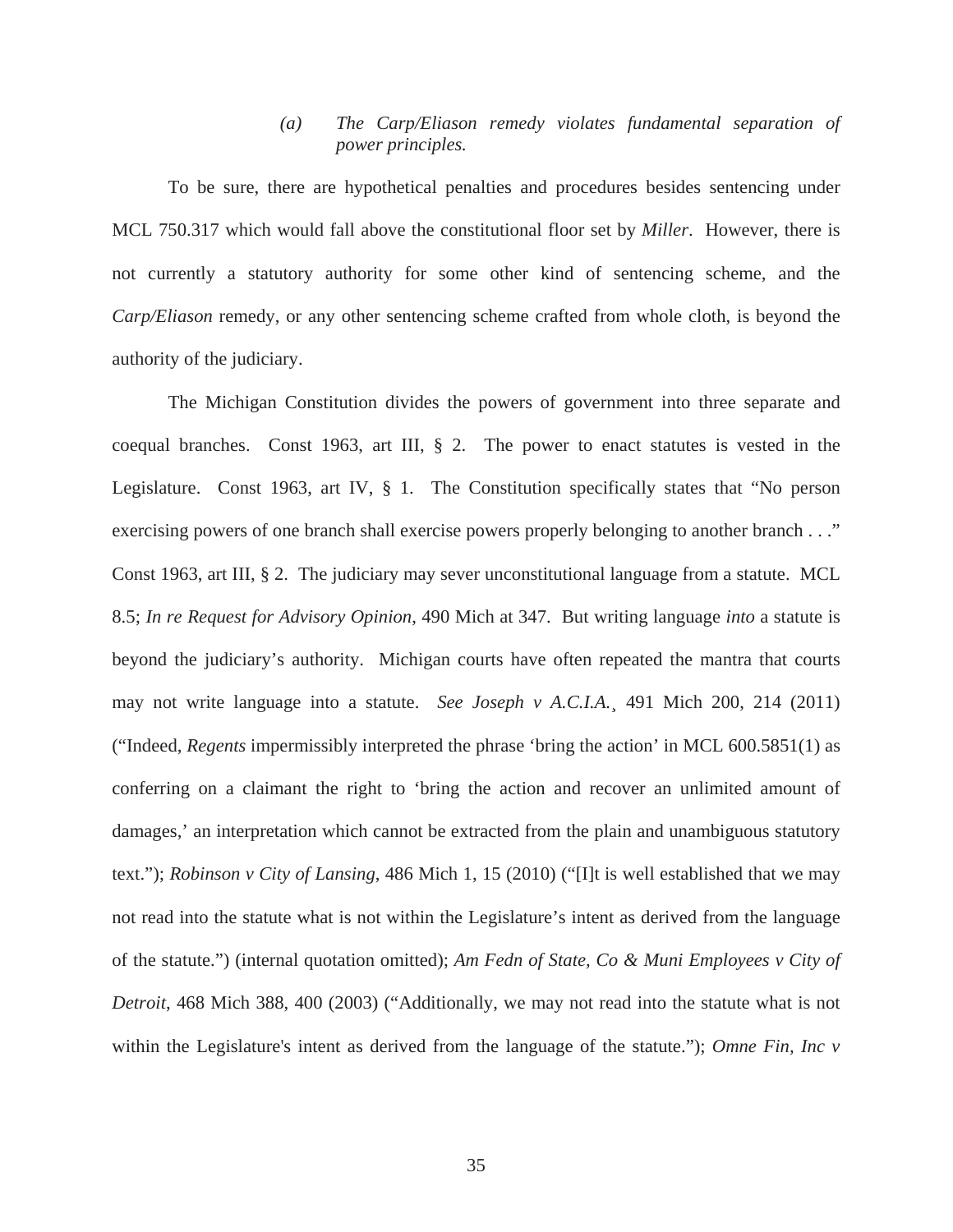## *(a) The Carp/Eliason remedy violates fundamental separation of power principles.*

To be sure, there are hypothetical penalties and procedures besides sentencing under MCL 750.317 which would fall above the constitutional floor set by *Miller*. However, there is not currently a statutory authority for some other kind of sentencing scheme, and the *Carp/Eliason* remedy, or any other sentencing scheme crafted from whole cloth, is beyond the authority of the judiciary.

The Michigan Constitution divides the powers of government into three separate and coequal branches. Const 1963, art III, § 2. The power to enact statutes is vested in the Legislature. Const 1963, art IV, § 1. The Constitution specifically states that "No person exercising powers of one branch shall exercise powers properly belonging to another branch . . ." Const 1963, art III, § 2. The judiciary may sever unconstitutional language from a statute. MCL 8.5; *In re Request for Advisory Opinion*, 490 Mich at 347. But writing language *into* a statute is beyond the judiciary's authority. Michigan courts have often repeated the mantra that courts may not write language into a statute. *See Joseph v A.C.I.A.*¸ 491 Mich 200, 214 (2011) ("Indeed, *Regents* impermissibly interpreted the phrase 'bring the action' in MCL 600.5851(1) as conferring on a claimant the right to 'bring the action and recover an unlimited amount of damages,' an interpretation which cannot be extracted from the plain and unambiguous statutory text."); *Robinson v City of Lansing*, 486 Mich 1, 15 (2010) ("[I]t is well established that we may not read into the statute what is not within the Legislature's intent as derived from the language of the statute.") (internal quotation omitted); *Am Fedn of State, Co & Muni Employees v City of Detroit*, 468 Mich 388, 400 (2003) ("Additionally, we may not read into the statute what is not within the Legislature's intent as derived from the language of the statute."); *Omne Fin, Inc v*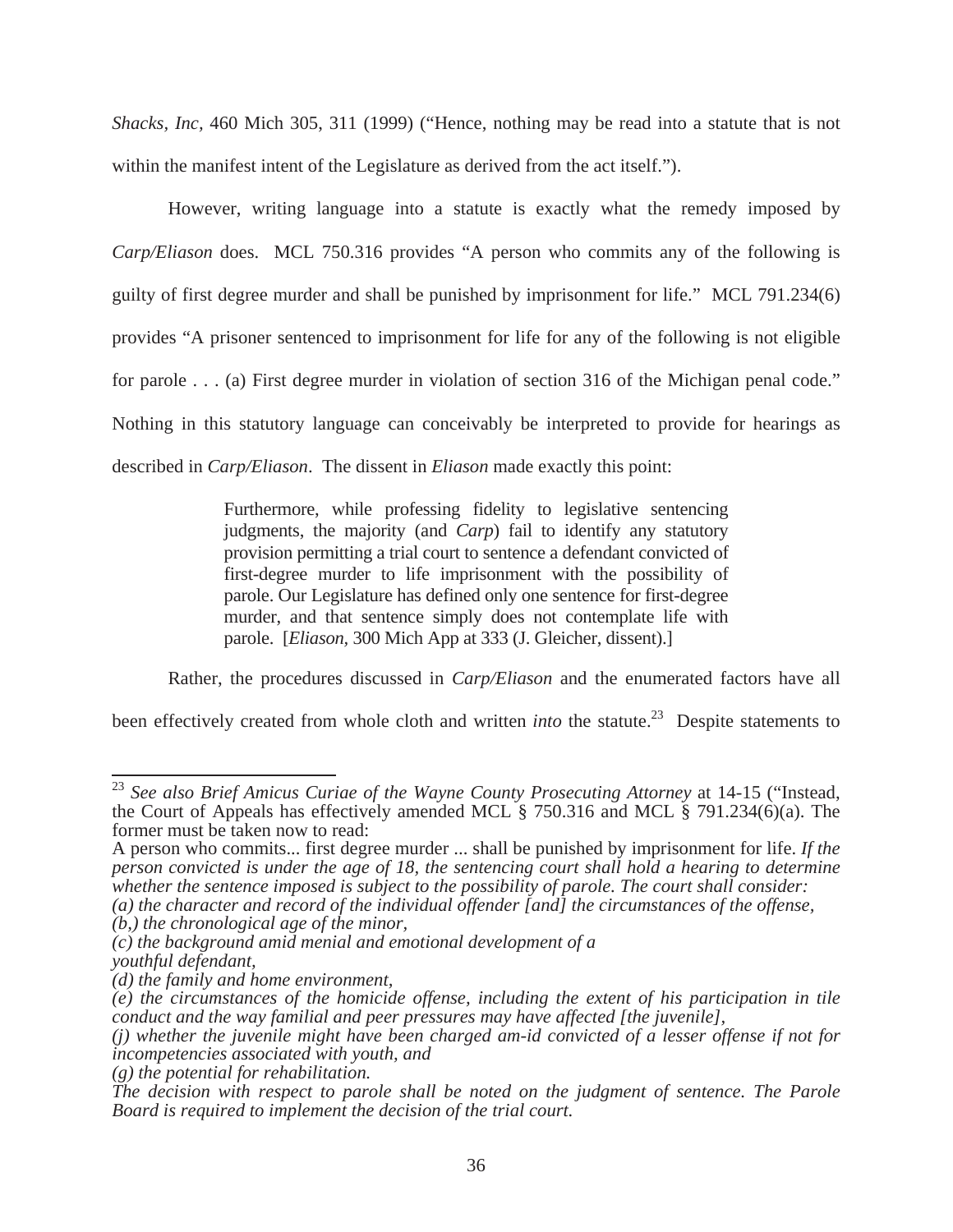*Shacks, Inc,* 460 Mich 305, 311 (1999) ("Hence, nothing may be read into a statute that is not within the manifest intent of the Legislature as derived from the act itself.").

 However, writing language into a statute is exactly what the remedy imposed by *Carp/Eliason* does. MCL 750.316 provides "A person who commits any of the following is guilty of first degree murder and shall be punished by imprisonment for life." MCL 791.234(6) provides "A prisoner sentenced to imprisonment for life for any of the following is not eligible for parole . . . (a) First degree murder in violation of section 316 of the Michigan penal code." Nothing in this statutory language can conceivably be interpreted to provide for hearings as described in *Carp/Eliason*. The dissent in *Eliason* made exactly this point:

> Furthermore, while professing fidelity to legislative sentencing judgments, the majority (and *Carp*) fail to identify any statutory provision permitting a trial court to sentence a defendant convicted of first-degree murder to life imprisonment with the possibility of parole. Our Legislature has defined only one sentence for first-degree murder, and that sentence simply does not contemplate life with parole. [*Eliason,* 300 Mich App at 333 (J. Gleicher, dissent).]

Rather, the procedures discussed in *Carp/Eliason* and the enumerated factors have all

been effectively created from whole cloth and written *into* the statute.<sup>23</sup> Despite statements to

<sup>&</sup>lt;sup>23</sup> See also Brief Amicus Curiae of the Wayne County Prosecuting Attorney at 14-15 ("Instead, the Court of Appeals has effectively amended MCL § 750.316 and MCL § 791.234(6)(a). The former must be taken now to read:

A person who commits... first degree murder ... shall be punished by imprisonment for life. *If the person convicted is under the age of 18, the sentencing court shall hold a hearing to determine whether the sentence imposed is subject to the possibility of parole. The court shall consider: (a) the character and record of the individual offender [and] the circumstances of the offense,* 

*<sup>(</sup>b,) the chronological age of the minor,* 

*<sup>(</sup>c) the background amid menial and emotional development of a youthful defendant,* 

*<sup>(</sup>d) the family and home environment,* 

*<sup>(</sup>e) the circumstances of the homicide offense, including the extent of his participation in tile conduct and the way familial and peer pressures may have affected [the juvenile],* 

*<sup>(</sup>j) whether the juvenile might have been charged am-id convicted of a lesser offense if not for incompetencies associated with youth, and* 

*<sup>(</sup>g) the potential for rehabilitation.* 

*The decision with respect to parole shall be noted on the judgment of sentence. The Parole Board is required to implement the decision of the trial court.*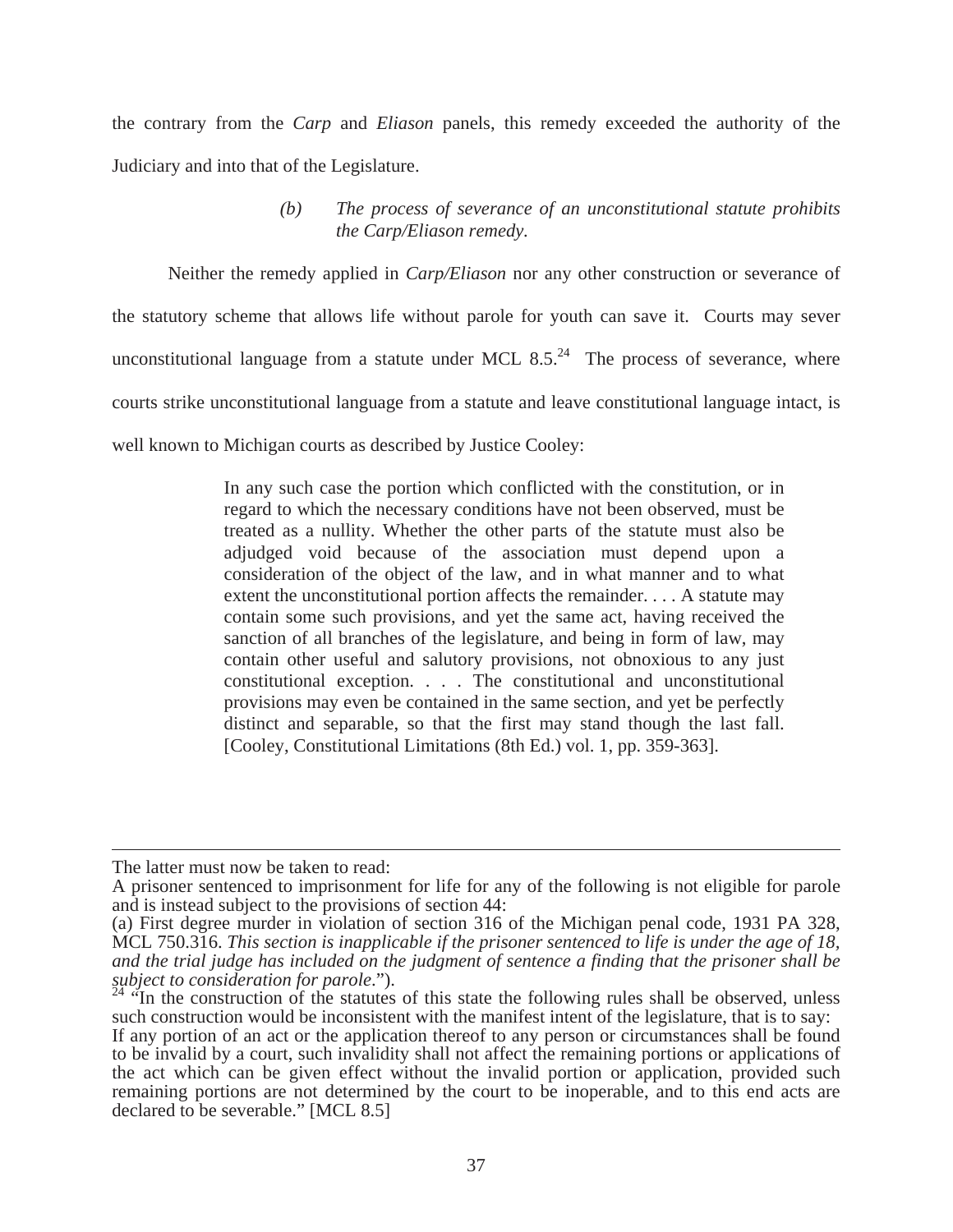the contrary from the *Carp* and *Eliason* panels, this remedy exceeded the authority of the Judiciary and into that of the Legislature.

> *(b) The process of severance of an unconstitutional statute prohibits the Carp/Eliason remedy.*

 Neither the remedy applied in *Carp/Eliason* nor any other construction or severance of the statutory scheme that allows life without parole for youth can save it. Courts may sever unconstitutional language from a statute under MCL  $8.5<sup>24</sup>$  The process of severance, where courts strike unconstitutional language from a statute and leave constitutional language intact, is well known to Michigan courts as described by Justice Cooley:

> In any such case the portion which conflicted with the constitution, or in regard to which the necessary conditions have not been observed, must be treated as a nullity. Whether the other parts of the statute must also be adjudged void because of the association must depend upon a consideration of the object of the law, and in what manner and to what extent the unconstitutional portion affects the remainder. . . . A statute may contain some such provisions, and yet the same act, having received the sanction of all branches of the legislature, and being in form of law, may contain other useful and salutory provisions, not obnoxious to any just constitutional exception. . . . The constitutional and unconstitutional provisions may even be contained in the same section, and yet be perfectly distinct and separable, so that the first may stand though the last fall. [Cooley, Constitutional Limitations (8th Ed.) vol. 1, pp. 359-363].

The latter must now be taken to read:

A prisoner sentenced to imprisonment for life for any of the following is not eligible for parole and is instead subject to the provisions of section 44:

<sup>(</sup>a) First degree murder in violation of section 316 of the Michigan penal code, 1931 PA 328, MCL 750.316. *This section is inapplicable if the prisoner sentenced to life is under the age of 18, and the trial judge has included on the judgment of sentence a finding that the prisoner shall be* 

<sup>&</sup>lt;sup>"</sup>In the construction of the statutes of this state the following rules shall be observed, unless such construction would be inconsistent with the manifest intent of the legislature, that is to say:

If any portion of an act or the application thereof to any person or circumstances shall be found to be invalid by a court, such invalidity shall not affect the remaining portions or applications of the act which can be given effect without the invalid portion or application, provided such remaining portions are not determined by the court to be inoperable, and to this end acts are declared to be severable." [MCL 8.5]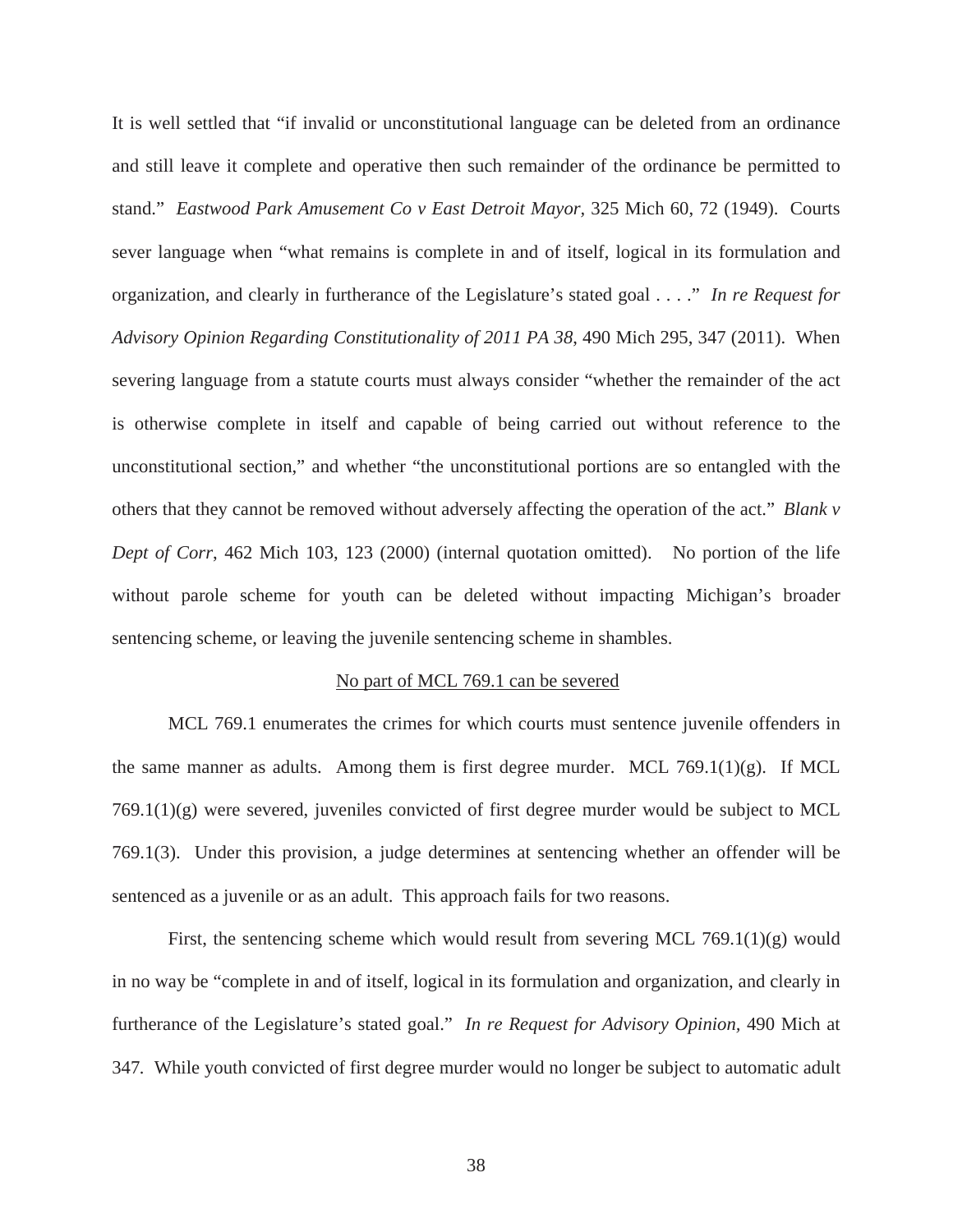It is well settled that "if invalid or unconstitutional language can be deleted from an ordinance and still leave it complete and operative then such remainder of the ordinance be permitted to stand." *Eastwood Park Amusement Co v East Detroit Mayor,* 325 Mich 60, 72 (1949). Courts sever language when "what remains is complete in and of itself, logical in its formulation and organization, and clearly in furtherance of the Legislature's stated goal . . . ." *In re Request for Advisory Opinion Regarding Constitutionality of 2011 PA 38*, 490 Mich 295, 347 (2011). When severing language from a statute courts must always consider "whether the remainder of the act is otherwise complete in itself and capable of being carried out without reference to the unconstitutional section," and whether "the unconstitutional portions are so entangled with the others that they cannot be removed without adversely affecting the operation of the act." *Blank v Dept of Corr*, 462 Mich 103, 123 (2000) (internal quotation omitted). No portion of the life without parole scheme for youth can be deleted without impacting Michigan's broader sentencing scheme, or leaving the juvenile sentencing scheme in shambles.

#### No part of MCL 769.1 can be severed

MCL 769.1 enumerates the crimes for which courts must sentence juvenile offenders in the same manner as adults. Among them is first degree murder. MCL 769.1(1)(g). If MCL  $769.1(1)(g)$  were severed, juveniles convicted of first degree murder would be subject to MCL 769.1(3). Under this provision, a judge determines at sentencing whether an offender will be sentenced as a juvenile or as an adult. This approach fails for two reasons.

First, the sentencing scheme which would result from severing MCL 769.1(1)(g) would in no way be "complete in and of itself, logical in its formulation and organization, and clearly in furtherance of the Legislature's stated goal." *In re Request for Advisory Opinion,* 490 Mich at 347*.* While youth convicted of first degree murder would no longer be subject to automatic adult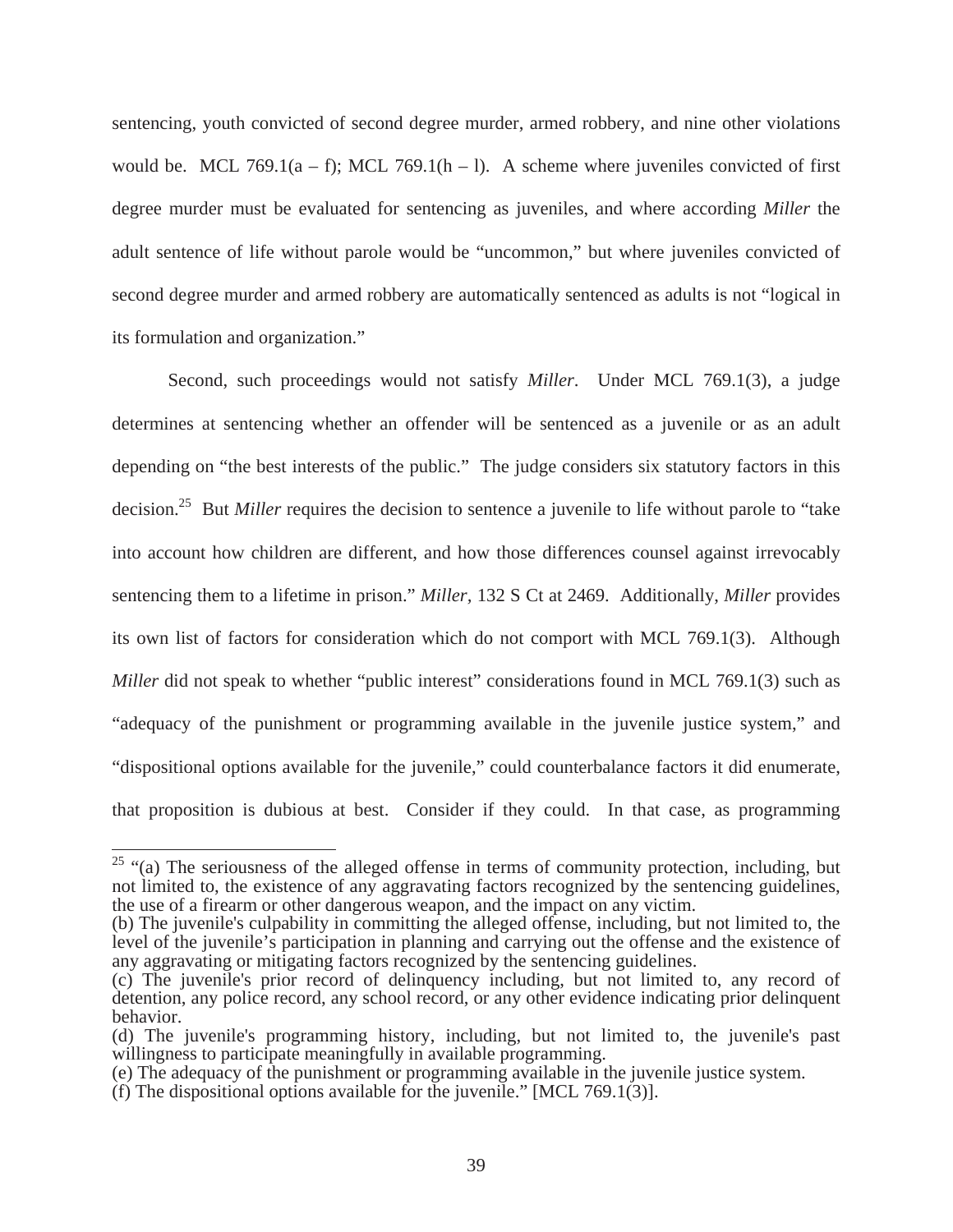sentencing, youth convicted of second degree murder, armed robbery, and nine other violations would be. MCL 769.1(a – f); MCL 769.1(h – l). A scheme where juveniles convicted of first degree murder must be evaluated for sentencing as juveniles, and where according *Miller* the adult sentence of life without parole would be "uncommon," but where juveniles convicted of second degree murder and armed robbery are automatically sentenced as adults is not "logical in its formulation and organization."

Second, such proceedings would not satisfy *Miller*. Under MCL 769.1(3), a judge determines at sentencing whether an offender will be sentenced as a juvenile or as an adult depending on "the best interests of the public." The judge considers six statutory factors in this decision.25 But *Miller* requires the decision to sentence a juvenile to life without parole to "take into account how children are different, and how those differences counsel against irrevocably sentencing them to a lifetime in prison." *Miller,* 132 S Ct at 2469. Additionally, *Miller* provides its own list of factors for consideration which do not comport with MCL 769.1(3). Although *Miller* did not speak to whether "public interest" considerations found in MCL 769.1(3) such as "adequacy of the punishment or programming available in the juvenile justice system," and "dispositional options available for the juvenile," could counterbalance factors it did enumerate, that proposition is dubious at best. Consider if they could. In that case, as programming

 $25$  "(a) The seriousness of the alleged offense in terms of community protection, including, but not limited to, the existence of any aggravating factors recognized by the sentencing guidelines, the use of a firearm or other dangerous weapon, and the impact on any victim.

<sup>(</sup>b) The juvenile's culpability in committing the alleged offense, including, but not limited to, the level of the juvenile's participation in planning and carrying out the offense and the existence of any aggravating or mitigating factors recognized by the sentencing guidelines.

<sup>(</sup>c) The juvenile's prior record of delinquency including, but not limited to, any record of detention, any police record, any school record, or any other evidence indicating prior delinquent behavior.

<sup>(</sup>d) The juvenile's programming history, including, but not limited to, the juvenile's past willingness to participate meaningfully in available programming.

<sup>(</sup>e) The adequacy of the punishment or programming available in the juvenile justice system.

<sup>(</sup>f) The dispositional options available for the juvenile." [MCL 769.1(3)].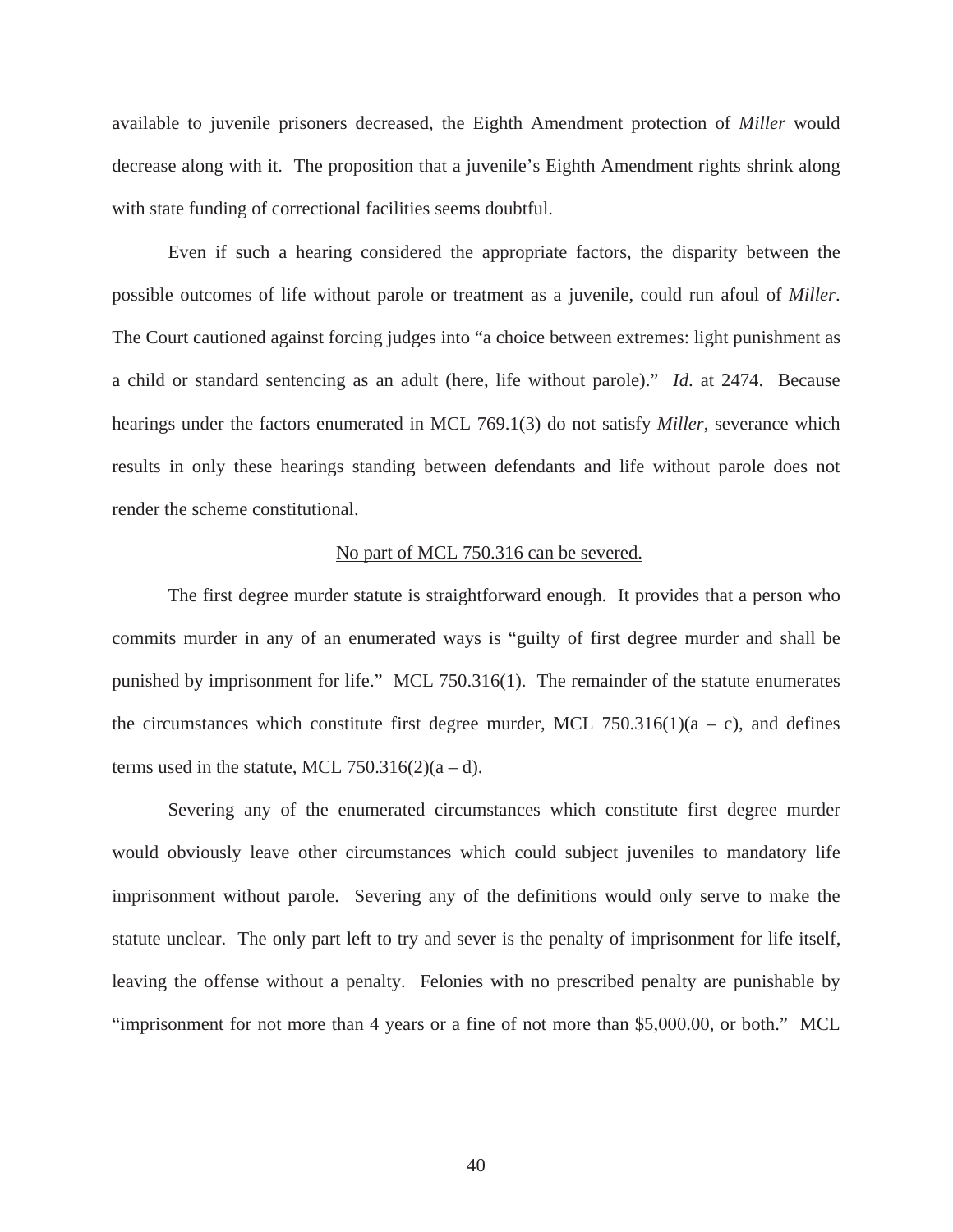available to juvenile prisoners decreased, the Eighth Amendment protection of *Miller* would decrease along with it. The proposition that a juvenile's Eighth Amendment rights shrink along with state funding of correctional facilities seems doubtful.

Even if such a hearing considered the appropriate factors, the disparity between the possible outcomes of life without parole or treatment as a juvenile, could run afoul of *Miller*. The Court cautioned against forcing judges into "a choice between extremes: light punishment as a child or standard sentencing as an adult (here, life without parole)." *Id*. at 2474. Because hearings under the factors enumerated in MCL 769.1(3) do not satisfy *Miller*, severance which results in only these hearings standing between defendants and life without parole does not render the scheme constitutional.

#### No part of MCL 750.316 can be severed.

The first degree murder statute is straightforward enough. It provides that a person who commits murder in any of an enumerated ways is "guilty of first degree murder and shall be punished by imprisonment for life." MCL 750.316(1). The remainder of the statute enumerates the circumstances which constitute first degree murder, MCL 750.316(1)( $a - c$ ), and defines terms used in the statute, MCL 750.316(2)( $a - d$ ).

Severing any of the enumerated circumstances which constitute first degree murder would obviously leave other circumstances which could subject juveniles to mandatory life imprisonment without parole. Severing any of the definitions would only serve to make the statute unclear. The only part left to try and sever is the penalty of imprisonment for life itself, leaving the offense without a penalty. Felonies with no prescribed penalty are punishable by "imprisonment for not more than 4 years or a fine of not more than \$5,000.00, or both." MCL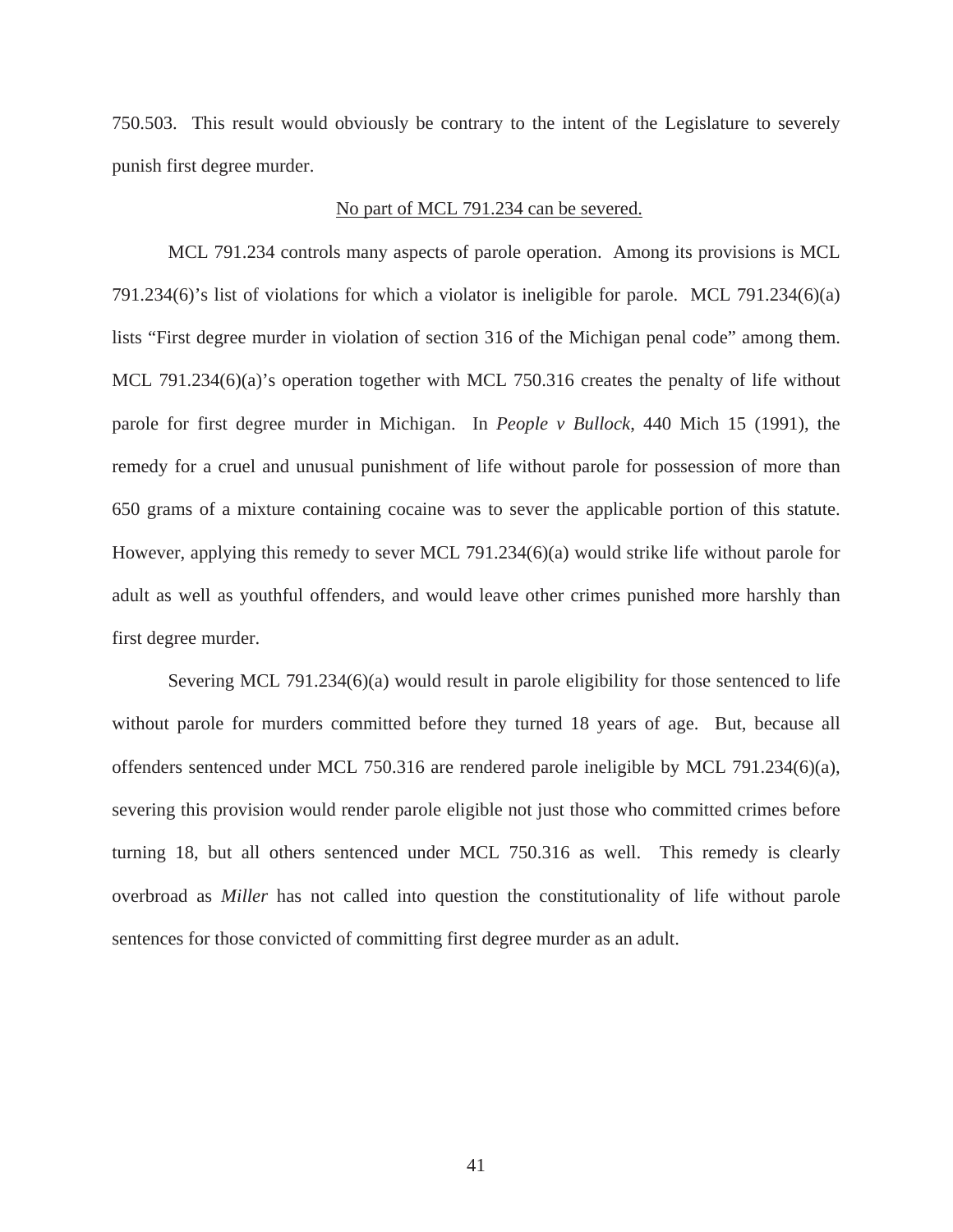750.503. This result would obviously be contrary to the intent of the Legislature to severely punish first degree murder.

#### No part of MCL 791.234 can be severed.

MCL 791.234 controls many aspects of parole operation. Among its provisions is MCL 791.234(6)'s list of violations for which a violator is ineligible for parole. MCL 791.234(6)(a) lists "First degree murder in violation of section 316 of the Michigan penal code" among them. MCL 791.234(6)(a)'s operation together with MCL 750.316 creates the penalty of life without parole for first degree murder in Michigan. In *People v Bullock*, 440 Mich 15 (1991), the remedy for a cruel and unusual punishment of life without parole for possession of more than 650 grams of a mixture containing cocaine was to sever the applicable portion of this statute. However, applying this remedy to sever MCL 791.234(6)(a) would strike life without parole for adult as well as youthful offenders, and would leave other crimes punished more harshly than first degree murder.

Severing MCL 791.234(6)(a) would result in parole eligibility for those sentenced to life without parole for murders committed before they turned 18 years of age. But, because all offenders sentenced under MCL 750.316 are rendered parole ineligible by MCL 791.234(6)(a), severing this provision would render parole eligible not just those who committed crimes before turning 18, but all others sentenced under MCL 750.316 as well. This remedy is clearly overbroad as *Miller* has not called into question the constitutionality of life without parole sentences for those convicted of committing first degree murder as an adult.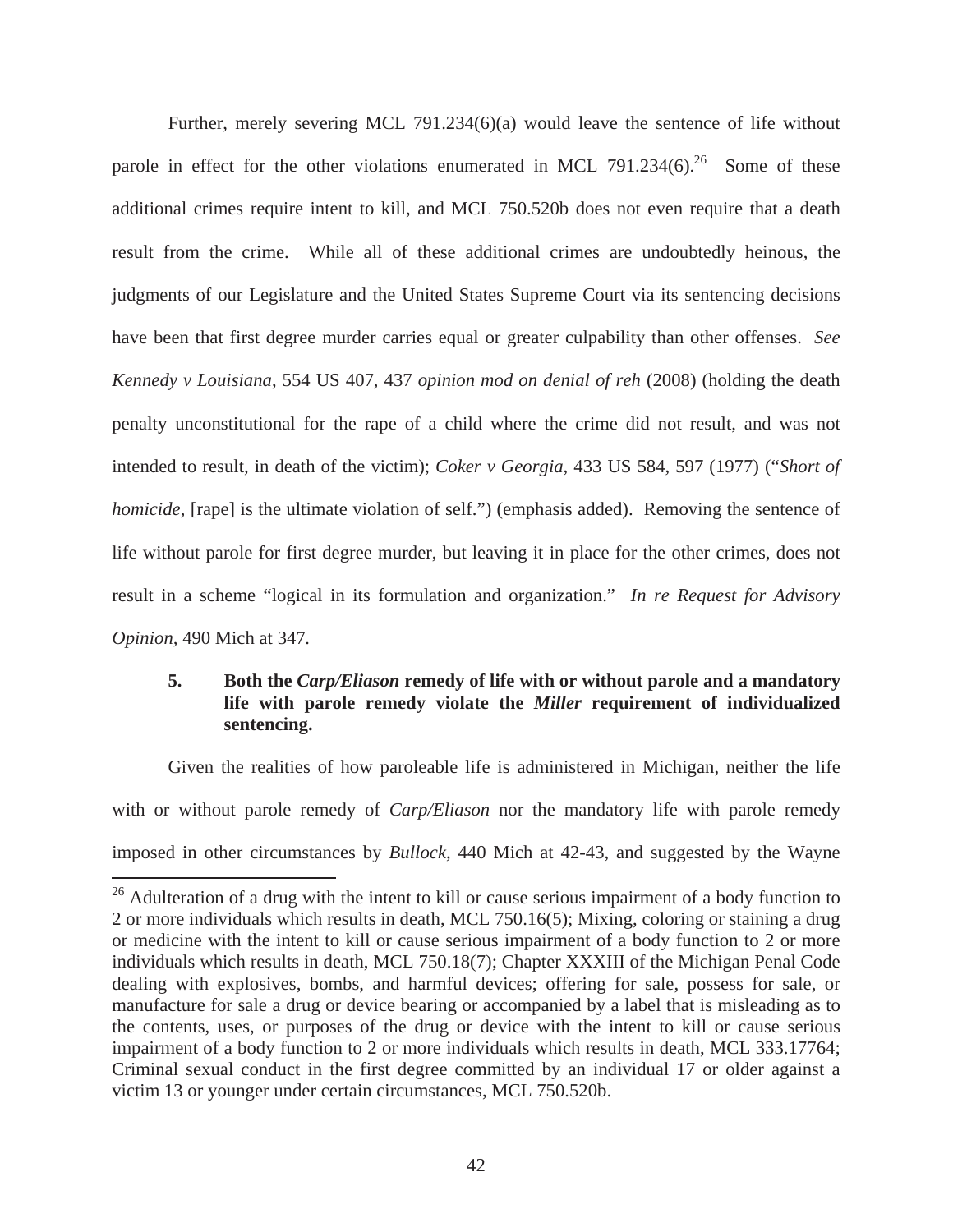Further, merely severing MCL 791.234(6)(a) would leave the sentence of life without parole in effect for the other violations enumerated in MCL 791.234 $(6)$ .<sup>26</sup> Some of these additional crimes require intent to kill, and MCL 750.520b does not even require that a death result from the crime. While all of these additional crimes are undoubtedly heinous, the judgments of our Legislature and the United States Supreme Court via its sentencing decisions have been that first degree murder carries equal or greater culpability than other offenses. *See Kennedy v Louisiana*, 554 US 407, 437 *opinion mod on denial of reh* (2008) (holding the death penalty unconstitutional for the rape of a child where the crime did not result, and was not intended to result, in death of the victim); *Coker v Georgia*, 433 US 584, 597 (1977) ("*Short of homicide*, [rape] is the ultimate violation of self.") (emphasis added). Removing the sentence of life without parole for first degree murder, but leaving it in place for the other crimes, does not result in a scheme "logical in its formulation and organization." *In re Request for Advisory Opinion,* 490 Mich at 347*.*

## **5. Both the** *Carp/Eliason* **remedy of life with or without parole and a mandatory life with parole remedy violate the** *Miller* **requirement of individualized sentencing.**

Given the realities of how paroleable life is administered in Michigan, neither the life with or without parole remedy of *Carp/Eliason* nor the mandatory life with parole remedy imposed in other circumstances by *Bullock*, 440 Mich at 42-43, and suggested by the Wayne

<sup>&</sup>lt;sup>26</sup> Adulteration of a drug with the intent to kill or cause serious impairment of a body function to 2 or more individuals which results in death, MCL 750.16(5); Mixing, coloring or staining a drug or medicine with the intent to kill or cause serious impairment of a body function to 2 or more individuals which results in death, MCL 750.18(7); Chapter XXXIII of the Michigan Penal Code dealing with explosives, bombs, and harmful devices; offering for sale, possess for sale, or manufacture for sale a drug or device bearing or accompanied by a label that is misleading as to the contents, uses, or purposes of the drug or device with the intent to kill or cause serious impairment of a body function to 2 or more individuals which results in death, MCL 333.17764; Criminal sexual conduct in the first degree committed by an individual 17 or older against a victim 13 or younger under certain circumstances, MCL 750.520b.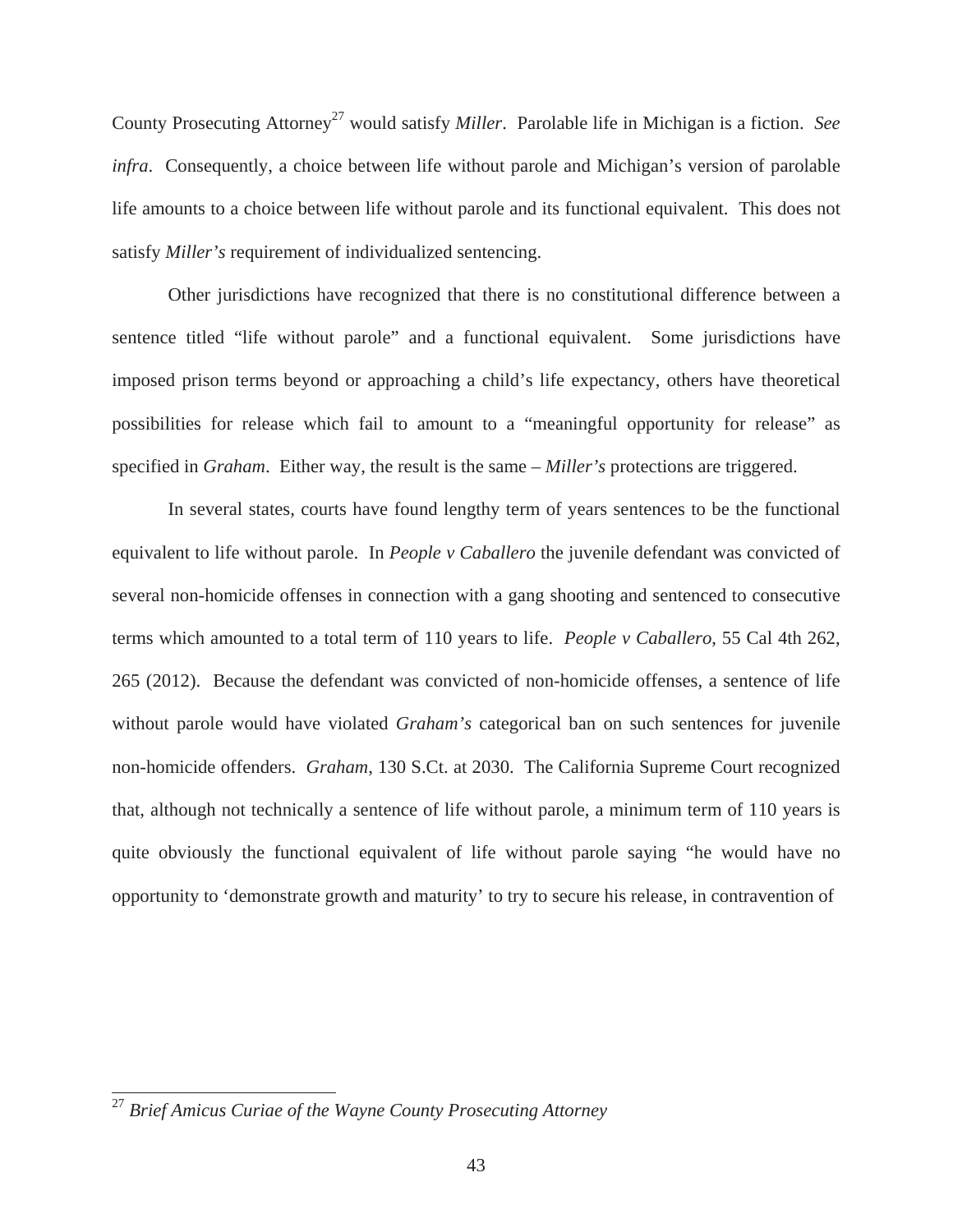County Prosecuting Attorney<sup>27</sup> would satisfy *Miller*. Parolable life in Michigan is a fiction. *See infra*. Consequently, a choice between life without parole and Michigan's version of parolable life amounts to a choice between life without parole and its functional equivalent. This does not satisfy *Miller's* requirement of individualized sentencing.

Other jurisdictions have recognized that there is no constitutional difference between a sentence titled "life without parole" and a functional equivalent. Some jurisdictions have imposed prison terms beyond or approaching a child's life expectancy, others have theoretical possibilities for release which fail to amount to a "meaningful opportunity for release" as specified in *Graham*. Either way, the result is the same – *Miller's* protections are triggered.

In several states, courts have found lengthy term of years sentences to be the functional equivalent to life without parole. In *People v Caballero* the juvenile defendant was convicted of several non-homicide offenses in connection with a gang shooting and sentenced to consecutive terms which amounted to a total term of 110 years to life. *People v Caballero*, 55 Cal 4th 262, 265 (2012). Because the defendant was convicted of non-homicide offenses, a sentence of life without parole would have violated *Graham's* categorical ban on such sentences for juvenile non-homicide offenders. *Graham*, 130 S.Ct. at 2030. The California Supreme Court recognized that, although not technically a sentence of life without parole, a minimum term of 110 years is quite obviously the functional equivalent of life without parole saying "he would have no opportunity to 'demonstrate growth and maturity' to try to secure his release, in contravention of

<sup>27</sup> *Brief Amicus Curiae of the Wayne County Prosecuting Attorney*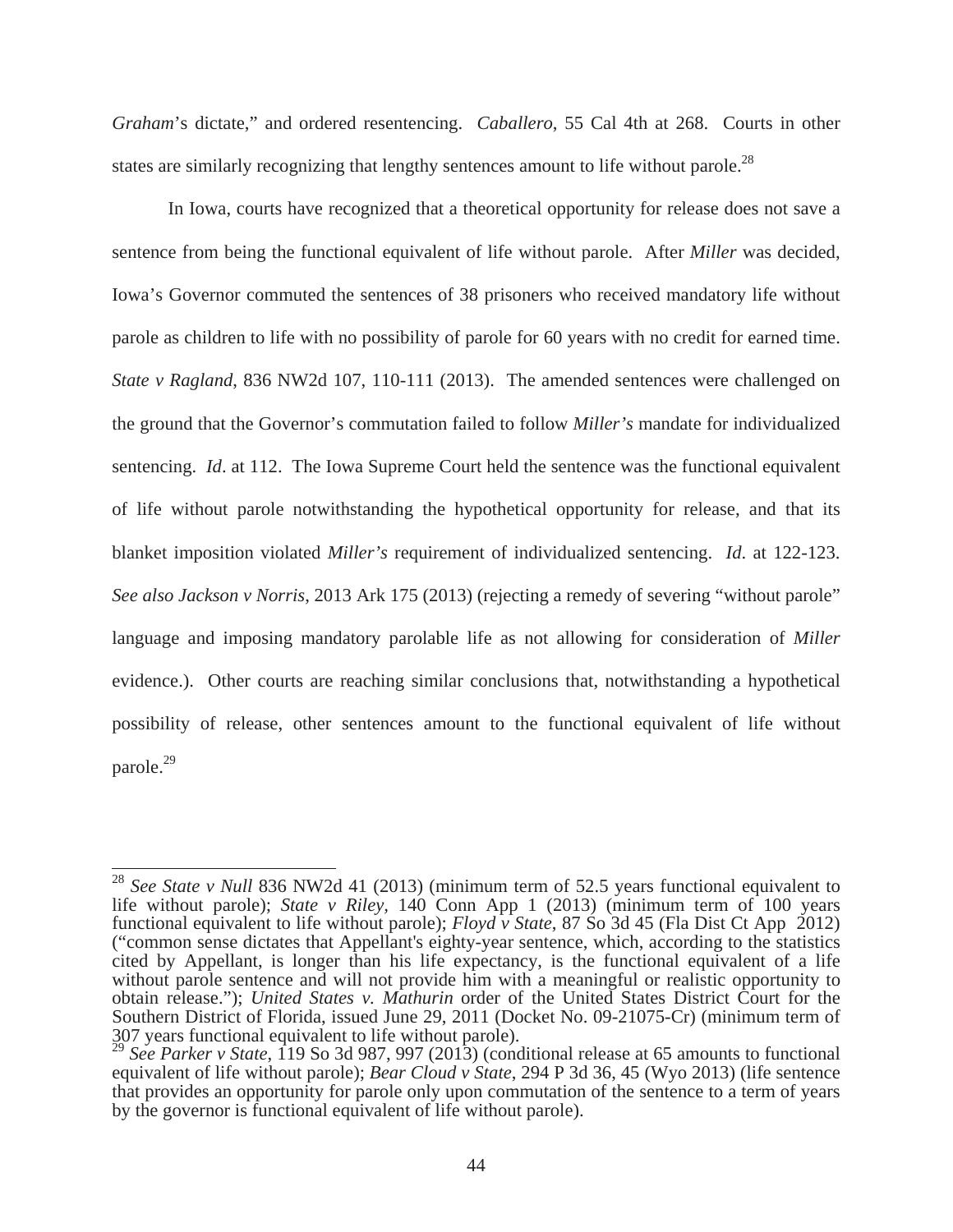*Graham*'s dictate," and ordered resentencing. *Caballero*, 55 Cal 4th at 268. Courts in other states are similarly recognizing that lengthy sentences amount to life without parole.<sup>28</sup>

In Iowa, courts have recognized that a theoretical opportunity for release does not save a sentence from being the functional equivalent of life without parole. After *Miller* was decided, Iowa's Governor commuted the sentences of 38 prisoners who received mandatory life without parole as children to life with no possibility of parole for 60 years with no credit for earned time. *State v Ragland*, 836 NW2d 107, 110-111 (2013). The amended sentences were challenged on the ground that the Governor's commutation failed to follow *Miller's* mandate for individualized sentencing. *Id*. at 112. The Iowa Supreme Court held the sentence was the functional equivalent of life without parole notwithstanding the hypothetical opportunity for release, and that its blanket imposition violated *Miller's* requirement of individualized sentencing. *Id*. at 122-123. *See also Jackson v Norris*, 2013 Ark 175 (2013) (rejecting a remedy of severing "without parole" language and imposing mandatory parolable life as not allowing for consideration of *Miller* evidence.). Other courts are reaching similar conclusions that, notwithstanding a hypothetical possibility of release, other sentences amount to the functional equivalent of life without parole.<sup>29</sup>

<sup>28</sup> *See State v Null* 836 NW2d 41 (2013) (minimum term of 52.5 years functional equivalent to life without parole); *State v Riley,* 140 Conn App 1 (2013) (minimum term of 100 years functional equivalent to life without parole); *Floyd v State*, 87 So 3d 45 (Fla Dist Ct App 2012) ("common sense dictates that Appellant's eighty-year sentence, which, according to the statistics cited by Appellant, is longer than his life expectancy, is the functional equivalent of a life without parole sentence and will not provide him with a meaningful or realistic opportunity to obtain release."); *United States v. Mathurin* order of the United States District Court for the Southern District of Florida, issued June 29, 2011 (Docket No. 09-21075-Cr) (minimum term of  $307$  years functional equivalent to life without parole).

<sup>29</sup> *See Parker v State*, 119 So 3d 987, 997 (2013) (conditional release at 65 amounts to functional equivalent of life without parole); *Bear Cloud v State*, 294 P 3d 36, 45 (Wyo 2013) (life sentence that provides an opportunity for parole only upon commutation of the sentence to a term of years by the governor is functional equivalent of life without parole).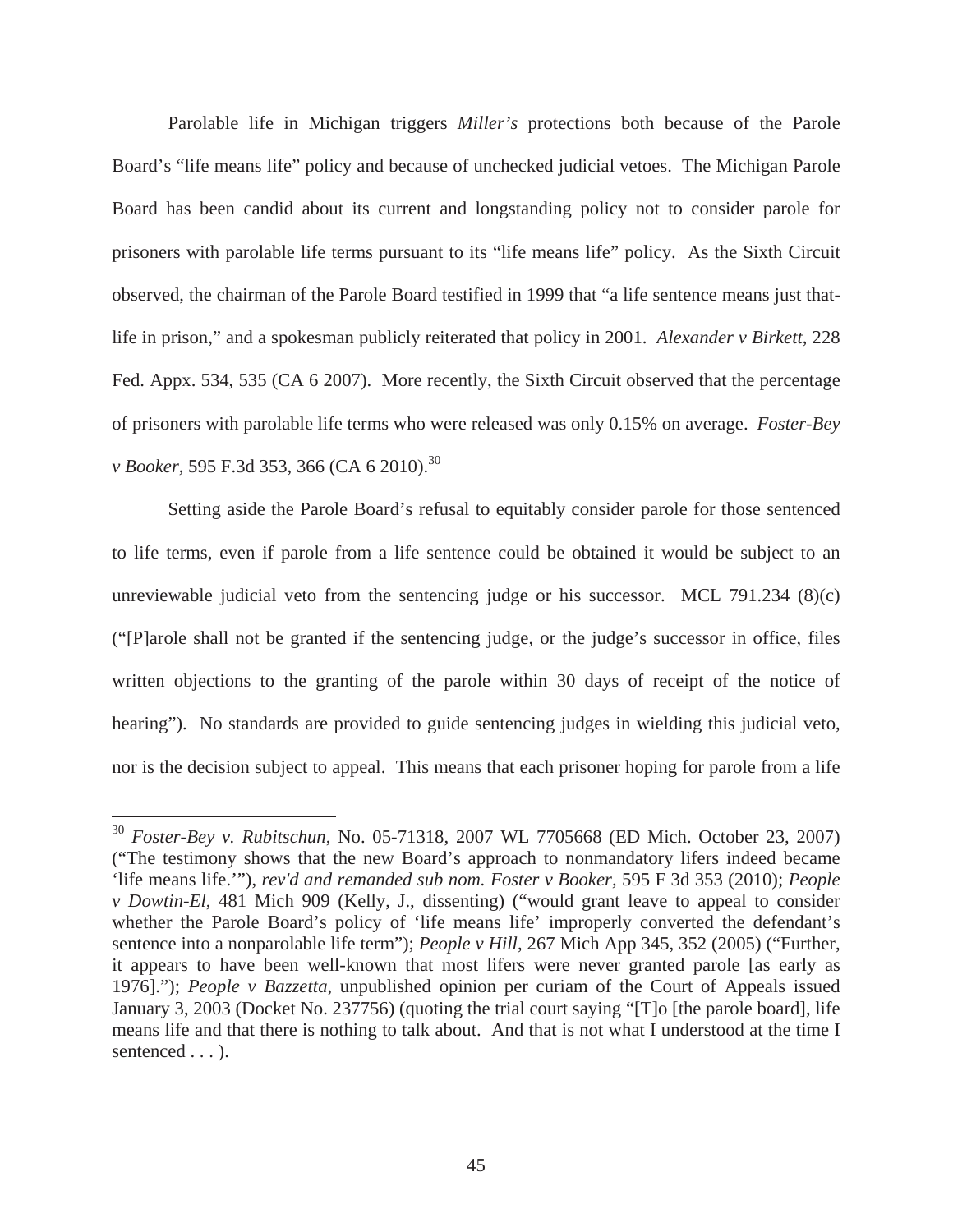Parolable life in Michigan triggers *Miller's* protections both because of the Parole Board's "life means life" policy and because of unchecked judicial vetoes. The Michigan Parole Board has been candid about its current and longstanding policy not to consider parole for prisoners with parolable life terms pursuant to its "life means life" policy. As the Sixth Circuit observed, the chairman of the Parole Board testified in 1999 that "a life sentence means just thatlife in prison," and a spokesman publicly reiterated that policy in 2001. *Alexander v Birkett*, 228 Fed. Appx. 534, 535 (CA 6 2007). More recently, the Sixth Circuit observed that the percentage of prisoners with parolable life terms who were released was only 0.15% on average. *Foster-Bey v Booker*, 595 F.3d 353, 366 (CA 6 2010).<sup>30</sup>

Setting aside the Parole Board's refusal to equitably consider parole for those sentenced to life terms, even if parole from a life sentence could be obtained it would be subject to an unreviewable judicial veto from the sentencing judge or his successor. MCL 791.234  $(8)(c)$ ("[P]arole shall not be granted if the sentencing judge, or the judge's successor in office, files written objections to the granting of the parole within 30 days of receipt of the notice of hearing"). No standards are provided to guide sentencing judges in wielding this judicial veto, nor is the decision subject to appeal. This means that each prisoner hoping for parole from a life

<sup>30</sup> *Foster-Bey v. Rubitschun*, No. 05-71318, 2007 WL 7705668 (ED Mich. October 23, 2007) ("The testimony shows that the new Board's approach to nonmandatory lifers indeed became 'life means life.'"), *rev'd and remanded sub nom. Foster v Booker,* 595 F 3d 353 (2010); *People v Dowtin-El*, 481 Mich 909 (Kelly, J., dissenting) ("would grant leave to appeal to consider whether the Parole Board's policy of 'life means life' improperly converted the defendant's sentence into a nonparolable life term"); *People v Hill*, 267 Mich App 345, 352 (2005) ("Further, it appears to have been well-known that most lifers were never granted parole [as early as 1976]."); *People v Bazzetta*, unpublished opinion per curiam of the Court of Appeals issued January 3, 2003 (Docket No. 237756) (quoting the trial court saying "[T]o [the parole board], life means life and that there is nothing to talk about. And that is not what I understood at the time I sentenced  $\dots$ ).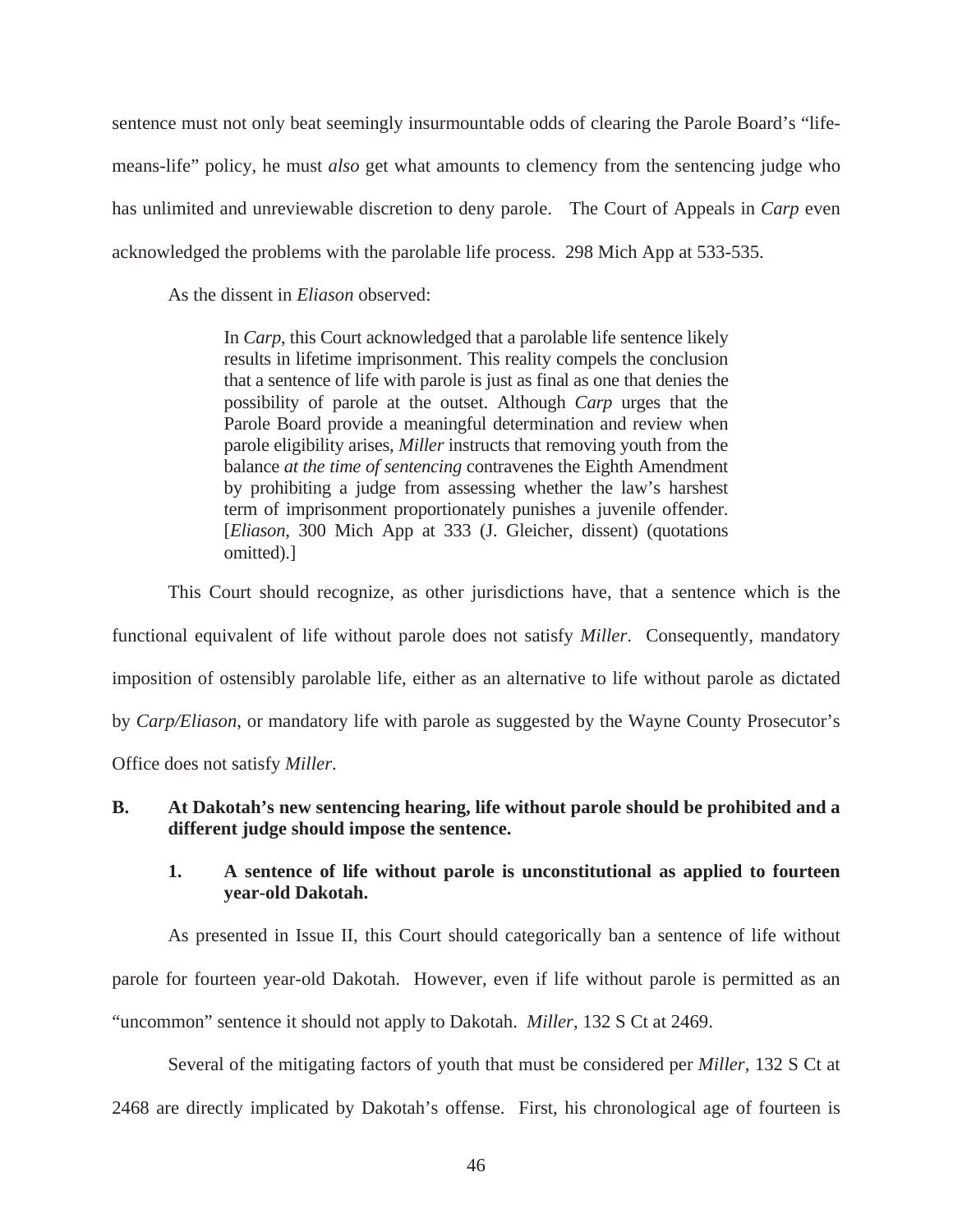sentence must not only beat seemingly insurmountable odds of clearing the Parole Board's "lifemeans-life" policy, he must *also* get what amounts to clemency from the sentencing judge who has unlimited and unreviewable discretion to deny parole. The Court of Appeals in *Carp* even acknowledged the problems with the parolable life process. 298 Mich App at 533-535.

As the dissent in *Eliason* observed:

In *Carp*, this Court acknowledged that a parolable life sentence likely results in lifetime imprisonment. This reality compels the conclusion that a sentence of life with parole is just as final as one that denies the possibility of parole at the outset. Although *Carp* urges that the Parole Board provide a meaningful determination and review when parole eligibility arises, *Miller* instructs that removing youth from the balance *at the time of sentencing* contravenes the Eighth Amendment by prohibiting a judge from assessing whether the law's harshest term of imprisonment proportionately punishes a juvenile offender. [*Eliason,* 300 Mich App at 333 (J. Gleicher, dissent) (quotations omitted).]

This Court should recognize, as other jurisdictions have, that a sentence which is the functional equivalent of life without parole does not satisfy *Miller*. Consequently, mandatory imposition of ostensibly parolable life, either as an alternative to life without parole as dictated by *Carp/Eliason*, or mandatory life with parole as suggested by the Wayne County Prosecutor's Office does not satisfy *Miller*.

## **B. At Dakotah's new sentencing hearing, life without parole should be prohibited and a different judge should impose the sentence.**

## **1. A sentence of life without parole is unconstitutional as applied to fourteen year-old Dakotah.**

 As presented in Issue II, this Court should categorically ban a sentence of life without parole for fourteen year-old Dakotah. However, even if life without parole is permitted as an "uncommon" sentence it should not apply to Dakotah. *Miller*, 132 S Ct at 2469.

 Several of the mitigating factors of youth that must be considered per *Miller*, 132 S Ct at 2468 are directly implicated by Dakotah's offense. First, his chronological age of fourteen is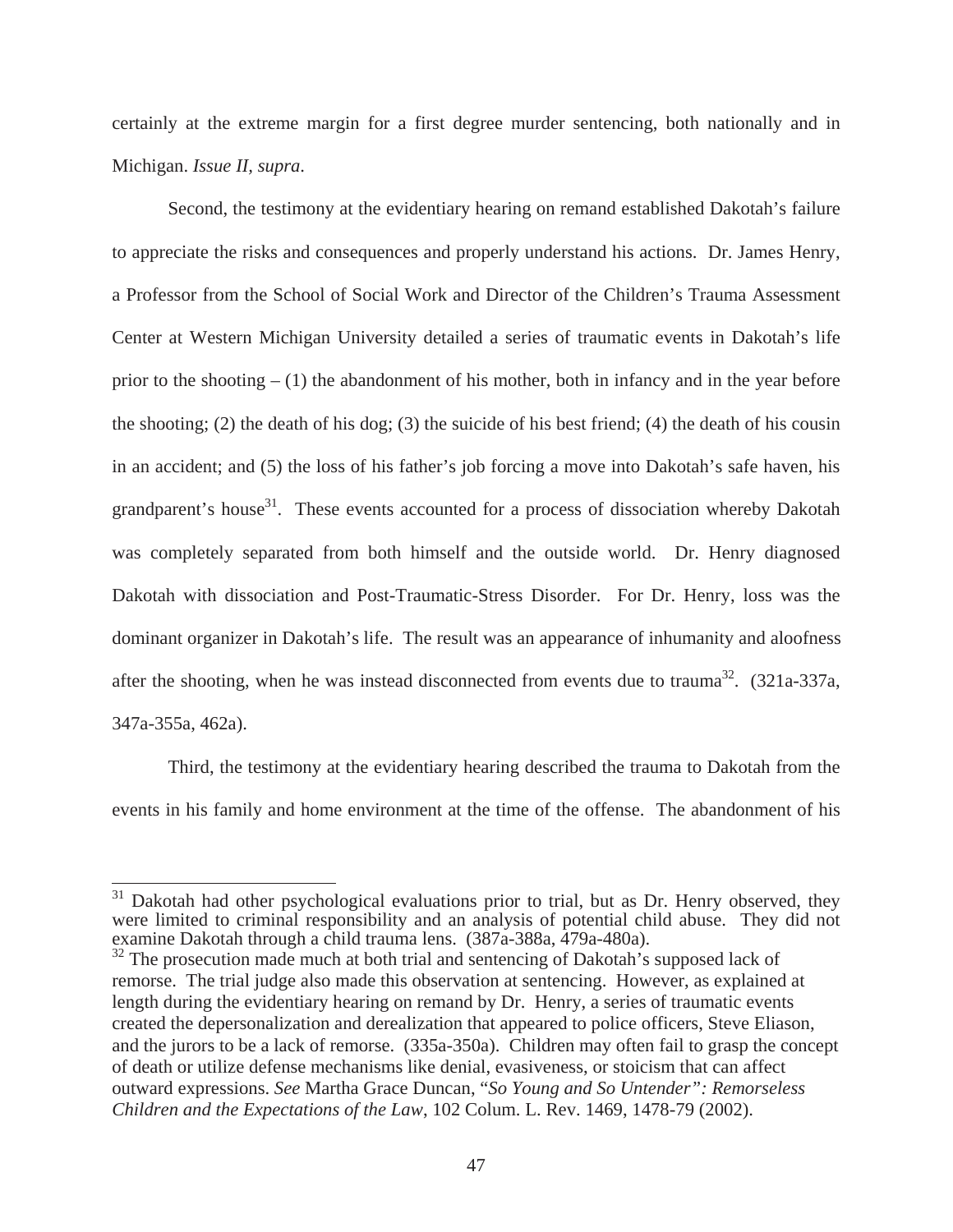certainly at the extreme margin for a first degree murder sentencing, both nationally and in Michigan. *Issue II, supra*.

Second, the testimony at the evidentiary hearing on remand established Dakotah's failure to appreciate the risks and consequences and properly understand his actions. Dr. James Henry, a Professor from the School of Social Work and Director of the Children's Trauma Assessment Center at Western Michigan University detailed a series of traumatic events in Dakotah's life prior to the shooting  $- (1)$  the abandonment of his mother, both in infancy and in the year before the shooting; (2) the death of his dog; (3) the suicide of his best friend; (4) the death of his cousin in an accident; and (5) the loss of his father's job forcing a move into Dakotah's safe haven, his grandparent's house<sup>31</sup>. These events accounted for a process of dissociation whereby Dakotah was completely separated from both himself and the outside world. Dr. Henry diagnosed Dakotah with dissociation and Post-Traumatic-Stress Disorder. For Dr. Henry, loss was the dominant organizer in Dakotah's life. The result was an appearance of inhumanity and aloofness after the shooting, when he was instead disconnected from events due to trauma<sup>32</sup>. (321a-337a, 347a-355a, 462a).

Third, the testimony at the evidentiary hearing described the trauma to Dakotah from the events in his family and home environment at the time of the offense. The abandonment of his

 $31$  Dakotah had other psychological evaluations prior to trial, but as Dr. Henry observed, they were limited to criminal responsibility and an analysis of potential child abuse. They did not examine Dakotah through a child trauma lens. (387a-388a, 479a-480a).

<sup>&</sup>lt;sup>32</sup> The prosecution made much at both trial and sentencing of Dakotah's supposed lack of remorse. The trial judge also made this observation at sentencing. However, as explained at length during the evidentiary hearing on remand by Dr. Henry, a series of traumatic events created the depersonalization and derealization that appeared to police officers, Steve Eliason, and the jurors to be a lack of remorse. (335a-350a). Children may often fail to grasp the concept of death or utilize defense mechanisms like denial, evasiveness, or stoicism that can affect outward expressions. *See* Martha Grace Duncan, "*So Young and So Untender": Remorseless Children and the Expectations of the Law*, 102 Colum. L. Rev. 1469, 1478-79 (2002).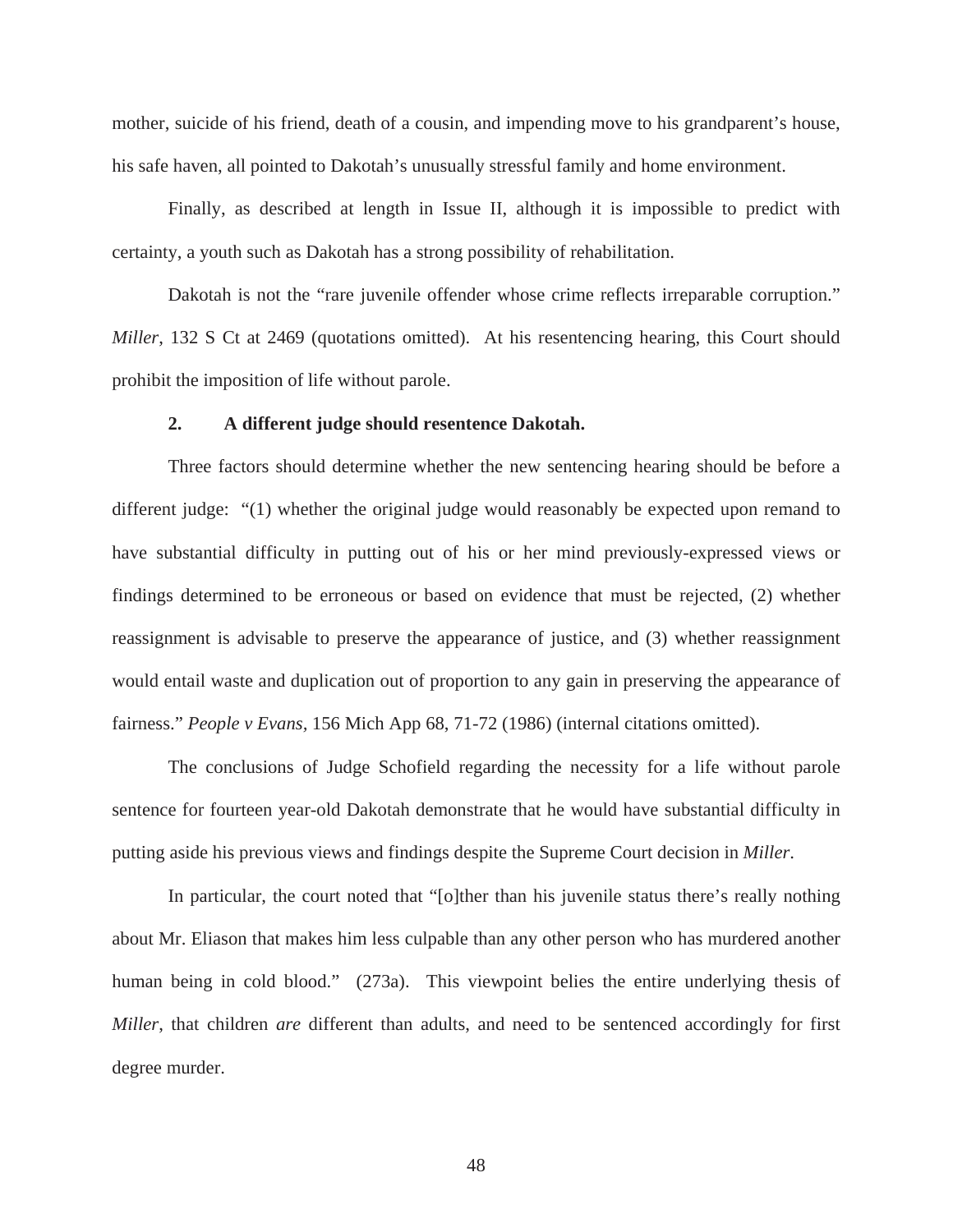mother, suicide of his friend, death of a cousin, and impending move to his grandparent's house, his safe haven, all pointed to Dakotah's unusually stressful family and home environment.

Finally, as described at length in Issue II, although it is impossible to predict with certainty, a youth such as Dakotah has a strong possibility of rehabilitation.

Dakotah is not the "rare juvenile offender whose crime reflects irreparable corruption." *Miller*, 132 S Ct at 2469 (quotations omitted). At his resentencing hearing, this Court should prohibit the imposition of life without parole.

#### **2. A different judge should resentence Dakotah.**

Three factors should determine whether the new sentencing hearing should be before a different judge: "(1) whether the original judge would reasonably be expected upon remand to have substantial difficulty in putting out of his or her mind previously-expressed views or findings determined to be erroneous or based on evidence that must be rejected, (2) whether reassignment is advisable to preserve the appearance of justice, and (3) whether reassignment would entail waste and duplication out of proportion to any gain in preserving the appearance of fairness." *People v Evans,* 156 Mich App 68, 71-72 (1986) (internal citations omitted).

The conclusions of Judge Schofield regarding the necessity for a life without parole sentence for fourteen year-old Dakotah demonstrate that he would have substantial difficulty in putting aside his previous views and findings despite the Supreme Court decision in *Miller*.

In particular, the court noted that "[o]ther than his juvenile status there's really nothing about Mr. Eliason that makes him less culpable than any other person who has murdered another human being in cold blood." (273a). This viewpoint belies the entire underlying thesis of *Miller*, that children *are* different than adults, and need to be sentenced accordingly for first degree murder.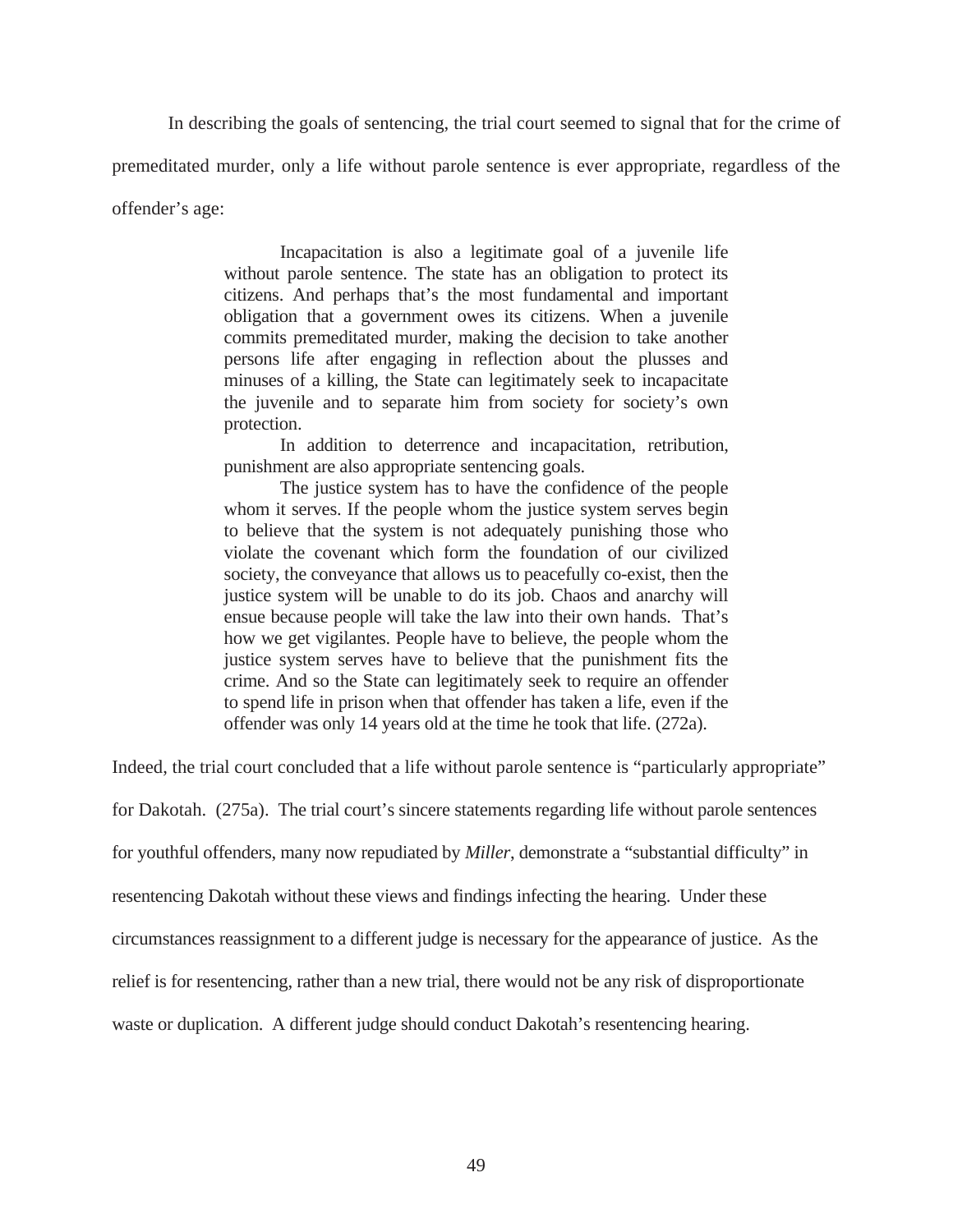In describing the goals of sentencing, the trial court seemed to signal that for the crime of

premeditated murder, only a life without parole sentence is ever appropriate, regardless of the

offender's age:

 Incapacitation is also a legitimate goal of a juvenile life without parole sentence. The state has an obligation to protect its citizens. And perhaps that's the most fundamental and important obligation that a government owes its citizens. When a juvenile commits premeditated murder, making the decision to take another persons life after engaging in reflection about the plusses and minuses of a killing, the State can legitimately seek to incapacitate the juvenile and to separate him from society for society's own protection.

 In addition to deterrence and incapacitation, retribution, punishment are also appropriate sentencing goals.

 The justice system has to have the confidence of the people whom it serves. If the people whom the justice system serves begin to believe that the system is not adequately punishing those who violate the covenant which form the foundation of our civilized society, the conveyance that allows us to peacefully co-exist, then the justice system will be unable to do its job. Chaos and anarchy will ensue because people will take the law into their own hands. That's how we get vigilantes. People have to believe, the people whom the justice system serves have to believe that the punishment fits the crime. And so the State can legitimately seek to require an offender to spend life in prison when that offender has taken a life, even if the offender was only 14 years old at the time he took that life. (272a).

Indeed, the trial court concluded that a life without parole sentence is "particularly appropriate"

for Dakotah. (275a). The trial court's sincere statements regarding life without parole sentences

for youthful offenders, many now repudiated by *Miller*, demonstrate a "substantial difficulty" in

resentencing Dakotah without these views and findings infecting the hearing. Under these

circumstances reassignment to a different judge is necessary for the appearance of justice. As the

relief is for resentencing, rather than a new trial, there would not be any risk of disproportionate

waste or duplication. A different judge should conduct Dakotah's resentencing hearing.